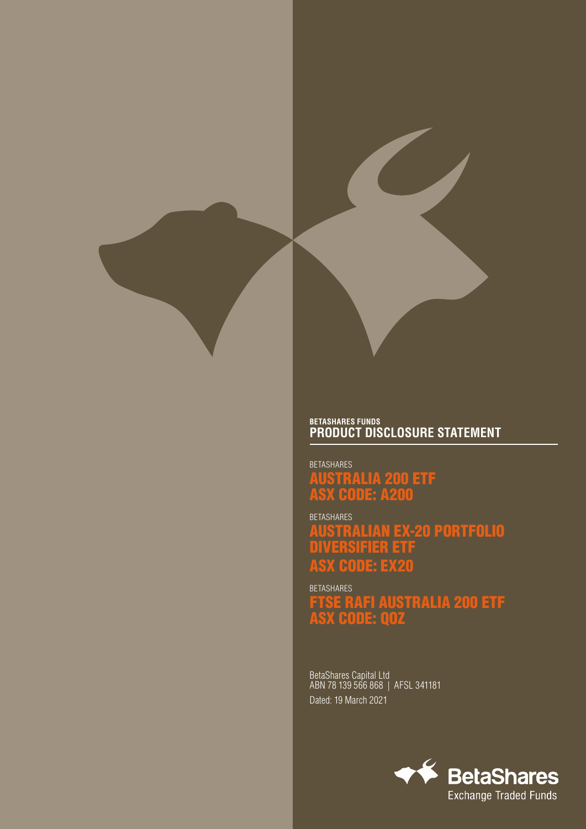

BETASHARES AUSTRALIA 200 ETF ASX CODE: A200

BETASHARES AUSTRALIAN EX-20 PORTFOLIO DIVERSIFIER ETF ASX CODE: EX20

BETASHARES FTSE RAFI AUSTRALIA 200 ETF ASX CODE: QOZ

BetaShares Capital Ltd ABN 78 139 566 868 | AFSL 341181 Dated: 19 March 2021

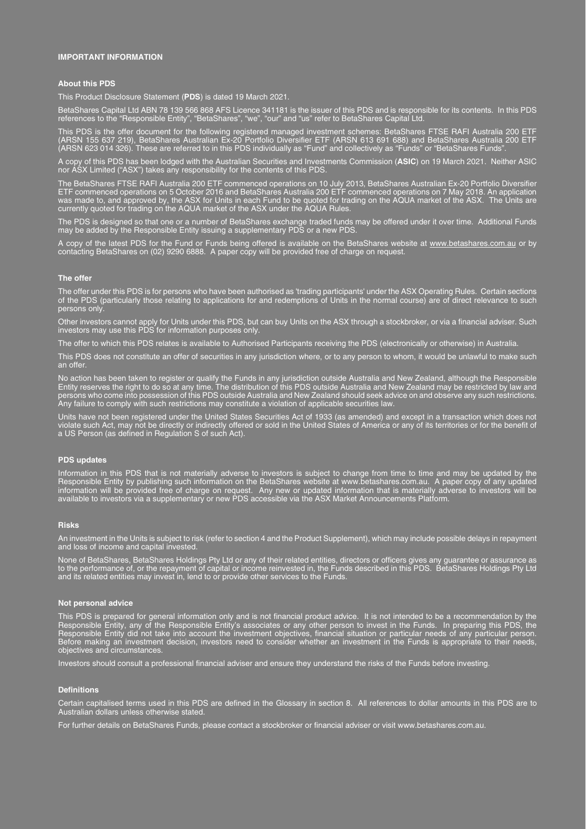#### **IMPORTANT INFORMATION**

## **About this PDS About this PDS**

This Product Disclosure Statement (PDS) is dated 19 March 2021.

BetaShares Capital Ltd ABN 78 139 566 868 AFS Licence 341181 is the issuer of this PDS and is responsible for its contents. In this PDS references to the "Responsible Entity", "BetaShares", "we", "our" and "us" refer to BetaShares Capital Ltd.

This PDS is the offer document for the following registered managed investment schemes: BetaShares FTSE RAFI Australia 200 ETF (ARSN 155 637 219), BetaShares Australian Ex-20 Portfolio Diversifier ETF (ARSN 613 691 688) and BetaShares Australia 200 ETF (ARSN 623 014 326). These are referred to in this PDS individually as "Fund" and collectively as "Funds" or "BetaShares Funds".

A copy of this PDS has been lodged with the Australian Securities and Investments Commission (**ASIC**) on 19 March 2021. Neither ASIC nor ASX Limited ("ASX") takes any responsibility for the contents of this PDS.

The BetaShares FTSE RAFI Australia 200 ETF commenced operations on 10 July 2013, BetaShares Australian Ex-20 Portfolio Diversifier ETF commenced operations on 5 October 2016 and BetaShares Australia 200 ETF commenced operations on 7 May 2018. An application was made to, and approved by, the ASX for Units in each Fund to be quoted for trading on the AQUA market of the ASX. The Units are currently quoted for trading on the AQUA market of the ASX under the AQUA Rules.

The PDS is designed so that one or a number of BetaShares exchange traded funds may be offered under it over time. Additional Funds may be added by the Responsible Entity issuing a supplementary PDS or a new PDS.

A copy of the latest PDS for the Fund or Funds being offered is available on the BetaShares website at <u>www.betashares.com.au</u> or by contacting BetaShares on (02) 9290 6888. A paper copy will be provided free of charge on request.

#### **The offer**

The offer under this PDS is for persons who have been authorised as 'trading participants' under the ASX Operating Rules. Certain sections of the PDS (particularly those relating to applications for and redemptions of Units in the normal course) are of direct relevance to such persons only.

Other investors cannot apply for Units under this PDS, but can buy Units on the ASX through a stockbroker, or via a financial adviser. Such investors may use this PDS for information purposes only.

The offer to which this PDS relates is available to Authorised Participants receiving the PDS (electronically or otherwise) in Australia.

This PDS does not constitute an offer of securities in any jurisdiction where, or to any person to whom, it would be unlawful to make such an offer.

No action has been taken to register or qualify the Funds in any jurisdiction outside Australia and New Zealand, although the Responsible Entity reserves the right to do so at any time. The distribution of this PDS outside Australia and New Zealand may be restricted by law and persons who come into possession of this PDS outside Australia and New Zealand should seek advice on and observe any such restrictions. Any failure to comply with such restrictions may constitute a violation of applicable securities law.

Units have not been registered under the United States Securities Act of 1933 (as amended) and except in a transaction which does not violate such Act, may not be directly or indirectly offered or sold in the United States of America or any of its territories or for the benefit of a US Person (as defined in Regulation S of such Act).

#### **PDS updates**

Information in this PDS that is not materially adverse to investors is subject to change from time to time and may be updated by the Responsible Entity by publishing such information on the BetaShares website at www.betashares.com.au. A paper copy of any updated information will be provided free of charge on request. Any new or updated information that is materially adverse to investors will be available to investors via a supplementary or new PDS accessible via the ASX Market Announcements Platform.

#### **Risks**

An investment in the Units is subject to risk (refer to section 4 and the Product Supplement), which may include possible delays in repayment and loss of income and capital invested.

None of BetaShares, BetaShares Holdings Pty Ltd or any of their related entities, directors or officers gives any guarantee or assurance as to the performance of, or the repayment of capital or income reinvested in, the Funds described in this PDS. BetaShares Holdings Pty Ltd and its related entities may invest in, lend to or provide other services to the Funds.

#### **Not personal advice**

This PDS is prepared for general information only and is not financial product advice. It is not intended to be a recommendation by the Responsible Entity, any of the Responsible Entity's associates or any other person to invest in the Funds. In preparing this PDS, the Responsible Entity did not take into account the investment objectives, financial situation or particular needs of any particular person. Before making an investment decision, investors need to consider whether an investment in the Funds is appropriate to their needs, objectives and circumstances.

Investors should consult a professional financial adviser and ensure they understand the risks of the Funds before investing.

#### **Definitions**

Certain capitalised terms used in this PDS are defined in the Glossary in section 8. All references to dollar amounts in this PDS are to Australian dollars unless otherwise stated.

For further details on BetaShares Funds, please contact a stockbroker or financial adviser or visit www.betashares.com.au.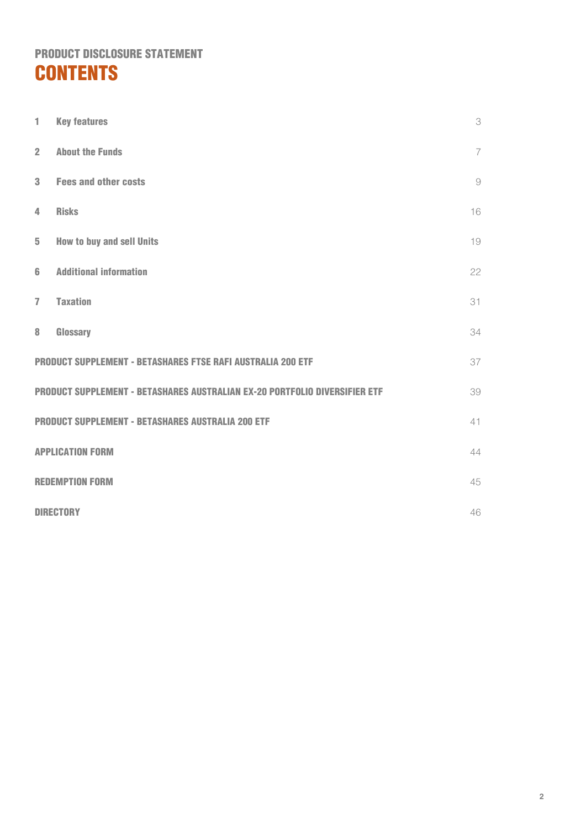## PRODUCT DISCLOSURE STATEMENT **CONTENTS**

| 1              | <b>Key features</b>                                                                     | 3              |  |
|----------------|-----------------------------------------------------------------------------------------|----------------|--|
| $\overline{2}$ | <b>About the Funds</b>                                                                  | $\overline{7}$ |  |
| 3              | <b>Fees and other costs</b>                                                             | $\Theta$       |  |
| 4              | <b>Risks</b>                                                                            | 16             |  |
| 5              | <b>How to buy and sell Units</b>                                                        | 19             |  |
| 6              | <b>Additional information</b>                                                           | 22             |  |
| $\overline{7}$ | <b>Taxation</b>                                                                         | 31             |  |
| 8              | Glossary                                                                                | 34             |  |
|                | <b>PRODUCT SUPPLEMENT - BETASHARES FTSE RAFI AUSTRALIA 200 ETF</b><br>37                |                |  |
|                | <b>PRODUCT SUPPLEMENT - BETASHARES AUSTRALIAN EX-20 PORTFOLIO DIVERSIFIER ETF</b><br>39 |                |  |
|                | <b>PRODUCT SUPPLEMENT - BETASHARES AUSTRALIA 200 ETF</b><br>41                          |                |  |
|                | 44<br><b>APPLICATION FORM</b>                                                           |                |  |
|                | 45<br><b>REDEMPTION FORM</b>                                                            |                |  |
|                | 46<br><b>DIRECTORY</b>                                                                  |                |  |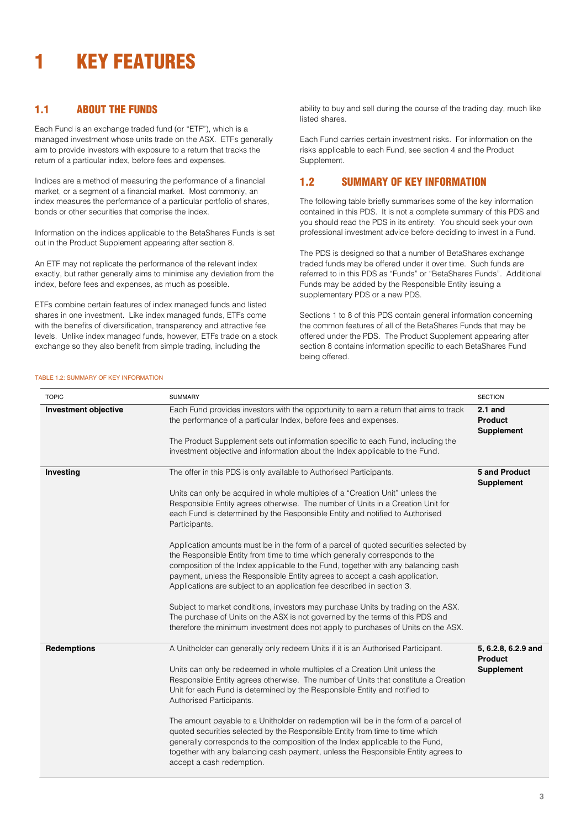# <span id="page-3-0"></span>**KEY FEATURES**

## 1.1 ABOUT THE FUNDS

Each Fund is an exchange traded fund (or "ETF"), which is a managed investment whose units trade on the ASX. ETFs generally aim to provide investors with exposure to a return that tracks the return of a particular index, before fees and expenses.

Indices are a method of measuring the performance of a financial market, or a segment of a financial market. Most commonly, an index measures the performance of a particular portfolio of shares, bonds or other securities that comprise the index.

Information on the indices applicable to the BetaShares Funds is set out in the Product Supplement appearing after section 8.

An ETF may not replicate the performance of the relevant index exactly, but rather generally aims to minimise any deviation from the index, before fees and expenses, as much as possible.

ETFs combine certain features of index managed funds and listed shares in one investment. Like index managed funds, ETFs come with the benefits of diversification, transparency and attractive fee levels. Unlike index managed funds, however, ETFs trade on a stock exchange so they also benefit from simple trading, including the

ability to buy and sell during the course of the trading day, much like listed shares.

Each Fund carries certain investment risks. For information on the risks applicable to each Fund, see sectio[n 4](#page-16-0) and the Product Supplement.

## 1.2 SUMMARY OF KEY INFORMATION

The following table briefly summarises some of the key information contained in this PDS. It is not a complete summary of this PDS and you should read the PDS in its entirety. You should seek your own professional investment advice before deciding to invest in a Fund.

The PDS is designed so that a number of BetaShares exchange traded funds may be offered under it over time. Such funds are referred to in this PDS as "Funds" or "BetaShares Funds". Additional Funds may be added by the Responsible Entity issuing a supplementary PDS or a new PDS.

Sections 1 to 8 of this PDS contain general information concerning the common features of all of the BetaShares Funds that may be offered under the PDS. The Product Supplement appearing after section 8 contains information specific to each BetaShares Fund being offered.

#### TABLE 1.2: SUMMARY OF KEY INFORMATION

| <b>TOPIC</b>                | <b>SUMMARY</b>                                                                                                                                                                                                                                                                                                                                                                                                    | <b>SECTION</b>                                   |
|-----------------------------|-------------------------------------------------------------------------------------------------------------------------------------------------------------------------------------------------------------------------------------------------------------------------------------------------------------------------------------------------------------------------------------------------------------------|--------------------------------------------------|
| <b>Investment objective</b> | Each Fund provides investors with the opportunity to earn a return that aims to track<br>the performance of a particular Index, before fees and expenses.                                                                                                                                                                                                                                                         | $2.1$ and<br><b>Product</b><br><b>Supplement</b> |
|                             | The Product Supplement sets out information specific to each Fund, including the<br>investment objective and information about the Index applicable to the Fund.                                                                                                                                                                                                                                                  |                                                  |
| Investing                   | The offer in this PDS is only available to Authorised Participants.<br>Units can only be acquired in whole multiples of a "Creation Unit" unless the<br>Responsible Entity agrees otherwise. The number of Units in a Creation Unit for<br>each Fund is determined by the Responsible Entity and notified to Authorised<br>Participants.                                                                          | 5 and Product<br><b>Supplement</b>               |
|                             | Application amounts must be in the form of a parcel of quoted securities selected by<br>the Responsible Entity from time to time which generally corresponds to the<br>composition of the Index applicable to the Fund, together with any balancing cash<br>payment, unless the Responsible Entity agrees to accept a cash application.<br>Applications are subject to an application fee described in section 3. |                                                  |
|                             | Subject to market conditions, investors may purchase Units by trading on the ASX.<br>The purchase of Units on the ASX is not governed by the terms of this PDS and<br>therefore the minimum investment does not apply to purchases of Units on the ASX.                                                                                                                                                           |                                                  |
| <b>Redemptions</b>          | A Unitholder can generally only redeem Units if it is an Authorised Participant.                                                                                                                                                                                                                                                                                                                                  | 5, 6.2.8, 6.2.9 and<br><b>Product</b>            |
|                             | Units can only be redeemed in whole multiples of a Creation Unit unless the<br>Responsible Entity agrees otherwise. The number of Units that constitute a Creation<br>Unit for each Fund is determined by the Responsible Entity and notified to<br>Authorised Participants.                                                                                                                                      | <b>Supplement</b>                                |
|                             | The amount payable to a Unitholder on redemption will be in the form of a parcel of<br>quoted securities selected by the Responsible Entity from time to time which<br>generally corresponds to the composition of the Index applicable to the Fund,<br>together with any balancing cash payment, unless the Responsible Entity agrees to<br>accept a cash redemption.                                            |                                                  |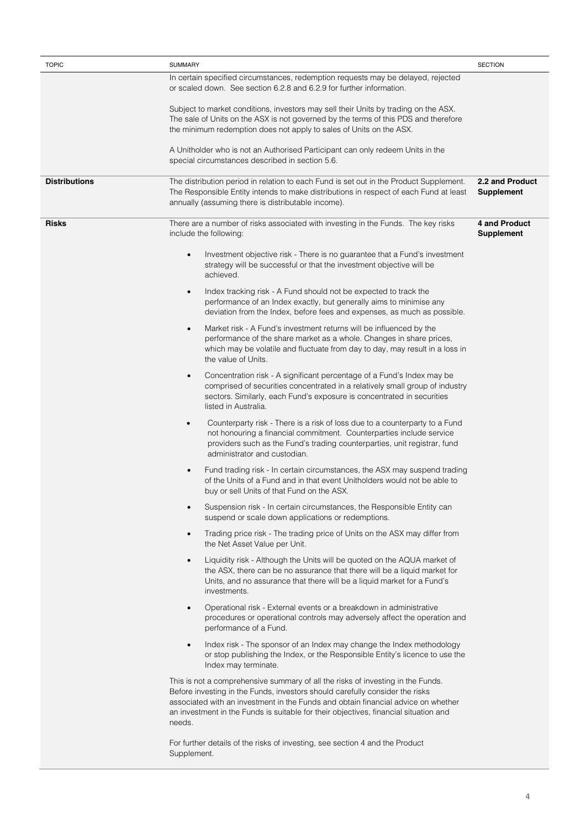| <b>TOPIC</b>         | <b>SUMMARY</b>                                                                                                                                                                                                                                                                                                                                         | <b>SECTION</b>                       |
|----------------------|--------------------------------------------------------------------------------------------------------------------------------------------------------------------------------------------------------------------------------------------------------------------------------------------------------------------------------------------------------|--------------------------------------|
|                      | In certain specified circumstances, redemption requests may be delayed, rejected<br>or scaled down. See section 6.2.8 and 6.2.9 for further information.                                                                                                                                                                                               |                                      |
|                      | Subject to market conditions, investors may sell their Units by trading on the ASX.<br>The sale of Units on the ASX is not governed by the terms of this PDS and therefore<br>the minimum redemption does not apply to sales of Units on the ASX.                                                                                                      |                                      |
|                      | A Unitholder who is not an Authorised Participant can only redeem Units in the<br>special circumstances described in section 5.6.                                                                                                                                                                                                                      |                                      |
| <b>Distributions</b> | The distribution period in relation to each Fund is set out in the Product Supplement.<br>The Responsible Entity intends to make distributions in respect of each Fund at least<br>annually (assuming there is distributable income).                                                                                                                  | 2.2 and Product<br><b>Supplement</b> |
| Risks                | There are a number of risks associated with investing in the Funds. The key risks<br>include the following:                                                                                                                                                                                                                                            | 4 and Product<br><b>Supplement</b>   |
|                      | Investment objective risk - There is no guarantee that a Fund's investment<br>strategy will be successful or that the investment objective will be<br>achieved.                                                                                                                                                                                        |                                      |
|                      | Index tracking risk - A Fund should not be expected to track the<br>$\bullet$<br>performance of an Index exactly, but generally aims to minimise any<br>deviation from the Index, before fees and expenses, as much as possible.                                                                                                                       |                                      |
|                      | Market risk - A Fund's investment returns will be influenced by the<br>$\bullet$<br>performance of the share market as a whole. Changes in share prices,<br>which may be volatile and fluctuate from day to day, may result in a loss in<br>the value of Units.                                                                                        |                                      |
|                      | Concentration risk - A significant percentage of a Fund's Index may be<br>$\bullet$<br>comprised of securities concentrated in a relatively small group of industry<br>sectors. Similarly, each Fund's exposure is concentrated in securities<br>listed in Australia.                                                                                  |                                      |
|                      | Counterparty risk - There is a risk of loss due to a counterparty to a Fund<br>$\bullet$<br>not honouring a financial commitment. Counterparties include service<br>providers such as the Fund's trading counterparties, unit registrar, fund<br>administrator and custodian.                                                                          |                                      |
|                      | Fund trading risk - In certain circumstances, the ASX may suspend trading<br>$\bullet$<br>of the Units of a Fund and in that event Unitholders would not be able to<br>buy or sell Units of that Fund on the ASX.                                                                                                                                      |                                      |
|                      | Suspension risk - In certain circumstances, the Responsible Entity can<br>$\bullet$<br>suspend or scale down applications or redemptions.                                                                                                                                                                                                              |                                      |
|                      | Trading price risk - The trading price of Units on the ASX may differ from<br>$\bullet$<br>the Net Asset Value per Unit.                                                                                                                                                                                                                               |                                      |
|                      | Liquidity risk - Although the Units will be quoted on the AQUA market of<br>$\bullet$<br>the ASX, there can be no assurance that there will be a liquid market for<br>Units, and no assurance that there will be a liquid market for a Fund's<br>investments.                                                                                          |                                      |
|                      | Operational risk - External events or a breakdown in administrative<br>$\bullet$<br>procedures or operational controls may adversely affect the operation and<br>performance of a Fund.                                                                                                                                                                |                                      |
|                      | Index risk - The sponsor of an Index may change the Index methodology<br>$\bullet$<br>or stop publishing the Index, or the Responsible Entity's licence to use the<br>Index may terminate.                                                                                                                                                             |                                      |
|                      | This is not a comprehensive summary of all the risks of investing in the Funds.<br>Before investing in the Funds, investors should carefully consider the risks<br>associated with an investment in the Funds and obtain financial advice on whether<br>an investment in the Funds is suitable for their objectives, financial situation and<br>needs. |                                      |
|                      | For further details of the risks of investing, see section 4 and the Product<br>Supplement.                                                                                                                                                                                                                                                            |                                      |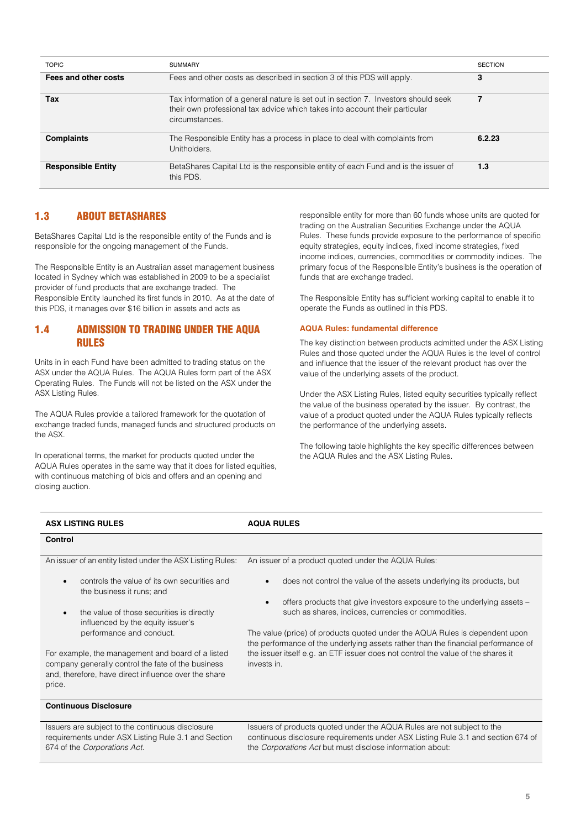| <b>TOPIC</b>              | <b>SUMMARY</b>                                                                                                                                                                      | <b>SECTION</b> |
|---------------------------|-------------------------------------------------------------------------------------------------------------------------------------------------------------------------------------|----------------|
| Fees and other costs      | Fees and other costs as described in section 3 of this PDS will apply.                                                                                                              | 3              |
| Tax                       | Tax information of a general nature is set out in section 7. Investors should seek<br>their own professional tax advice which takes into account their particular<br>circumstances. | 7              |
| <b>Complaints</b>         | The Responsible Entity has a process in place to deal with complaints from<br>Unitholders.                                                                                          | 6.2.23         |
| <b>Responsible Entity</b> | BetaShares Capital Ltd is the responsible entity of each Fund and is the issuer of<br>this PDS.                                                                                     | 1.3            |

## <span id="page-5-0"></span>1.3 ABOUT BETASHARES

BetaShares Capital Ltd is the responsible entity of the Funds and is responsible for the ongoing management of the Funds.

The Responsible Entity is an Australian asset management business located in Sydney which was established in 2009 to be a specialist provider of fund products that are exchange traded. The Responsible Entity launched its first funds in 2010. As at the date of this PDS, it manages over \$16 billion in assets and acts as

## 1.4 ADMISSION TO TRADING UNDER THE AQUA RULES

Units in in each Fund have been admitted to trading status on the ASX under the AQUA Rules. The AQUA Rules form part of the ASX Operating Rules. The Funds will not be listed on the ASX under the ASX Listing Rules.

The AQUA Rules provide a tailored framework for the quotation of exchange traded funds, managed funds and structured products on the ASX.

In operational terms, the market for products quoted under the AQUA Rules operates in the same way that it does for listed equities, with continuous matching of bids and offers and an opening and closing auction.

responsible entity for more than 60 funds whose units are quoted for trading on the Australian Securities Exchange under the AQUA Rules. These funds provide exposure to the performance of specific equity strategies, equity indices, fixed income strategies, fixed income indices, currencies, commodities or commodity indices. The primary focus of the Responsible Entity's business is the operation of funds that are exchange traded.

The Responsible Entity has sufficient working capital to enable it to operate the Funds as outlined in this PDS.

#### **AQUA Rules: fundamental difference**

The key distinction between products admitted under the ASX Listing Rules and those quoted under the AQUA Rules is the level of control and influence that the issuer of the relevant product has over the value of the underlying assets of the product.

Under the ASX Listing Rules, listed equity securities typically reflect the value of the business operated by the issuer. By contrast, the value of a product quoted under the AQUA Rules typically reflects the performance of the underlying assets.

The following table highlights the key specific differences between the AQUA Rules and the ASX Listing Rules.

| <b>ASX LISTING RULES</b>                                                                                                                                                                                                                                                                                                                                                  | <b>AQUA RULES</b>                                                                                                                                                                                                                                                                                                                                                                                                                                                              |  |
|---------------------------------------------------------------------------------------------------------------------------------------------------------------------------------------------------------------------------------------------------------------------------------------------------------------------------------------------------------------------------|--------------------------------------------------------------------------------------------------------------------------------------------------------------------------------------------------------------------------------------------------------------------------------------------------------------------------------------------------------------------------------------------------------------------------------------------------------------------------------|--|
| Control                                                                                                                                                                                                                                                                                                                                                                   |                                                                                                                                                                                                                                                                                                                                                                                                                                                                                |  |
| An issuer of an entity listed under the ASX Listing Rules:                                                                                                                                                                                                                                                                                                                | An issuer of a product quoted under the AQUA Rules:                                                                                                                                                                                                                                                                                                                                                                                                                            |  |
| controls the value of its own securities and<br>the business it runs; and<br>the value of those securities is directly<br>٠<br>influenced by the equity issuer's<br>performance and conduct.<br>For example, the management and board of a listed<br>company generally control the fate of the business<br>and, therefore, have direct influence over the share<br>price. | does not control the value of the assets underlying its products, but<br>offers products that give investors exposure to the underlying assets -<br>such as shares, indices, currencies or commodities.<br>The value (price) of products quoted under the AQUA Rules is dependent upon<br>the performance of the underlying assets rather than the financial performance of<br>the issuer itself e.g. an ETF issuer does not control the value of the shares it<br>invests in. |  |
| <b>Continuous Disclosure</b>                                                                                                                                                                                                                                                                                                                                              |                                                                                                                                                                                                                                                                                                                                                                                                                                                                                |  |
| Issuers are subject to the continuous disclosure<br>requirements under ASX Listing Rule 3.1 and Section<br>674 of the Corporations Act.                                                                                                                                                                                                                                   | Issuers of products quoted under the AQUA Rules are not subject to the<br>continuous disclosure requirements under ASX Listing Rule 3.1 and section 674 of<br>the Corporations Act but must disclose information about:                                                                                                                                                                                                                                                        |  |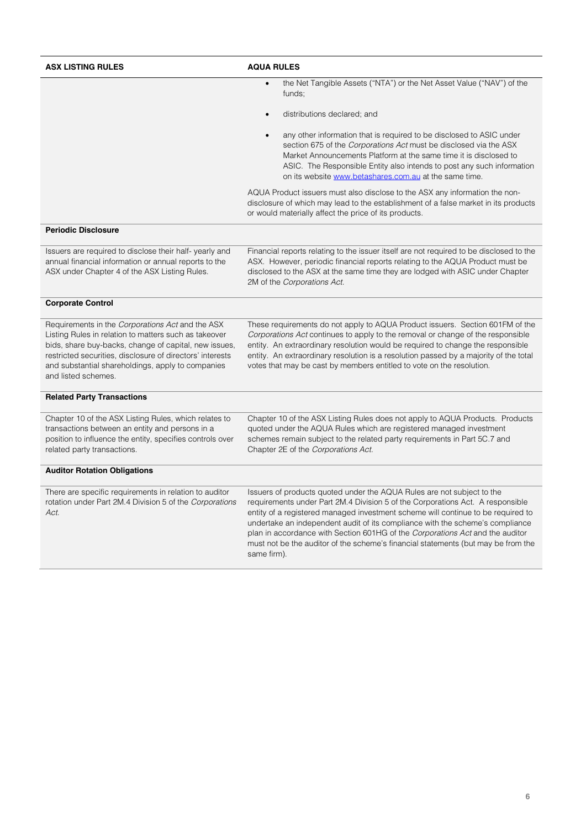| <b>ASX LISTING RULES</b>                                                                                                                                                                                                                                                                                    | <b>AQUA RULES</b>                                                                                                                                                                                                                                                                                                                                                                                                                                                                                                  |  |
|-------------------------------------------------------------------------------------------------------------------------------------------------------------------------------------------------------------------------------------------------------------------------------------------------------------|--------------------------------------------------------------------------------------------------------------------------------------------------------------------------------------------------------------------------------------------------------------------------------------------------------------------------------------------------------------------------------------------------------------------------------------------------------------------------------------------------------------------|--|
|                                                                                                                                                                                                                                                                                                             | the Net Tangible Assets ("NTA") or the Net Asset Value ("NAV") of the<br>$\bullet$<br>funds;                                                                                                                                                                                                                                                                                                                                                                                                                       |  |
|                                                                                                                                                                                                                                                                                                             | distributions declared; and                                                                                                                                                                                                                                                                                                                                                                                                                                                                                        |  |
|                                                                                                                                                                                                                                                                                                             | any other information that is required to be disclosed to ASIC under<br>$\bullet$<br>section 675 of the Corporations Act must be disclosed via the ASX<br>Market Announcements Platform at the same time it is disclosed to<br>ASIC. The Responsible Entity also intends to post any such information<br>on its website www.betashares.com.au at the same time.                                                                                                                                                    |  |
|                                                                                                                                                                                                                                                                                                             | AQUA Product issuers must also disclose to the ASX any information the non-<br>disclosure of which may lead to the establishment of a false market in its products<br>or would materially affect the price of its products.                                                                                                                                                                                                                                                                                        |  |
| <b>Periodic Disclosure</b>                                                                                                                                                                                                                                                                                  |                                                                                                                                                                                                                                                                                                                                                                                                                                                                                                                    |  |
| Issuers are required to disclose their half-yearly and<br>annual financial information or annual reports to the<br>ASX under Chapter 4 of the ASX Listing Rules.                                                                                                                                            | Financial reports relating to the issuer itself are not required to be disclosed to the<br>ASX. However, periodic financial reports relating to the AQUA Product must be<br>disclosed to the ASX at the same time they are lodged with ASIC under Chapter<br>2M of the Corporations Act.                                                                                                                                                                                                                           |  |
| <b>Corporate Control</b>                                                                                                                                                                                                                                                                                    |                                                                                                                                                                                                                                                                                                                                                                                                                                                                                                                    |  |
| Requirements in the Corporations Act and the ASX<br>Listing Rules in relation to matters such as takeover<br>bids, share buy-backs, change of capital, new issues,<br>restricted securities, disclosure of directors' interests<br>and substantial shareholdings, apply to companies<br>and listed schemes. | These requirements do not apply to AQUA Product issuers. Section 601FM of the<br>Corporations Act continues to apply to the removal or change of the responsible<br>entity. An extraordinary resolution would be required to change the responsible<br>entity. An extraordinary resolution is a resolution passed by a majority of the total<br>votes that may be cast by members entitled to vote on the resolution.                                                                                              |  |
| <b>Related Party Transactions</b>                                                                                                                                                                                                                                                                           |                                                                                                                                                                                                                                                                                                                                                                                                                                                                                                                    |  |
| Chapter 10 of the ASX Listing Rules, which relates to<br>transactions between an entity and persons in a<br>position to influence the entity, specifies controls over<br>related party transactions.                                                                                                        | Chapter 10 of the ASX Listing Rules does not apply to AQUA Products. Products<br>quoted under the AQUA Rules which are registered managed investment<br>schemes remain subject to the related party requirements in Part 5C.7 and<br>Chapter 2E of the Corporations Act.                                                                                                                                                                                                                                           |  |
| <b>Auditor Rotation Obligations</b>                                                                                                                                                                                                                                                                         |                                                                                                                                                                                                                                                                                                                                                                                                                                                                                                                    |  |
| There are specific requirements in relation to auditor<br>rotation under Part 2M.4 Division 5 of the Corporations<br>Act.                                                                                                                                                                                   | Issuers of products quoted under the AQUA Rules are not subject to the<br>requirements under Part 2M.4 Division 5 of the Corporations Act. A responsible<br>entity of a registered managed investment scheme will continue to be required to<br>undertake an independent audit of its compliance with the scheme's compliance<br>plan in accordance with Section 601HG of the Corporations Act and the auditor<br>must not be the auditor of the scheme's financial statements (but may be from the<br>same firm). |  |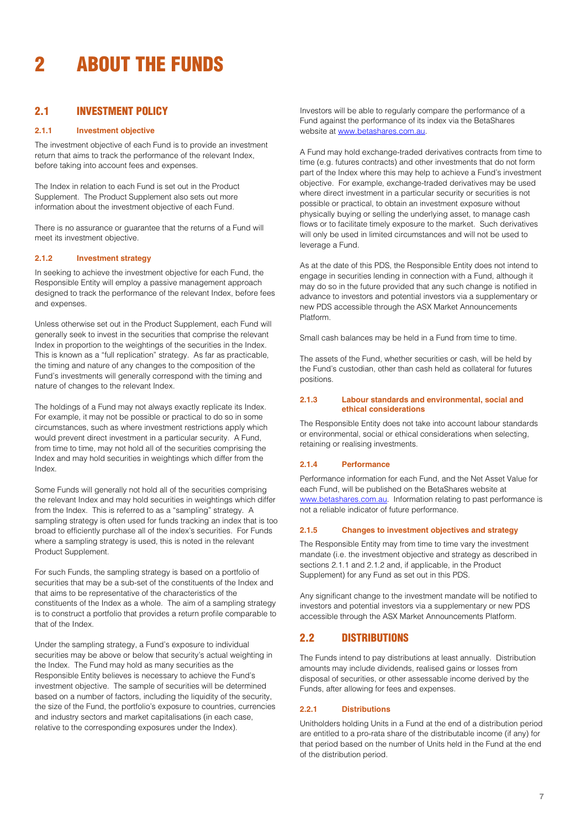# <span id="page-7-0"></span>2 ABOUT THE FUNDS

## <span id="page-7-1"></span>2.1 INVESTMENT POLICY

#### <span id="page-7-2"></span>**2.1.1 Investment objective**

The investment objective of each Fund is to provide an investment return that aims to track the performance of the relevant Index, before taking into account fees and expenses.

The Index in relation to each Fund is set out in the Product Supplement. The Product Supplement also sets out more information about the investment objective of each Fund.

There is no assurance or guarantee that the returns of a Fund will meet its investment objective.

#### <span id="page-7-3"></span>**2.1.2 Investment strategy**

In seeking to achieve the investment objective for each Fund, the Responsible Entity will employ a passive management approach designed to track the performance of the relevant Index, before fees and expenses.

Unless otherwise set out in the Product Supplement, each Fund will generally seek to invest in the securities that comprise the relevant Index in proportion to the weightings of the securities in the Index. This is known as a "full replication" strategy. As far as practicable, the timing and nature of any changes to the composition of the Fund's investments will generally correspond with the timing and nature of changes to the relevant Index.

The holdings of a Fund may not always exactly replicate its Index. For example, it may not be possible or practical to do so in some circumstances, such as where investment restrictions apply which would prevent direct investment in a particular security. A Fund, from time to time, may not hold all of the securities comprising the Index and may hold securities in weightings which differ from the Index.

Some Funds will generally not hold all of the securities comprising the relevant Index and may hold securities in weightings which differ from the Index. This is referred to as a "sampling" strategy. A sampling strategy is often used for funds tracking an index that is too broad to efficiently purchase all of the index's securities. For Funds where a sampling strategy is used, this is noted in the relevant Product Supplement.

For such Funds, the sampling strategy is based on a portfolio of securities that may be a sub-set of the constituents of the Index and that aims to be representative of the characteristics of the constituents of the Index as a whole. The aim of a sampling strategy is to construct a portfolio that provides a return profile comparable to that of the Index.

Under the sampling strategy, a Fund's exposure to individual securities may be above or below that security's actual weighting in the Index. The Fund may hold as many securities as the Responsible Entity believes is necessary to achieve the Fund's investment objective. The sample of securities will be determined based on a number of factors, including the liquidity of the security, the size of the Fund, the portfolio's exposure to countries, currencies and industry sectors and market capitalisations (in each case, relative to the corresponding exposures under the Index).

Investors will be able to regularly compare the performance of a Fund against the performance of its index via the BetaShares website a[t www.betashares.com.au.](http://www.betashares.com.au/)

A Fund may hold exchange-traded derivatives contracts from time to time (e.g. futures contracts) and other investments that do not form part of the Index where this may help to achieve a Fund's investment objective. For example, exchange-traded derivatives may be used where direct investment in a particular security or securities is not possible or practical, to obtain an investment exposure without physically buying or selling the underlying asset, to manage cash flows or to facilitate timely exposure to the market. Such derivatives will only be used in limited circumstances and will not be used to leverage a Fund.

As at the date of this PDS, the Responsible Entity does not intend to engage in securities lending in connection with a Fund, although it may do so in the future provided that any such change is notified in advance to investors and potential investors via a supplementary or new PDS accessible through the ASX Market Announcements Platform.

Small cash balances may be held in a Fund from time to time.

The assets of the Fund, whether securities or cash, will be held by the Fund's custodian, other than cash held as collateral for futures positions.

#### **2.1.3 Labour standards and environmental, social and ethical considerations**

The Responsible Entity does not take into account labour standards or environmental, social or ethical considerations when selecting, retaining or realising investments.

#### **2.1.4 Performance**

Performance information for each Fund, and the Net Asset Value for each Fund, will be published on the BetaShares website at [www.betashares.com.au.](http://www.betashares.com.au/) Information relating to past performance is not a reliable indicator of future performance.

#### **2.1.5 Changes to investment objectives and strategy**

The Responsible Entity may from time to time vary the investment mandate (i.e. the investment objective and strategy as described in sections [2.1.1](#page-7-2) and [2.1.2](#page-7-3) and, if applicable, in the Product Supplement) for any Fund as set out in this PDS.

Any significant change to the investment mandate will be notified to investors and potential investors via a supplementary or new PDS accessible through the ASX Market Announcements Platform.

## 2.2 DISTRIBUTIONS

The Funds intend to pay distributions at least annually. Distribution amounts may include dividends, realised gains or losses from disposal of securities, or other assessable income derived by the Funds, after allowing for fees and expenses.

#### <span id="page-7-4"></span>**2.2.1 Distributions**

Unitholders holding Units in a Fund at the end of a distribution period are entitled to a pro-rata share of the distributable income (if any) for that period based on the number of Units held in the Fund at the end of the distribution period.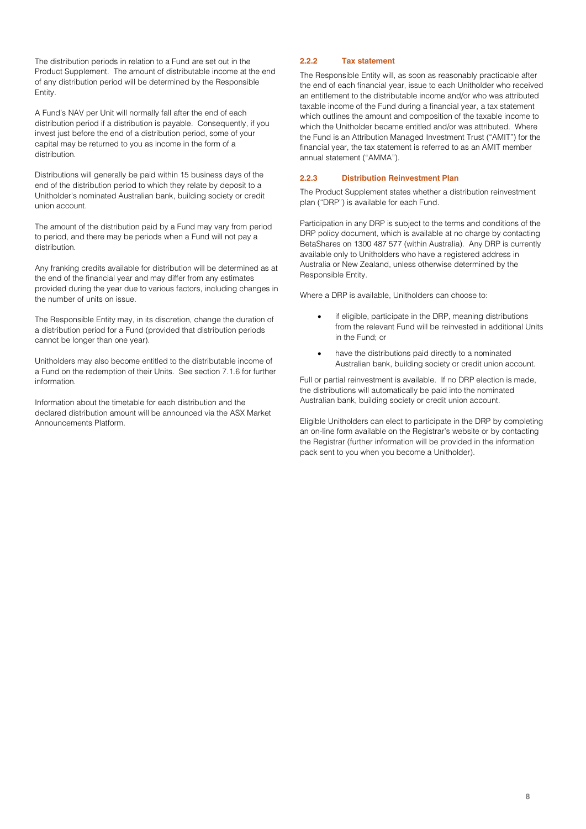The distribution periods in relation to a Fund are set out in the Product Supplement. The amount of distributable income at the end of any distribution period will be determined by the Responsible Entity.

A Fund's NAV per Unit will normally fall after the end of each distribution period if a distribution is payable. Consequently, if you invest just before the end of a distribution period, some of your capital may be returned to you as income in the form of a distribution.

Distributions will generally be paid within 15 business days of the end of the distribution period to which they relate by deposit to a Unitholder's nominated Australian bank, building society or credit union account.

The amount of the distribution paid by a Fund may vary from period to period, and there may be periods when a Fund will not pay a distribution.

Any franking credits available for distribution will be determined as at the end of the financial year and may differ from any estimates provided during the year due to various factors, including changes in the number of units on issue.

The Responsible Entity may, in its discretion, change the duration of a distribution period for a Fund (provided that distribution periods cannot be longer than one year).

Unitholders may also become entitled to the distributable income of a Fund on the redemption of their Units. See section 7.1.6 for further information.

Information about the timetable for each distribution and the declared distribution amount will be announced via the ASX Market Announcements Platform.

#### **2.2.2 Tax statement**

The Responsible Entity will, as soon as reasonably practicable after the end of each financial year, issue to each Unitholder who received an entitlement to the distributable income and/or who was attributed taxable income of the Fund during a financial year, a tax statement which outlines the amount and composition of the taxable income to which the Unitholder became entitled and/or was attributed. Where the Fund is an Attribution Managed Investment Trust ("AMIT") for the financial year, the tax statement is referred to as an AMIT member annual statement ("AMMA").

#### <span id="page-8-0"></span>**2.2.3 Distribution Reinvestment Plan**

The Product Supplement states whether a distribution reinvestment plan ("DRP") is available for each Fund.

Participation in any DRP is subject to the terms and conditions of the DRP policy document, which is available at no charge by contacting BetaShares on 1300 487 577 (within Australia). Any DRP is currently available only to Unitholders who have a registered address in Australia or New Zealand, unless otherwise determined by the Responsible Entity.

Where a DRP is available, Unitholders can choose to:

- if eligible, participate in the DRP, meaning distributions from the relevant Fund will be reinvested in additional Units in the Fund; or
- have the distributions paid directly to a nominated Australian bank, building society or credit union account.

Full or partial reinvestment is available. If no DRP election is made, the distributions will automatically be paid into the nominated Australian bank, building society or credit union account.

Eligible Unitholders can elect to participate in the DRP by completing an on-line form available on the Registrar's website or by contacting the Registrar (further information will be provided in the information pack sent to you when you become a Unitholder).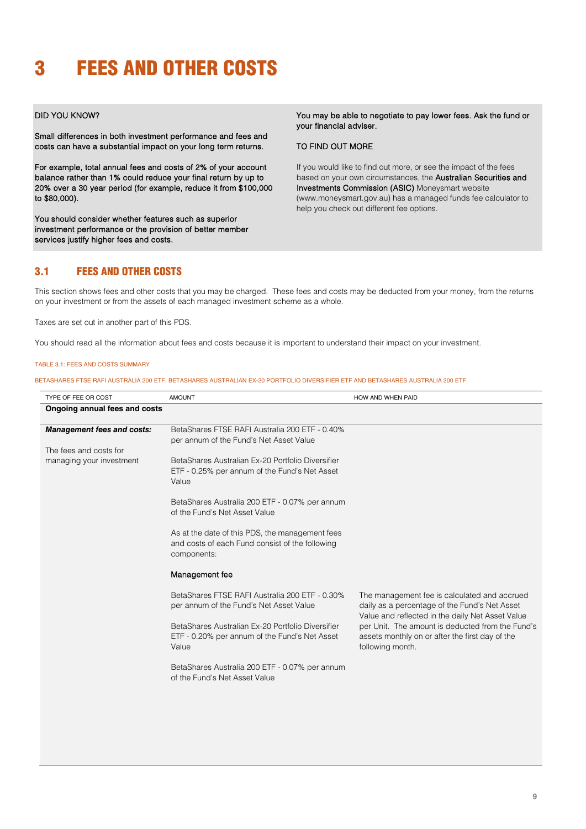# <span id="page-9-1"></span><span id="page-9-0"></span>3 FEES AND OTHER COSTS

### DID YOU KNOW?

Small differences in both investment performance and fees and costs can have a substantial impact on your long term returns.

For example, total annual fees and costs of 2% of your account balance rather than 1% could reduce your final return by up to 20% over a 30 year period (for example, reduce it from \$100,000 to \$80,000).

You should consider whether features such as superior investment performance or the provision of better member services justify higher fees and costs.

You may be able to negotiate to pay lower fees. Ask the fund or your financial adviser.

#### TO FIND OUT MORE

If you would like to find out more, or see the impact of the fees based on your own circumstances, the Australian Securities and Investments Commission (ASIC) Moneysmart website (www.moneysmart.gov.au) has a managed funds fee calculator to help you check out different fee options.

## 3.1 FEES AND OTHER COSTS

This section shows fees and other costs that you may be charged. These fees and costs may be deducted from your money, from the returns on your investment or from the assets of each managed investment scheme as a whole.

Taxes are set out in another part of this PDS.

You should read all the information about fees and costs because it is important to understand their impact on your investment.

#### TABLE 3.1: FEES AND COSTS SUMMARY

BETASHARES FTSE RAFI AUSTRALIA 200 ETF, BETASHARES AUSTRALIAN EX-20 PORTFOLIO DIVERSIFIER ETF AND BETASHARES AUSTRALIA 200 ETF

| TYPE OF FEE OR COST                                | <b>AMOUNT</b>                                                                                                     | HOW AND WHEN PAID                                                                                                                                 |
|----------------------------------------------------|-------------------------------------------------------------------------------------------------------------------|---------------------------------------------------------------------------------------------------------------------------------------------------|
| Ongoing annual fees and costs                      |                                                                                                                   |                                                                                                                                                   |
| <b>Management fees and costs:</b>                  | BetaShares FTSE RAFI Australia 200 ETF - 0.40%<br>per annum of the Fund's Net Asset Value                         |                                                                                                                                                   |
| The fees and costs for<br>managing your investment | BetaShares Australian Ex-20 Portfolio Diversifier<br>ETF - 0.25% per annum of the Fund's Net Asset<br>Value       |                                                                                                                                                   |
|                                                    | BetaShares Australia 200 ETF - 0.07% per annum<br>of the Fund's Net Asset Value                                   |                                                                                                                                                   |
|                                                    | As at the date of this PDS, the management fees<br>and costs of each Fund consist of the following<br>components: |                                                                                                                                                   |
|                                                    | Management fee                                                                                                    |                                                                                                                                                   |
|                                                    | BetaShares FTSE RAFI Australia 200 ETF - 0.30%<br>per annum of the Fund's Net Asset Value                         | The management fee is calculated and accrued<br>daily as a percentage of the Fund's Net Asset<br>Value and reflected in the daily Net Asset Value |
|                                                    | BetaShares Australian Ex-20 Portfolio Diversifier<br>ETF - 0.20% per annum of the Fund's Net Asset<br>Value       | per Unit. The amount is deducted from the Fund's<br>assets monthly on or after the first day of the<br>following month.                           |
|                                                    | BetaShares Australia 200 ETF - 0.07% per annum<br>of the Fund's Net Asset Value                                   |                                                                                                                                                   |
|                                                    |                                                                                                                   |                                                                                                                                                   |
|                                                    |                                                                                                                   |                                                                                                                                                   |
|                                                    |                                                                                                                   |                                                                                                                                                   |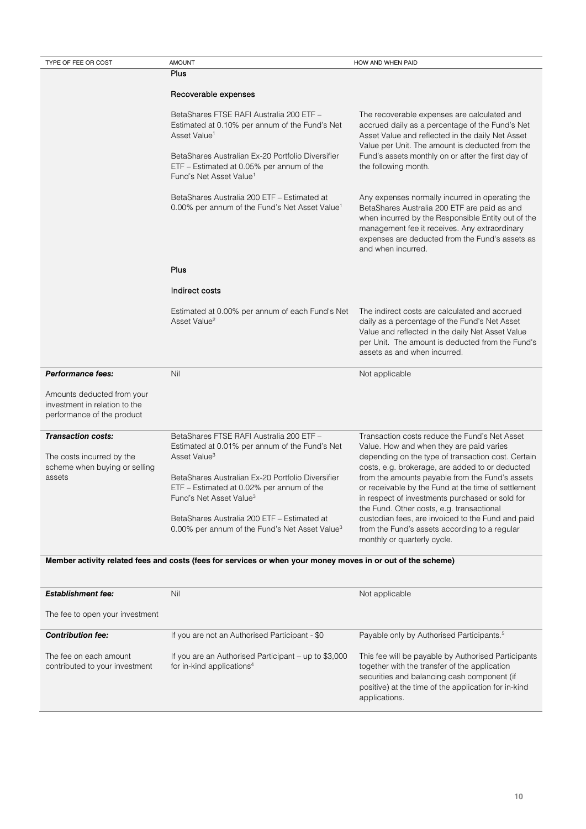| TYPE OF FEE OR COST                                                                       | <b>AMOUNT</b><br>HOW AND WHEN PAID                                                                                                    |                                                                                                                                                                                                                                                                                 |  |
|-------------------------------------------------------------------------------------------|---------------------------------------------------------------------------------------------------------------------------------------|---------------------------------------------------------------------------------------------------------------------------------------------------------------------------------------------------------------------------------------------------------------------------------|--|
|                                                                                           | Plus                                                                                                                                  |                                                                                                                                                                                                                                                                                 |  |
|                                                                                           | Recoverable expenses                                                                                                                  |                                                                                                                                                                                                                                                                                 |  |
|                                                                                           | BetaShares FTSE RAFI Australia 200 ETF -<br>Estimated at 0.10% per annum of the Fund's Net<br>Asset Value <sup>1</sup>                | The recoverable expenses are calculated and<br>accrued daily as a percentage of the Fund's Net<br>Asset Value and reflected in the daily Net Asset<br>Value per Unit. The amount is deducted from the                                                                           |  |
|                                                                                           | BetaShares Australian Ex-20 Portfolio Diversifier<br>ETF - Estimated at 0.05% per annum of the<br>Fund's Net Asset Value <sup>1</sup> | Fund's assets monthly on or after the first day of<br>the following month.                                                                                                                                                                                                      |  |
|                                                                                           | BetaShares Australia 200 ETF - Estimated at<br>0.00% per annum of the Fund's Net Asset Value <sup>1</sup>                             | Any expenses normally incurred in operating the<br>BetaShares Australia 200 ETF are paid as and<br>when incurred by the Responsible Entity out of the<br>management fee it receives. Any extraordinary<br>expenses are deducted from the Fund's assets as<br>and when incurred. |  |
|                                                                                           | Plus                                                                                                                                  |                                                                                                                                                                                                                                                                                 |  |
|                                                                                           | Indirect costs                                                                                                                        |                                                                                                                                                                                                                                                                                 |  |
|                                                                                           | Estimated at 0.00% per annum of each Fund's Net<br>Asset Value <sup>2</sup>                                                           | The indirect costs are calculated and accrued<br>daily as a percentage of the Fund's Net Asset<br>Value and reflected in the daily Net Asset Value<br>per Unit. The amount is deducted from the Fund's<br>assets as and when incurred.                                          |  |
| <b>Performance fees:</b>                                                                  | Nil                                                                                                                                   | Not applicable                                                                                                                                                                                                                                                                  |  |
| Amounts deducted from your<br>investment in relation to the<br>performance of the product |                                                                                                                                       |                                                                                                                                                                                                                                                                                 |  |
| <b>Transaction costs:</b>                                                                 | BetaShares FTSE RAFI Australia 200 ETF -                                                                                              | Transaction costs reduce the Fund's Net Asset                                                                                                                                                                                                                                   |  |
| The costs incurred by the<br>scheme when buying or selling                                | Estimated at 0.01% per annum of the Fund's Net<br>Asset Value <sup>3</sup>                                                            | Value. How and when they are paid varies<br>depending on the type of transaction cost. Certain<br>costs, e.g. brokerage, are added to or deducted                                                                                                                               |  |
| assets                                                                                    | BetaShares Australian Ex-20 Portfolio Diversifier<br>ETF – Estimated at 0.02% per annum of the<br>Fund's Net Asset Value <sup>3</sup> | from the amounts payable from the Fund's assets<br>or receivable by the Fund at the time of settlement<br>in respect of investments purchased or sold for<br>the Fund. Other costs, e.g. transactional                                                                          |  |
|                                                                                           | BetaShares Australia 200 ETF - Estimated at<br>0.00% per annum of the Fund's Net Asset Value <sup>3</sup>                             | custodian fees, are invoiced to the Fund and paid<br>from the Fund's assets according to a regular<br>monthly or quarterly cycle.                                                                                                                                               |  |
|                                                                                           | Member activity related fees and costs (fees for services or when your money moves in or out of the scheme)                           |                                                                                                                                                                                                                                                                                 |  |
| <b>Establishment fee:</b>                                                                 | Nil                                                                                                                                   | Not applicable                                                                                                                                                                                                                                                                  |  |
| The fee to open your investment                                                           |                                                                                                                                       |                                                                                                                                                                                                                                                                                 |  |
| <b>Contribution fee:</b>                                                                  | If you are not an Authorised Participant - \$0                                                                                        | Payable only by Authorised Participants. <sup>5</sup>                                                                                                                                                                                                                           |  |
| The fee on each amount<br>contributed to your investment                                  | If you are an Authorised Participant - up to \$3,000<br>for in-kind applications <sup>4</sup>                                         | This fee will be payable by Authorised Participants<br>together with the transfer of the application<br>securities and balancing cash component (if<br>positive) at the time of the application for in-kind<br>applications.                                                    |  |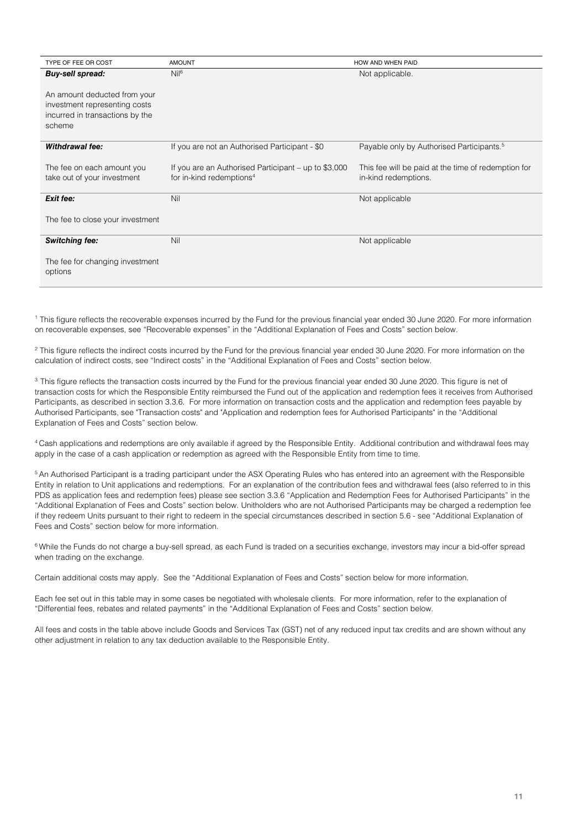| TYPE OF FEE OR COST                                                                                        | <b>AMOUNT</b>                                                                                  | <b>HOW AND WHEN PAID</b>                                                    |
|------------------------------------------------------------------------------------------------------------|------------------------------------------------------------------------------------------------|-----------------------------------------------------------------------------|
| <b>Buy-sell spread:</b>                                                                                    | Nil <sup>6</sup>                                                                               | Not applicable.                                                             |
| An amount deducted from your<br>investment representing costs<br>incurred in transactions by the<br>scheme |                                                                                                |                                                                             |
| Withdrawal fee:                                                                                            | If you are not an Authorised Participant - \$0                                                 | Payable only by Authorised Participants. <sup>5</sup>                       |
| The fee on each amount you<br>take out of your investment                                                  | If you are an Authorised Participant $-$ up to \$3,000<br>for in-kind redemptions <sup>4</sup> | This fee will be paid at the time of redemption for<br>in-kind redemptions. |
| Exit fee:                                                                                                  | Nil                                                                                            | Not applicable                                                              |
| The fee to close your investment                                                                           |                                                                                                |                                                                             |
| <b>Switching fee:</b>                                                                                      | Nil                                                                                            | Not applicable                                                              |
| The fee for changing investment<br>options                                                                 |                                                                                                |                                                                             |

<sup>1</sup> This figure reflects the recoverable expenses incurred by the Fund for the previous financial year ended 30 June 2020. For more information on recoverable expenses, see "Recoverable expenses" in the "Additional Explanation of Fees and Costs" section below.

<sup>2</sup> This figure reflects the indirect costs incurred by the Fund for the previous financial year ended 30 June 2020. For more information on the calculation of indirect costs, see "Indirect costs" in the "Additional Explanation of Fees and Costs" section below.

<sup>3</sup>. This figure reflects the transaction costs incurred by the Fund for the previous financial year ended 30 June 2020. This figure is net of transaction costs for which the Responsible Entity reimbursed the Fund out of the application and redemption fees it receives from Authorised Participants, as described in section 3.3.6. For more information on transaction costs and the application and redemption fees payable by Authorised Participants, see "Transaction costs" and "Application and redemption fees for Authorised Participants" in the "Additional Explanation of Fees and Costs" section below.

4 Cash applications and redemptions are only available if agreed by the Responsible Entity. Additional contribution and withdrawal fees may apply in the case of a cash application or redemption as agreed with the Responsible Entity from time to time.

5 An Authorised Participant is a trading participant under the ASX Operating Rules who has entered into an agreement with the Responsible Entity in relation to Unit applications and redemptions. For an explanation of the contribution fees and withdrawal fees (also referred to in this PDS as application fees and redemption fees) please see section 3.3.6 "Application and Redemption Fees for Authorised Participants" in the "Additional Explanation of Fees and Costs" section below. Unitholders who are not Authorised Participants may be charged a redemption fee if they redeem Units pursuant to their right to redeem in the special circumstances described in section 5.6 - see "Additional Explanation of Fees and Costs" section below for more information.

<sup>6</sup> While the Funds do not charge a buy-sell spread, as each Fund is traded on a securities exchange, investors may incur a bid-offer spread when trading on the exchange.

Certain additional costs may apply. See the "Additional Explanation of Fees and Costs" section below for more information.

Each fee set out in this table may in some cases be negotiated with wholesale clients. For more information, refer to the explanation of "Differential fees, rebates and related payments" in the "Additional Explanation of Fees and Costs" section below.

All fees and costs in the table above include Goods and Services Tax (GST) net of any reduced input tax credits and are shown without any other adjustment in relation to any tax deduction available to the Responsible Entity.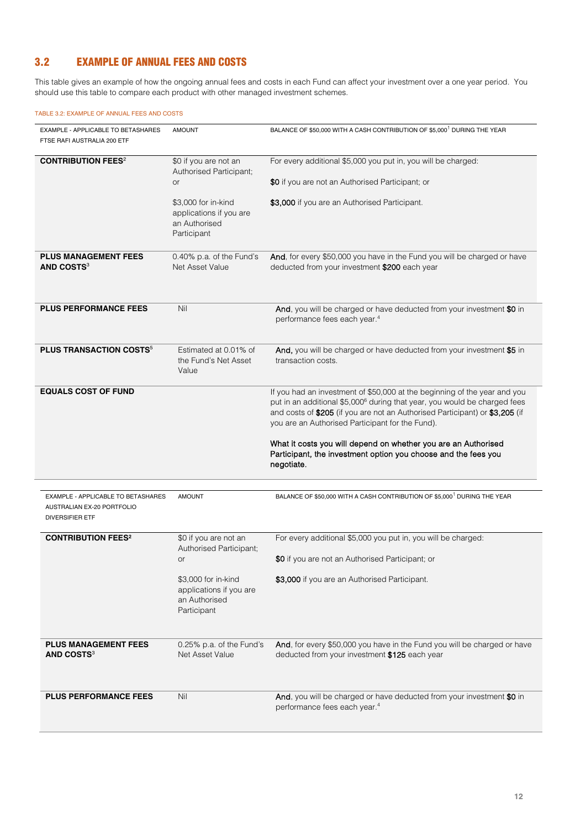## 3.2 EXAMPLE OF ANNUAL FEES AND COSTS

This table gives an example of how the ongoing annual fees and costs in each Fund can affect your investment over a one year period. You should use this table to compare each product with other managed investment schemes.

#### TABLE 3.2: EXAMPLE OF ANNUAL FEES AND COSTS

| EXAMPLE - APPLICABLE TO BETASHARES                                                         | <b>AMOUNT</b>                                                                  | BALANCE OF \$50,000 WITH A CASH CONTRIBUTION OF \$5,000 DURING THE YEAR                                                                                                                                                                                                                                                                                                                                                                                  |
|--------------------------------------------------------------------------------------------|--------------------------------------------------------------------------------|----------------------------------------------------------------------------------------------------------------------------------------------------------------------------------------------------------------------------------------------------------------------------------------------------------------------------------------------------------------------------------------------------------------------------------------------------------|
| FTSE RAFI AUSTRALIA 200 ETF                                                                |                                                                                |                                                                                                                                                                                                                                                                                                                                                                                                                                                          |
| <b>CONTRIBUTION FEES<sup>2</sup></b>                                                       | \$0 if you are not an<br>Authorised Participant;                               | For every additional \$5,000 you put in, you will be charged:                                                                                                                                                                                                                                                                                                                                                                                            |
|                                                                                            | or                                                                             | \$0 if you are not an Authorised Participant; or                                                                                                                                                                                                                                                                                                                                                                                                         |
|                                                                                            | \$3,000 for in-kind<br>applications if you are<br>an Authorised<br>Participant | \$3,000 if you are an Authorised Participant.                                                                                                                                                                                                                                                                                                                                                                                                            |
| <b>PLUS MANAGEMENT FEES</b><br>AND COSTS $^3$                                              | 0.40% p.a. of the Fund's<br>Net Asset Value                                    | And, for every \$50,000 you have in the Fund you will be charged or have<br>deducted from your investment \$200 each year                                                                                                                                                                                                                                                                                                                                |
| <b>PLUS PERFORMANCE FEES</b>                                                               | Nil                                                                            | And, you will be charged or have deducted from your investment \$0 in<br>performance fees each year. <sup>4</sup>                                                                                                                                                                                                                                                                                                                                        |
| <b>PLUS TRANSACTION COSTS<sup>5</sup></b>                                                  | Estimated at 0.01% of<br>the Fund's Net Asset<br>Value                         | And, you will be charged or have deducted from your investment \$5 in<br>transaction costs.                                                                                                                                                                                                                                                                                                                                                              |
| <b>EQUALS COST OF FUND</b>                                                                 |                                                                                | If you had an investment of \$50,000 at the beginning of the year and you<br>put in an additional \$5,000 <sup>6</sup> during that year, you would be charged fees<br>and costs of \$205 (if you are not an Authorised Participant) or \$3,205 (if<br>you are an Authorised Participant for the Fund).<br>What it costs you will depend on whether you are an Authorised<br>Participant, the investment option you choose and the fees you<br>negotiate. |
| EXAMPLE - APPLICABLE TO BETASHARES<br>AUSTRALIAN EX-20 PORTFOLIO<br><b>DIVERSIFIER ETF</b> | <b>AMOUNT</b>                                                                  | BALANCE OF \$50,000 WITH A CASH CONTRIBUTION OF \$5,000 <sup>1</sup> DURING THE YEAR                                                                                                                                                                                                                                                                                                                                                                     |
| <b>CONTRIBUTION FEES<sup>2</sup></b>                                                       | \$0 if you are not an                                                          | For every additional \$5,000 you put in, you will be charged:                                                                                                                                                                                                                                                                                                                                                                                            |
|                                                                                            | Authorised Participant;<br>or                                                  | \$0 if you are not an Authorised Participant; or                                                                                                                                                                                                                                                                                                                                                                                                         |
|                                                                                            | \$3,000 for in-kind<br>applications if you are<br>an Authorised<br>Participant | \$3,000 if you are an Authorised Participant.                                                                                                                                                                                                                                                                                                                                                                                                            |
| <b>PLUS MANAGEMENT FEES</b>                                                                | 0.25% p.a. of the Fund's                                                       | And, for every \$50,000 you have in the Fund you will be charged or have                                                                                                                                                                                                                                                                                                                                                                                 |
| <b>AND COSTS<sup>3</sup></b>                                                               | Net Asset Value                                                                | deducted from your investment \$125 each year                                                                                                                                                                                                                                                                                                                                                                                                            |
| <b>PLUS PERFORMANCE FEES</b>                                                               | Nil                                                                            | And, you will be charged or have deducted from your investment \$0 in<br>performance fees each year. <sup>4</sup>                                                                                                                                                                                                                                                                                                                                        |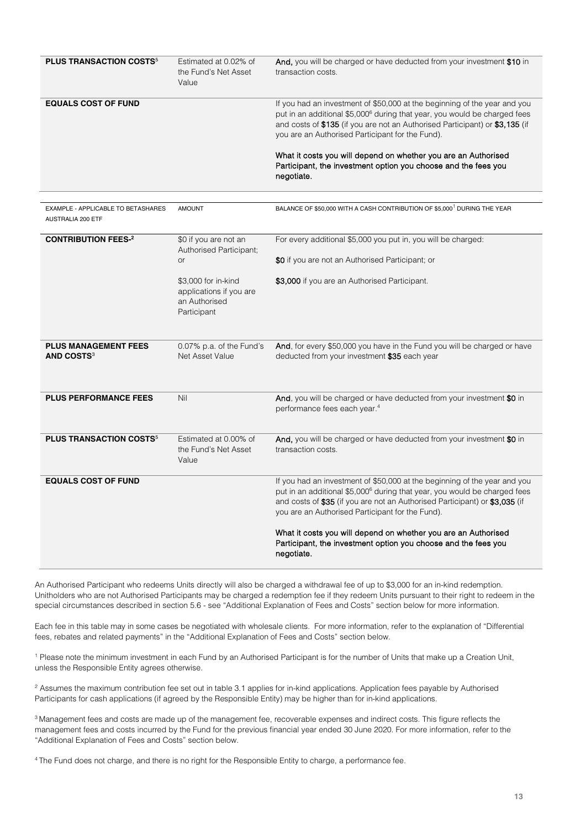| <b>PLUS TRANSACTION COSTS<sup>5</sup></b>               | Estimated at 0.02% of<br>the Fund's Net Asset<br>Value                         | And, you will be charged or have deducted from your investment \$10 in<br>transaction costs.                                                                                                                                                                                                           |
|---------------------------------------------------------|--------------------------------------------------------------------------------|--------------------------------------------------------------------------------------------------------------------------------------------------------------------------------------------------------------------------------------------------------------------------------------------------------|
| <b>EQUALS COST OF FUND</b>                              |                                                                                | If you had an investment of \$50,000 at the beginning of the year and you<br>put in an additional \$5,000 <sup>6</sup> during that year, you would be charged fees<br>and costs of \$135 (if you are not an Authorised Participant) or \$3,135 (if<br>you are an Authorised Participant for the Fund). |
|                                                         |                                                                                | What it costs you will depend on whether you are an Authorised<br>Participant, the investment option you choose and the fees you<br>negotiate.                                                                                                                                                         |
| EXAMPLE - APPLICABLE TO BETASHARES<br>AUSTRALIA 200 ETF | <b>AMOUNT</b>                                                                  | BALANCE OF \$50,000 WITH A CASH CONTRIBUTION OF \$5,000 <sup>1</sup> DURING THE YEAR                                                                                                                                                                                                                   |
| <b>CONTRIBUTION FEES-2</b>                              | \$0 if you are not an<br>Authorised Participant;                               | For every additional \$5,000 you put in, you will be charged:                                                                                                                                                                                                                                          |
|                                                         | <b>or</b>                                                                      | \$0 if you are not an Authorised Participant; or                                                                                                                                                                                                                                                       |
|                                                         | \$3,000 for in-kind<br>applications if you are<br>an Authorised<br>Participant | \$3,000 if you are an Authorised Participant.                                                                                                                                                                                                                                                          |
| <b>PLUS MANAGEMENT FEES</b><br>AND COSTS $^3$           | 0.07% p.a. of the Fund's<br>Net Asset Value                                    | And, for every \$50,000 you have in the Fund you will be charged or have<br>deducted from your investment \$35 each year                                                                                                                                                                               |
| <b>PLUS PERFORMANCE FEES</b>                            | Nil                                                                            | And, you will be charged or have deducted from your investment \$0 in<br>performance fees each year. <sup>4</sup>                                                                                                                                                                                      |
| <b>PLUS TRANSACTION COSTS<sup>5</sup></b>               | Estimated at 0.00% of<br>the Fund's Net Asset<br>Value                         | And, you will be charged or have deducted from your investment \$0 in<br>transaction costs.                                                                                                                                                                                                            |
| <b>EQUALS COST OF FUND</b>                              |                                                                                | If you had an investment of \$50,000 at the beginning of the year and you<br>put in an additional \$5,000 <sup>6</sup> during that year, you would be charged fees<br>and costs of \$35 (if you are not an Authorised Participant) or \$3,035 (if<br>you are an Authorised Participant for the Fund).  |
|                                                         |                                                                                | What it costs you will depend on whether you are an Authorised<br>Participant, the investment option you choose and the fees you<br>negotiate.                                                                                                                                                         |

An Authorised Participant who redeems Units directly will also be charged a withdrawal fee of up to \$3,000 for an in-kind redemption. Unitholders who are not Authorised Participants may be charged a redemption fee if they redeem Units pursuant to their right to redeem in the special circumstances described in section 5.6 - see "Additional Explanation of Fees and Costs" section below for more information.

Each fee in this table may in some cases be negotiated with wholesale clients. For more information, refer to the explanation of "Differential fees, rebates and related payments" in the "Additional Explanation of Fees and Costs" section below.

<sup>1</sup> Please note the minimum investment in each Fund by an Authorised Participant is for the number of Units that make up a Creation Unit, unless the Responsible Entity agrees otherwise.

<sup>2</sup> Assumes the maximum contribution fee set out in table 3.1 applies for in-kind applications. Application fees payable by Authorised Participants for cash applications (if agreed by the Responsible Entity) may be higher than for in-kind applications.

<sup>3</sup> Management fees and costs are made up of the management fee, recoverable expenses and indirect costs. This figure reflects the management fees and costs incurred by the Fund for the previous financial year ended 30 June 2020. For more information, refer to the "Additional Explanation of Fees and Costs" section below.

4 The Fund does not charge, and there is no right for the Responsible Entity to charge, a performance fee.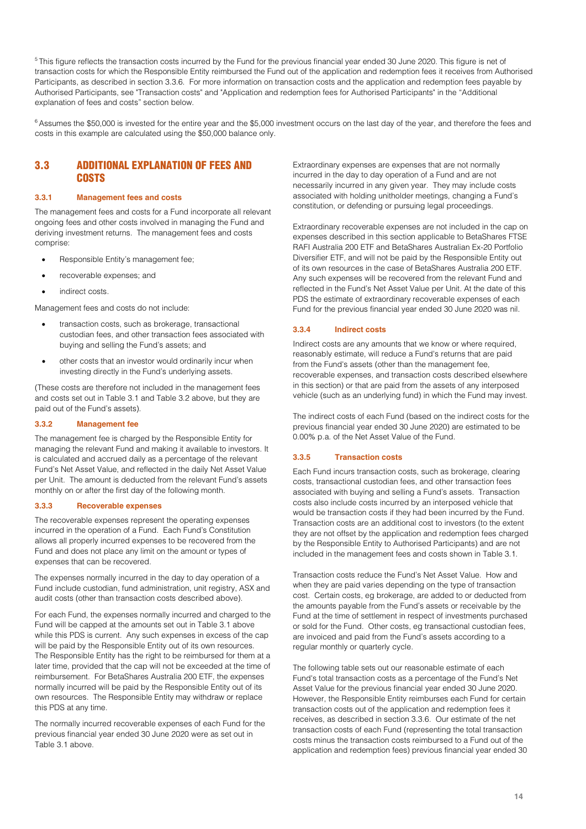<sup>5</sup>This figure reflects the transaction costs incurred by the Fund for the previous financial year ended 30 June 2020. This figure is net of transaction costs for which the Responsible Entity reimbursed the Fund out of the application and redemption fees it receives from Authorised Participants, as described in section 3.3.6. For more information on transaction costs and the application and redemption fees payable by Authorised Participants, see "Transaction costs" and "Application and redemption fees for Authorised Participants" in the "Additional explanation of fees and costs" section below.

<sup>6</sup> Assumes the \$50,000 is invested for the entire year and the \$5,000 investment occurs on the last day of the year, and therefore the fees and costs in this example are calculated using the \$50,000 balance only.

## 3.3 ADDITIONAL EXPLANATION OF FEES AND **COSTS**

#### **3.3.1 Management fees and costs**

The management fees and costs for a Fund incorporate all relevant ongoing fees and other costs involved in managing the Fund and deriving investment returns. The management fees and costs comprise:

- Responsible Entity's management fee;
- recoverable expenses; and
- indirect costs.
- Management fees and costs do not include:
	- transaction costs, such as brokerage, transactional custodian fees, and other transaction fees associated with buying and selling the Fund's assets; and
	- other costs that an investor would ordinarily incur when investing directly in the Fund's underlying assets.

(These costs are therefore not included in the management fees and costs set out in Table 3.1 and Table 3.2 above, but they are paid out of the Fund's assets).

#### **3.3.2 Management fee**

The management fee is charged by the Responsible Entity for managing the relevant Fund and making it available to investors. It is calculated and accrued daily as a percentage of the relevant Fund's Net Asset Value, and reflected in the daily Net Asset Value per Unit. The amount is deducted from the relevant Fund's assets monthly on or after the first day of the following month.

#### **3.3.3 Recoverable expenses**

The recoverable expenses represent the operating expenses incurred in the operation of a Fund. Each Fund's Constitution allows all properly incurred expenses to be recovered from the Fund and does not place any limit on the amount or types of expenses that can be recovered.

The expenses normally incurred in the day to day operation of a Fund include custodian, fund administration, unit registry, ASX and audit costs (other than transaction costs described above).

For each Fund, the expenses normally incurred and charged to the Fund will be capped at the amounts set out in Table 3.1 above while this PDS is current. Any such expenses in excess of the cap will be paid by the Responsible Entity out of its own resources. The Responsible Entity has the right to be reimbursed for them at a later time, provided that the cap will not be exceeded at the time of reimbursement. For BetaShares Australia 200 ETF, the expenses normally incurred will be paid by the Responsible Entity out of its own resources. The Responsible Entity may withdraw or replace this PDS at any time.

The normally incurred recoverable expenses of each Fund for the previous financial year ended 30 June 2020 were as set out in Table 3.1 above.

Extraordinary expenses are expenses that are not normally incurred in the day to day operation of a Fund and are not necessarily incurred in any given year. They may include costs associated with holding unitholder meetings, changing a Fund's constitution, or defending or pursuing legal proceedings.

Extraordinary recoverable expenses are not included in the cap on expenses described in this section applicable to BetaShares FTSE RAFI Australia 200 ETF and BetaShares Australian Ex-20 Portfolio Diversifier ETF, and will not be paid by the Responsible Entity out of its own resources in the case of BetaShares Australia 200 ETF. Any such expenses will be recovered from the relevant Fund and reflected in the Fund's Net Asset Value per Unit. At the date of this PDS the estimate of extraordinary recoverable expenses of each Fund for the previous financial year ended 30 June 2020 was nil.

#### **3.3.4 Indirect costs**

Indirect costs are any amounts that we know or where required, reasonably estimate, will reduce a Fund's returns that are paid from the Fund's assets (other than the management fee, recoverable expenses, and transaction costs described elsewhere in this section) or that are paid from the assets of any interposed vehicle (such as an underlying fund) in which the Fund may invest.

The indirect costs of each Fund (based on the indirect costs for the previous financial year ended 30 June 2020) are estimated to be 0.00% p.a. of the Net Asset Value of the Fund.

### **3.3.5 Transaction costs**

Each Fund incurs transaction costs, such as brokerage, clearing costs, transactional custodian fees, and other transaction fees associated with buying and selling a Fund's assets. Transaction costs also include costs incurred by an interposed vehicle that would be transaction costs if they had been incurred by the Fund. Transaction costs are an additional cost to investors (to the extent they are not offset by the application and redemption fees charged by the Responsible Entity to Authorised Participants) and are not included in the management fees and costs shown in Table 3.1.

Transaction costs reduce the Fund's Net Asset Value. How and when they are paid varies depending on the type of transaction cost. Certain costs, eg brokerage, are added to or deducted from the amounts payable from the Fund's assets or receivable by the Fund at the time of settlement in respect of investments purchased or sold for the Fund. Other costs, eg transactional custodian fees, are invoiced and paid from the Fund's assets according to a regular monthly or quarterly cycle.

The following table sets out our reasonable estimate of each Fund's total transaction costs as a percentage of the Fund's Net Asset Value for the previous financial year ended 30 June 2020. However, the Responsible Entity reimburses each Fund for certain transaction costs out of the application and redemption fees it receives, as described in section 3.3.6. Our estimate of the net transaction costs of each Fund (representing the total transaction costs minus the transaction costs reimbursed to a Fund out of the application and redemption fees) previous financial year ended 30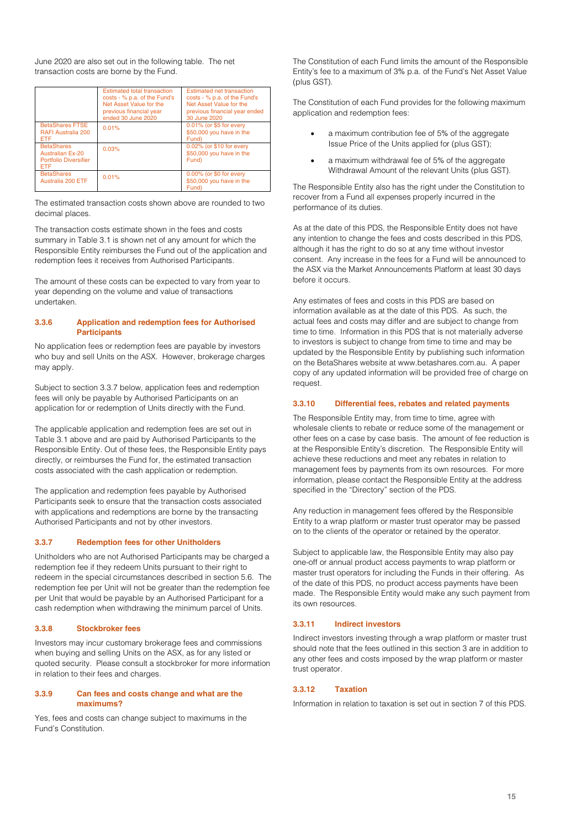June 2020 are also set out in the following table. The net transaction costs are borne by the Fund.

|                                                                                            | <b>Estimated total transaction</b><br>costs - % p.a. of the Fund's<br>Net Asset Value for the<br>previous financial year<br>ended 30 June 2020 | <b>Estimated net transaction</b><br>costs - % p.a. of the Fund's<br>Net Asset Value for the<br>previous financial year ended<br>30 June 2020 |
|--------------------------------------------------------------------------------------------|------------------------------------------------------------------------------------------------------------------------------------------------|----------------------------------------------------------------------------------------------------------------------------------------------|
| <b>BetaShares FTSE</b><br><b>RAFI Australia 200</b><br><b>FTF</b>                          | 0.01%                                                                                                                                          | 0.01% (or \$5 for every<br>\$50,000 you have in the<br>Fund)                                                                                 |
| <b>BetaShares</b><br><b>Australian Ex-20</b><br><b>Portfolio Diversifier</b><br><b>ETF</b> | 0.03%                                                                                                                                          | 0.02% (or \$10 for every<br>\$50,000 you have in the<br>Fund)                                                                                |
| <b>BetaShares</b><br>Australia 200 ETF                                                     | 0.01%                                                                                                                                          | 0.00% (or \$0 for every<br>\$50,000 you have in the<br>Fund)                                                                                 |

The estimated transaction costs shown above are rounded to two decimal places.

The transaction costs estimate shown in the fees and costs summary in Table 3.1 is shown net of any amount for which the Responsible Entity reimburses the Fund out of the application and redemption fees it receives from Authorised Participants.

The amount of these costs can be expected to vary from year to year depending on the volume and value of transactions undertaken.

#### **3.3.6 Application and redemption fees for Authorised Participants**

No application fees or redemption fees are payable by investors who buy and sell Units on the ASX. However, brokerage charges may apply.

Subject to section 3.3.7 below, application fees and redemption fees will only be payable by Authorised Participants on an application for or redemption of Units directly with the Fund.

The applicable application and redemption fees are set out in Table 3.1 above and are paid by Authorised Participants to the Responsible Entity. Out of these fees, the Responsible Entity pays directly, or reimburses the Fund for, the estimated transaction costs associated with the cash application or redemption.

The application and redemption fees payable by Authorised Participants seek to ensure that the transaction costs associated with applications and redemptions are borne by the transacting Authorised Participants and not by other investors.

#### **3.3.7 Redemption fees for other Unitholders**

Unitholders who are not Authorised Participants may be charged a redemption fee if they redeem Units pursuant to their right to redeem in the special circumstances described in section 5.6. The redemption fee per Unit will not be greater than the redemption fee per Unit that would be payable by an Authorised Participant for a cash redemption when withdrawing the minimum parcel of Units.

#### **3.3.8 Stockbroker fees**

Investors may incur customary brokerage fees and commissions when buying and selling Units on the ASX, as for any listed or quoted security. Please consult a stockbroker for more information in relation to their fees and charges.

#### **3.3.9 Can fees and costs change and what are the maximums?**

Yes, fees and costs can change subject to maximums in the Fund's Constitution.

The Constitution of each Fund limits the amount of the Responsible Entity's fee to a maximum of 3% p.a. of the Fund's Net Asset Value (plus GST).

The Constitution of each Fund provides for the following maximum application and redemption fees:

- a maximum contribution fee of 5% of the aggregate Issue Price of the Units applied for (plus GST);
- a maximum withdrawal fee of 5% of the aggregate Withdrawal Amount of the relevant Units (plus GST).

The Responsible Entity also has the right under the Constitution to recover from a Fund all expenses properly incurred in the performance of its duties.

As at the date of this PDS, the Responsible Entity does not have any intention to change the fees and costs described in this PDS, although it has the right to do so at any time without investor consent. Any increase in the fees for a Fund will be announced to the ASX via the Market Announcements Platform at least 30 days before it occurs.

Any estimates of fees and costs in this PDS are based on information available as at the date of this PDS. As such, the actual fees and costs may differ and are subject to change from time to time. Information in this PDS that is not materially adverse to investors is subject to change from time to time and may be updated by the Responsible Entity by publishing such information on the BetaShares website at www.betashares.com.au. A paper copy of any updated information will be provided free of charge on request.

#### **3.3.10 Differential fees, rebates and related payments**

The Responsible Entity may, from time to time, agree with wholesale clients to rebate or reduce some of the management or other fees on a case by case basis. The amount of fee reduction is at the Responsible Entity's discretion. The Responsible Entity will achieve these reductions and meet any rebates in relation to management fees by payments from its own resources. For more information, please contact the Responsible Entity at the address specified in the "Directory" section of the PDS.

Any reduction in management fees offered by the Responsible Entity to a wrap platform or master trust operator may be passed on to the clients of the operator or retained by the operator.

Subject to applicable law, the Responsible Entity may also pay one-off or annual product access payments to wrap platform or master trust operators for including the Funds in their offering. As of the date of this PDS, no product access payments have been made. The Responsible Entity would make any such payment from its own resources.

### **3.3.11 Indirect investors**

Indirect investors investing through a wrap platform or master trust should note that the fees outlined in this section [3](#page-9-1) are in addition to any other fees and costs imposed by the wrap platform or master trust operator.

### **3.3.12 Taxation**

Information in relation to taxation is set out in section 7 of this PDS.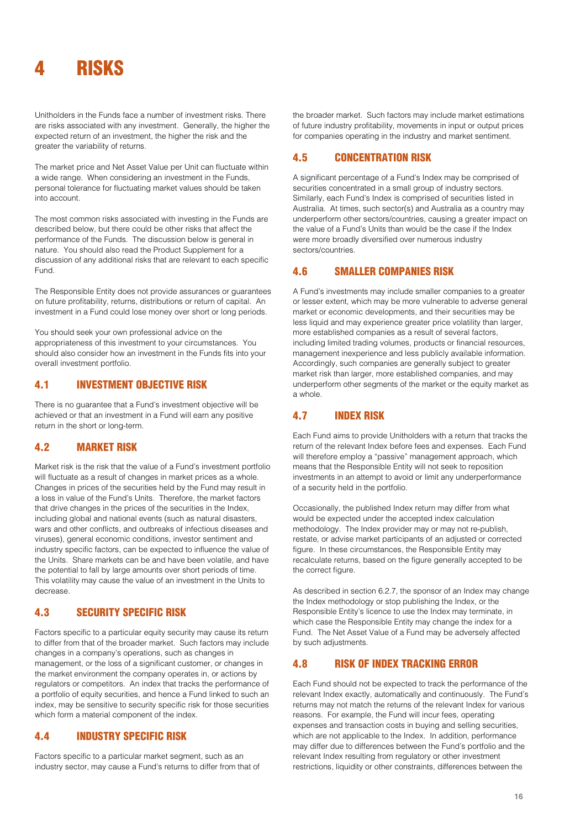<span id="page-16-0"></span>

Unitholders in the Funds face a number of investment risks. There are risks associated with any investment. Generally, the higher the expected return of an investment, the higher the risk and the greater the variability of returns.

The market price and Net Asset Value per Unit can fluctuate within a wide range. When considering an investment in the Funds, personal tolerance for fluctuating market values should be taken into account.

The most common risks associated with investing in the Funds are described below, but there could be other risks that affect the performance of the Funds. The discussion below is general in nature. You should also read the Product Supplement for a discussion of any additional risks that are relevant to each specific Fund.

The Responsible Entity does not provide assurances or guarantees on future profitability, returns, distributions or return of capital. An investment in a Fund could lose money over short or long periods.

You should seek your own professional advice on the appropriateness of this investment to your circumstances. You should also consider how an investment in the Funds fits into your overall investment portfolio.

## 4.1 INVESTMENT OBJECTIVE RISK

There is no guarantee that a Fund's investment objective will be achieved or that an investment in a Fund will earn any positive return in the short or long-term.

## 4.2 MARKET RISK

Market risk is the risk that the value of a Fund's investment portfolio will fluctuate as a result of changes in market prices as a whole. Changes in prices of the securities held by the Fund may result in a loss in value of the Fund's Units. Therefore, the market factors that drive changes in the prices of the securities in the Index, including global and national events (such as natural disasters, wars and other conflicts, and outbreaks of infectious diseases and viruses), general economic conditions, investor sentiment and industry specific factors, can be expected to influence the value of the Units. Share markets can be and have been volatile, and have the potential to fall by large amounts over short periods of time. This volatility may cause the value of an investment in the Units to decrease.

## 4.3 SECURITY SPECIFIC RISK

Factors specific to a particular equity security may cause its return to differ from that of the broader market. Such factors may include changes in a company's operations, such as changes in management, or the loss of a significant customer, or changes in the market environment the company operates in, or actions by regulators or competitors. An index that tracks the performance of a portfolio of equity securities, and hence a Fund linked to such an index, may be sensitive to security specific risk for those securities which form a material component of the index.

## 4.4 INDUSTRY SPECIFIC RISK

Factors specific to a particular market segment, such as an industry sector, may cause a Fund's returns to differ from that of

the broader market. Such factors may include market estimations of future industry profitability, movements in input or output prices for companies operating in the industry and market sentiment.

## 4.5 CONCENTRATION RISK

A significant percentage of a Fund's Index may be comprised of securities concentrated in a small group of industry sectors. Similarly, each Fund's Index is comprised of securities listed in Australia. At times, such sector(s) and Australia as a country may underperform other sectors/countries, causing a greater impact on the value of a Fund's Units than would be the case if the Index were more broadly diversified over numerous industry sectors/countries.

## 4.6 SMALLER COMPANIES RISK

A Fund's investments may include smaller companies to a greater or lesser extent, which may be more vulnerable to adverse general market or economic developments, and their securities may be less liquid and may experience greater price volatility than larger, more established companies as a result of several factors, including limited trading volumes, products or financial resources, management inexperience and less publicly available information. Accordingly, such companies are generally subject to greater market risk than larger, more established companies, and may underperform other segments of the market or the equity market as a whole.

## 4.7 INDEX RISK

Each Fund aims to provide Unitholders with a return that tracks the return of the relevant Index before fees and expenses. Each Fund will therefore employ a "passive" management approach, which means that the Responsible Entity will not seek to reposition investments in an attempt to avoid or limit any underperformance of a security held in the portfolio.

Occasionally, the published Index return may differ from what would be expected under the accepted index calculation methodology. The Index provider may or may not re-publish, restate, or advise market participants of an adjusted or corrected figure. In these circumstances, the Responsible Entity may recalculate returns, based on the figure generally accepted to be the correct figure.

As described in section 6.2.7, the sponsor of an Index may change the Index methodology or stop publishing the Index, or the Responsible Entity's licence to use the Index may terminate, in which case the Responsible Entity may change the index for a Fund. The Net Asset Value of a Fund may be adversely affected by such adjustments.

## 4.8 RISK OF INDEX TRACKING ERROR

Each Fund should not be expected to track the performance of the relevant Index exactly, automatically and continuously. The Fund's returns may not match the returns of the relevant Index for various reasons. For example, the Fund will incur fees, operating expenses and transaction costs in buying and selling securities, which are not applicable to the Index. In addition, performance may differ due to differences between the Fund's portfolio and the relevant Index resulting from regulatory or other investment restrictions, liquidity or other constraints, differences between the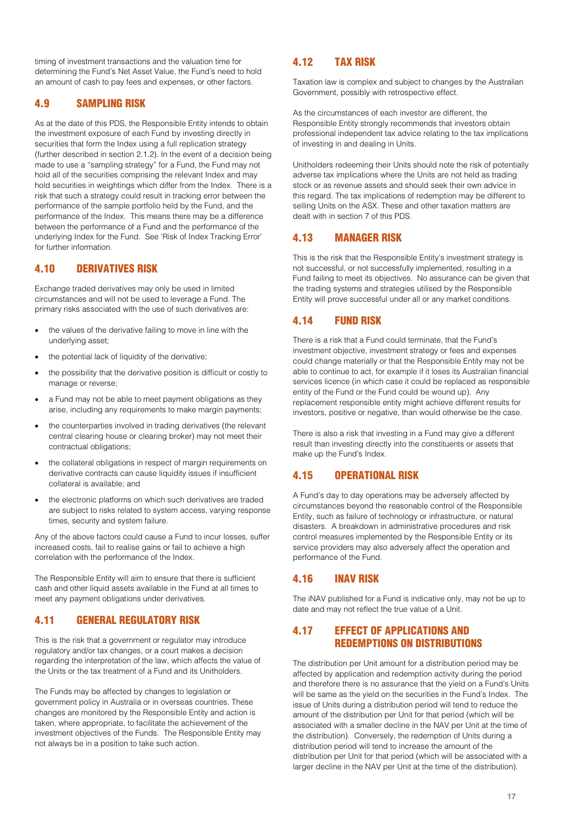timing of investment transactions and the valuation time for determining the Fund's Net Asset Value, the Fund's need to hold an amount of cash to pay fees and expenses, or other factors.

## 4.9 SAMPLING RISK

As at the date of this PDS, the Responsible Entity intends to obtain the investment exposure of each Fund by investing directly in securities that form the Index using a full replication strategy (further described in section 2.1.2). In the event of a decision being made to use a "sampling strategy" for a Fund, the Fund may not hold all of the securities comprising the relevant Index and may hold securities in weightings which differ from the Index. There is a risk that such a strategy could result in tracking error between the performance of the sample portfolio held by the Fund, and the performance of the Index. This means there may be a difference between the performance of a Fund and the performance of the underlying Index for the Fund. See 'Risk of Index Tracking Error' for further information.

## 4.10 DERIVATIVES RISK

Exchange traded derivatives may only be used in limited circumstances and will not be used to leverage a Fund. The primary risks associated with the use of such derivatives are:

- the values of the derivative failing to move in line with the underlying asset;
- the potential lack of liquidity of the derivative;
- the possibility that the derivative position is difficult or costly to manage or reverse;
- a Fund may not be able to meet payment obligations as they arise, including any requirements to make margin payments;
- the counterparties involved in trading derivatives (the relevant central clearing house or clearing broker) may not meet their contractual obligations;
- the collateral obligations in respect of margin requirements on derivative contracts can cause liquidity issues if insufficient collateral is available; and
- the electronic platforms on which such derivatives are traded are subject to risks related to system access, varying response times, security and system failure.

Any of the above factors could cause a Fund to incur losses, suffer increased costs, fail to realise gains or fail to achieve a high correlation with the performance of the Index.

The Responsible Entity will aim to ensure that there is sufficient cash and other liquid assets available in the Fund at all times to meet any payment obligations under derivatives.

## 4.11 GENERAL REGULATORY RISK

This is the risk that a government or regulator may introduce regulatory and/or tax changes, or a court makes a decision regarding the interpretation of the law, which affects the value of the Units or the tax treatment of a Fund and its Unitholders.

The Funds may be affected by changes to legislation or government policy in Australia or in overseas countries. These changes are monitored by the Responsible Entity and action is taken, where appropriate, to facilitate the achievement of the investment objectives of the Funds. The Responsible Entity may not always be in a position to take such action.

## 4.12 TAX RISK

Taxation law is complex and subject to changes by the Australian Government, possibly with retrospective effect.

As the circumstances of each investor are different, the Responsible Entity strongly recommends that investors obtain professional independent tax advice relating to the tax implications of investing in and dealing in Units.

Unitholders redeeming their Units should note the risk of potentially adverse tax implications where the Units are not held as trading stock or as revenue assets and should seek their own advice in this regard. The tax implications of redemption may be different to selling Units on the ASX. These and other taxation matters are dealt with in section 7 of this PDS.

## 4.13 MANAGER RISK

This is the risk that the Responsible Entity's investment strategy is not successful, or not successfully implemented, resulting in a Fund failing to meet its objectives. No assurance can be given that the trading systems and strategies utilised by the Responsible Entity will prove successful under all or any market conditions.

## 4.14 FUND RISK

There is a risk that a Fund could terminate, that the Fund's investment objective, investment strategy or fees and expenses could change materially or that the Responsible Entity may not be able to continue to act, for example if it loses its Australian financial services licence (in which case it could be replaced as responsible entity of the Fund or the Fund could be wound up). Any replacement responsible entity might achieve different results for investors, positive or negative, than would otherwise be the case.

There is also a risk that investing in a Fund may give a different result than investing directly into the constituents or assets that make up the Fund's Index.

## 4.15 OPERATIONAL RISK

A Fund's day to day operations may be adversely affected by circumstances beyond the reasonable control of the Responsible Entity, such as failure of technology or infrastructure, or natural disasters. A breakdown in administrative procedures and risk control measures implemented by the Responsible Entity or its service providers may also adversely affect the operation and performance of the Fund.

## 4.16 INAV RISK

The iNAV published for a Fund is indicative only, may not be up to date and may not reflect the true value of a Unit.

## 4.17 EFFECT OF APPLICATIONS AND REDEMPTIONS ON DISTRIBUTIONS

The distribution per Unit amount for a distribution period may be affected by application and redemption activity during the period and therefore there is no assurance that the yield on a Fund's Units will be same as the yield on the securities in the Fund's Index. The issue of Units during a distribution period will tend to reduce the amount of the distribution per Unit for that period (which will be associated with a smaller decline in the NAV per Unit at the time of the distribution). Conversely, the redemption of Units during a distribution period will tend to increase the amount of the distribution per Unit for that period (which will be associated with a larger decline in the NAV per Unit at the time of the distribution).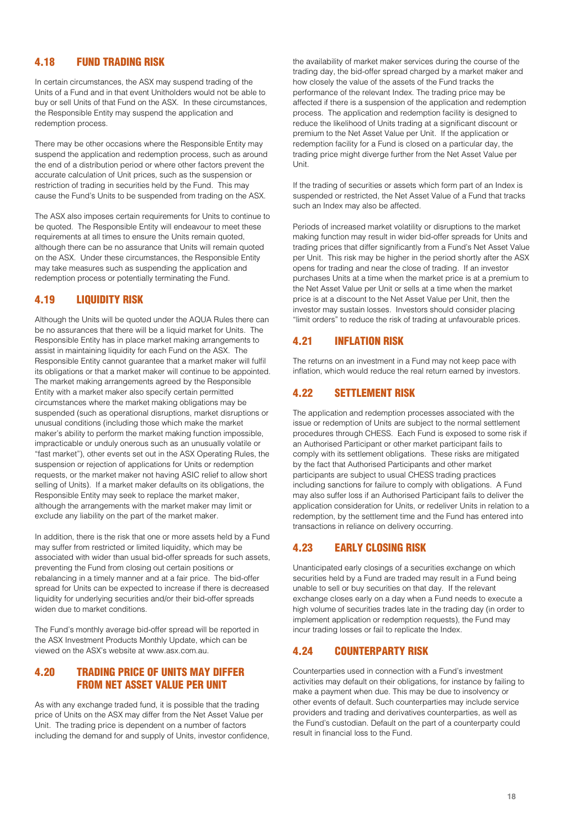## 4.18 FUND TRADING RISK

In certain circumstances, the ASX may suspend trading of the Units of a Fund and in that event Unitholders would not be able to buy or sell Units of that Fund on the ASX. In these circumstances, the Responsible Entity may suspend the application and redemption process.

There may be other occasions where the Responsible Entity may suspend the application and redemption process, such as around the end of a distribution period or where other factors prevent the accurate calculation of Unit prices, such as the suspension or restriction of trading in securities held by the Fund. This may cause the Fund's Units to be suspended from trading on the ASX.

The ASX also imposes certain requirements for Units to continue to be quoted. The Responsible Entity will endeavour to meet these requirements at all times to ensure the Units remain quoted, although there can be no assurance that Units will remain quoted on the ASX. Under these circumstances, the Responsible Entity may take measures such as suspending the application and redemption process or potentially terminating the Fund.

## 4.19 LIQUIDITY RISK

Although the Units will be quoted under the AQUA Rules there can be no assurances that there will be a liquid market for Units. The Responsible Entity has in place market making arrangements to assist in maintaining liquidity for each Fund on the ASX. The Responsible Entity cannot guarantee that a market maker will fulfil its obligations or that a market maker will continue to be appointed. The market making arrangements agreed by the Responsible Entity with a market maker also specify certain permitted circumstances where the market making obligations may be suspended (such as operational disruptions, market disruptions or unusual conditions (including those which make the market maker's ability to perform the market making function impossible, impracticable or unduly onerous such as an unusually volatile or "fast market"), other events set out in the ASX Operating Rules, the suspension or rejection of applications for Units or redemption requests, or the market maker not having ASIC relief to allow short selling of Units). If a market maker defaults on its obligations, the Responsible Entity may seek to replace the market maker, although the arrangements with the market maker may limit or exclude any liability on the part of the market maker.

In addition, there is the risk that one or more assets held by a Fund may suffer from restricted or limited liquidity, which may be associated with wider than usual bid-offer spreads for such assets, preventing the Fund from closing out certain positions or rebalancing in a timely manner and at a fair price. The bid-offer spread for Units can be expected to increase if there is decreased liquidity for underlying securities and/or their bid-offer spreads widen due to market conditions.

The Fund's monthly average bid-offer spread will be reported in the ASX Investment Products Monthly Update, which can be viewed on the ASX's website at www.asx.com.au.

### 4.20 TRADING PRICE OF UNITS MAY DIFFER FROM NET ASSET VALUE PER UNIT

As with any exchange traded fund, it is possible that the trading price of Units on the ASX may differ from the Net Asset Value per Unit. The trading price is dependent on a number of factors including the demand for and supply of Units, investor confidence, the availability of market maker services during the course of the trading day, the bid-offer spread charged by a market maker and how closely the value of the assets of the Fund tracks the performance of the relevant Index. The trading price may be affected if there is a suspension of the application and redemption process. The application and redemption facility is designed to reduce the likelihood of Units trading at a significant discount or premium to the Net Asset Value per Unit. If the application or redemption facility for a Fund is closed on a particular day, the trading price might diverge further from the Net Asset Value per Unit.

If the trading of securities or assets which form part of an Index is suspended or restricted, the Net Asset Value of a Fund that tracks such an Index may also be affected.

Periods of increased market volatility or disruptions to the market making function may result in wider bid-offer spreads for Units and trading prices that differ significantly from a Fund's Net Asset Value per Unit. This risk may be higher in the period shortly after the ASX opens for trading and near the close of trading. If an investor purchases Units at a time when the market price is at a premium to the Net Asset Value per Unit or sells at a time when the market price is at a discount to the Net Asset Value per Unit, then the investor may sustain losses. Investors should consider placing "limit orders" to reduce the risk of trading at unfavourable prices.

## 4.21 INFLATION RISK

The returns on an investment in a Fund may not keep pace with inflation, which would reduce the real return earned by investors.

## 4.22 SETTLEMENT RISK

The application and redemption processes associated with the issue or redemption of Units are subject to the normal settlement procedures through CHESS. Each Fund is exposed to some risk if an Authorised Participant or other market participant fails to comply with its settlement obligations. These risks are mitigated by the fact that Authorised Participants and other market participants are subject to usual CHESS trading practices including sanctions for failure to comply with obligations. A Fund may also suffer loss if an Authorised Participant fails to deliver the application consideration for Units, or redeliver Units in relation to a redemption, by the settlement time and the Fund has entered into transactions in reliance on delivery occurring.

## 4.23 EARLY CLOSING RISK

Unanticipated early closings of a securities exchange on which securities held by a Fund are traded may result in a Fund being unable to sell or buy securities on that day. If the relevant exchange closes early on a day when a Fund needs to execute a high volume of securities trades late in the trading day (in order to implement application or redemption requests), the Fund may incur trading losses or fail to replicate the Index.

### 4.24 COUNTERPARTY RISK

Counterparties used in connection with a Fund's investment activities may default on their obligations, for instance by failing to make a payment when due. This may be due to insolvency or other events of default. Such counterparties may include service providers and trading and derivatives counterparties, as well as the Fund's custodian. Default on the part of a counterparty could result in financial loss to the Fund.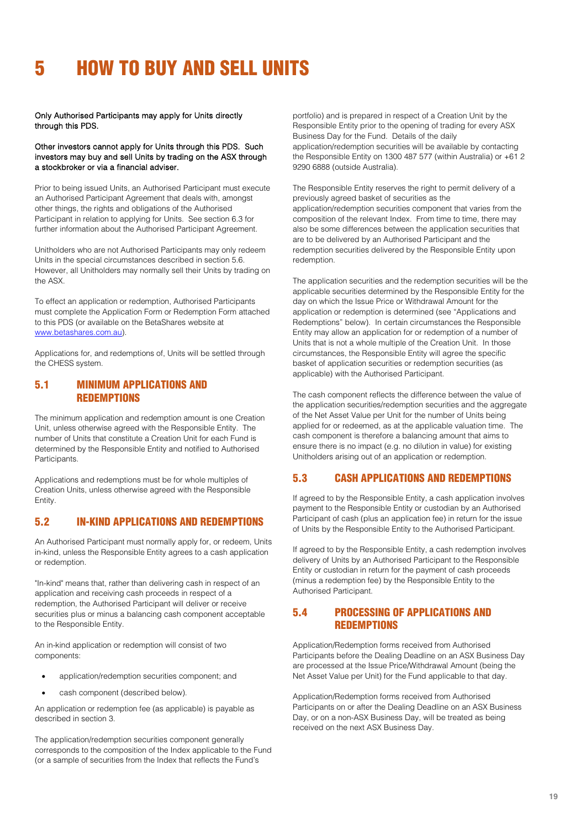## <span id="page-19-0"></span>5 HOW TO BUY AND SELL UNITS

Only Authorised Participants may apply for Units directly through this PDS.

#### Other investors cannot apply for Units through this PDS. Such investors may buy and sell Units by trading on the ASX through a stockbroker or via a financial adviser.

Prior to being issued Units, an Authorised Participant must execute an Authorised Participant Agreement that deals with, amongst other things, the rights and obligations of the Authorised Participant in relation to applying for Units. See sectio[n 6.3](#page-28-0) for further information about the Authorised Participant Agreement.

Unitholders who are not Authorised Participants may only redeem Units in the special circumstances described in section 5.6. However, all Unitholders may normally sell their Units by trading on the ASX.

To effect an application or redemption, Authorised Participants must complete the Application Form or Redemption Form attached to this PDS (or available on the BetaShares website at [www.betashares.com.au\)](http://www.betashares.com.au/).

Applications for, and redemptions of, Units will be settled through the CHESS system.

## 5.1 MINIMUM APPLICATIONS AND **REDEMPTIONS**

The minimum application and redemption amount is one Creation Unit, unless otherwise agreed with the Responsible Entity. The number of Units that constitute a Creation Unit for each Fund is determined by the Responsible Entity and notified to Authorised Participants.

Applications and redemptions must be for whole multiples of Creation Units, unless otherwise agreed with the Responsible Entity.

## 5.2 IN-KIND APPLICATIONS AND REDEMPTIONS

An Authorised Participant must normally apply for, or redeem, Units in-kind, unless the Responsible Entity agrees to a cash application or redemption.

"In-kind" means that, rather than delivering cash in respect of an application and receiving cash proceeds in respect of a redemption, the Authorised Participant will deliver or receive securities plus or minus a balancing cash component acceptable to the Responsible Entity.

An in-kind application or redemption will consist of two components:

- application/redemption securities component; and
- cash component (described below).

An application or redemption fee (as applicable) is payable as described in section 3.

The application/redemption securities component generally corresponds to the composition of the Index applicable to the Fund (or a sample of securities from the Index that reflects the Fund's

portfolio) and is prepared in respect of a Creation Unit by the Responsible Entity prior to the opening of trading for every ASX Business Day for the Fund. Details of the daily application/redemption securities will be available by contacting the Responsible Entity on 1300 487 577 (within Australia) or +61 2 9290 6888 (outside Australia).

The Responsible Entity reserves the right to permit delivery of a previously agreed basket of securities as the application/redemption securities component that varies from the composition of the relevant Index. From time to time, there may also be some differences between the application securities that are to be delivered by an Authorised Participant and the redemption securities delivered by the Responsible Entity upon redemption.

The application securities and the redemption securities will be the applicable securities determined by the Responsible Entity for the day on which the Issue Price or Withdrawal Amount for the application or redemption is determined (see "Applications and Redemptions" below). In certain circumstances the Responsible Entity may allow an application for or redemption of a number of Units that is not a whole multiple of the Creation Unit. In those circumstances, the Responsible Entity will agree the specific basket of application securities or redemption securities (as applicable) with the Authorised Participant.

The cash component reflects the difference between the value of the application securities/redemption securities and the aggregate of the Net Asset Value per Unit for the number of Units being applied for or redeemed, as at the applicable valuation time. The cash component is therefore a balancing amount that aims to ensure there is no impact (e.g. no dilution in value) for existing Unitholders arising out of an application or redemption.

## 5.3 CASH APPLICATIONS AND REDEMPTIONS

If agreed to by the Responsible Entity, a cash application involves payment to the Responsible Entity or custodian by an Authorised Participant of cash (plus an application fee) in return for the issue of Units by the Responsible Entity to the Authorised Participant.

If agreed to by the Responsible Entity, a cash redemption involves delivery of Units by an Authorised Participant to the Responsible Entity or custodian in return for the payment of cash proceeds (minus a redemption fee) by the Responsible Entity to the Authorised Participant.

## 5.4 PROCESSING OF APPLICATIONS AND **REDEMPTIONS**

Application/Redemption forms received from Authorised Participants before the Dealing Deadline on an ASX Business Day are processed at the Issue Price/Withdrawal Amount (being the Net Asset Value per Unit) for the Fund applicable to that day.

Application/Redemption forms received from Authorised Participants on or after the Dealing Deadline on an ASX Business Day, or on a non-ASX Business Day, will be treated as being received on the next ASX Business Day.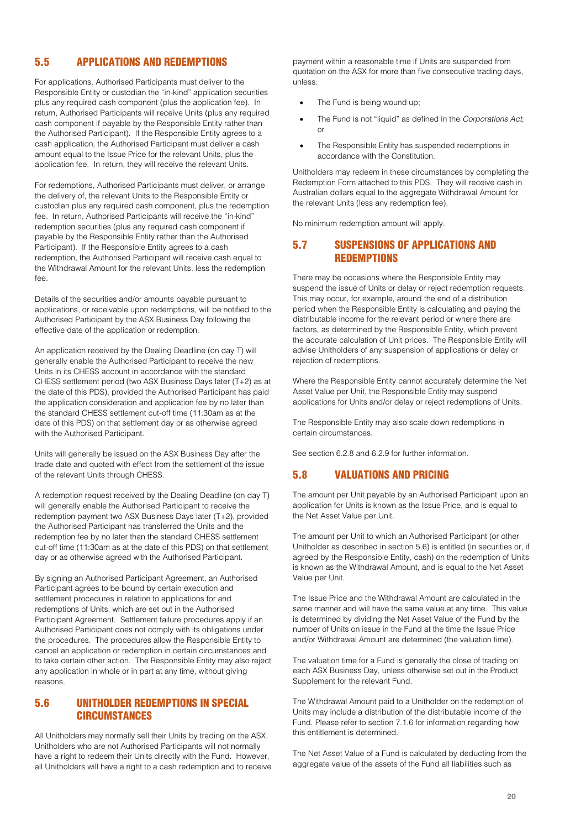## 5.5 APPLICATIONS AND REDEMPTIONS

For applications, Authorised Participants must deliver to the Responsible Entity or custodian the "in-kind" application securities plus any required cash component (plus the application fee). In return, Authorised Participants will receive Units (plus any required cash component if payable by the Responsible Entity rather than the Authorised Participant). If the Responsible Entity agrees to a cash application, the Authorised Participant must deliver a cash amount equal to the Issue Price for the relevant Units, plus the application fee. In return, they will receive the relevant Units.

For redemptions, Authorised Participants must deliver, or arrange the delivery of, the relevant Units to the Responsible Entity or custodian plus any required cash component, plus the redemption fee. In return, Authorised Participants will receive the "in-kind" redemption securities (plus any required cash component if payable by the Responsible Entity rather than the Authorised Participant). If the Responsible Entity agrees to a cash redemption, the Authorised Participant will receive cash equal to the Withdrawal Amount for the relevant Units. less the redemption fee.

Details of the securities and/or amounts payable pursuant to applications, or receivable upon redemptions, will be notified to the Authorised Participant by the ASX Business Day following the effective date of the application or redemption.

An application received by the Dealing Deadline (on day T) will generally enable the Authorised Participant to receive the new Units in its CHESS account in accordance with the standard CHESS settlement period (two ASX Business Days later (T+2) as at the date of this PDS), provided the Authorised Participant has paid the application consideration and application fee by no later than the standard CHESS settlement cut-off time (11:30am as at the date of this PDS) on that settlement day or as otherwise agreed with the Authorised Participant.

Units will generally be issued on the ASX Business Day after the trade date and quoted with effect from the settlement of the issue of the relevant Units through CHESS.

A redemption request received by the Dealing Deadline (on day T) will generally enable the Authorised Participant to receive the redemption payment two ASX Business Days later (T+2), provided the Authorised Participant has transferred the Units and the redemption fee by no later than the standard CHESS settlement cut-off time (11:30am as at the date of this PDS) on that settlement day or as otherwise agreed with the Authorised Participant.

By signing an Authorised Participant Agreement, an Authorised Participant agrees to be bound by certain execution and settlement procedures in relation to applications for and redemptions of Units, which are set out in the Authorised Participant Agreement. Settlement failure procedures apply if an Authorised Participant does not comply with its obligations under the procedures. The procedures allow the Responsible Entity to cancel an application or redemption in certain circumstances and to take certain other action. The Responsible Entity may also reject any application in whole or in part at any time, without giving reasons.

## 5.6 UNITHOLDER REDEMPTIONS IN SPECIAL **CIRCUMSTANCES**

All Unitholders may normally sell their Units by trading on the ASX. Unitholders who are not Authorised Participants will not normally have a right to redeem their Units directly with the Fund. However, all Unitholders will have a right to a cash redemption and to receive payment within a reasonable time if Units are suspended from quotation on the ASX for more than five consecutive trading days, unless:

- The Fund is being wound up;
- The Fund is not "liquid" as defined in the *Corporations Act*; or
- The Responsible Entity has suspended redemptions in accordance with the Constitution.

Unitholders may redeem in these circumstances by completing the Redemption Form attached to this PDS. They will receive cash in Australian dollars equal to the aggregate Withdrawal Amount for the relevant Units (less any redemption fee).

No minimum redemption amount will apply.

## 5.7 SUSPENSIONS OF APPLICATIONS AND **REDEMPTIONS**

There may be occasions where the Responsible Entity may suspend the issue of Units or delay or reject redemption requests. This may occur, for example, around the end of a distribution period when the Responsible Entity is calculating and paying the distributable income for the relevant period or where there are factors, as determined by the Responsible Entity, which prevent the accurate calculation of Unit prices. The Responsible Entity will advise Unitholders of any suspension of applications or delay or rejection of redemptions.

Where the Responsible Entity cannot accurately determine the Net Asset Value per Unit, the Responsible Entity may suspend applications for Units and/or delay or reject redemptions of Units.

The Responsible Entity may also scale down redemptions in certain circumstances.

See sectio[n 6.2.8](#page-23-0) an[d 6.2.9](#page-24-0) for further information.

## <span id="page-20-0"></span>5.8 VALUATIONS AND PRICING

The amount per Unit payable by an Authorised Participant upon an application for Units is known as the Issue Price, and is equal to the Net Asset Value per Unit.

The amount per Unit to which an Authorised Participant (or other Unitholder as described in section 5.6) is entitled (in securities or, if agreed by the Responsible Entity, cash) on the redemption of Units is known as the Withdrawal Amount, and is equal to the Net Asset Value per Unit.

The Issue Price and the Withdrawal Amount are calculated in the same manner and will have the same value at any time. This value is determined by dividing the Net Asset Value of the Fund by the number of Units on issue in the Fund at the time the Issue Price and/or Withdrawal Amount are determined (the valuation time).

The valuation time for a Fund is generally the close of trading on each ASX Business Day, unless otherwise set out in the Product Supplement for the relevant Fund.

The Withdrawal Amount paid to a Unitholder on the redemption of Units may include a distribution of the distributable income of the Fund. Please refer to section 7.1.6 for information regarding how this entitlement is determined.

The Net Asset Value of a Fund is calculated by deducting from the aggregate value of the assets of the Fund all liabilities such as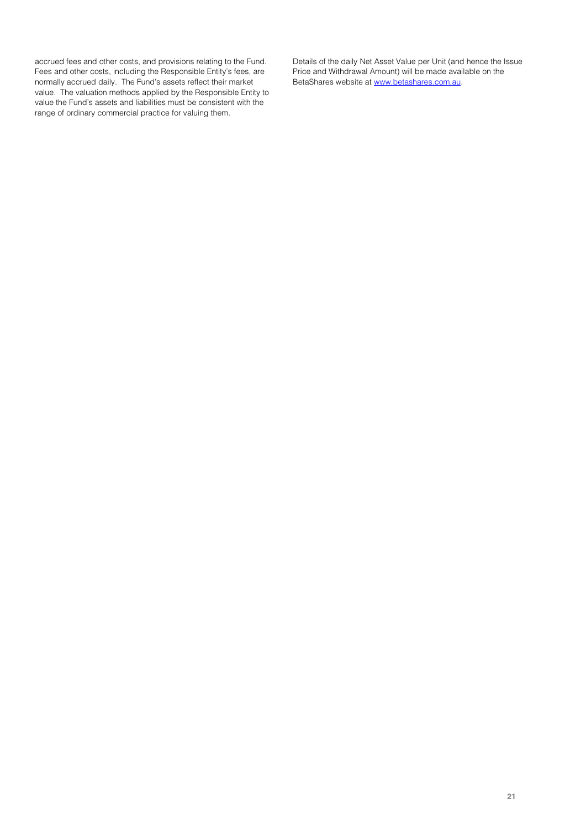accrued fees and other costs, and provisions relating to the Fund. Fees and other costs, including the Responsible Entity's fees, are normally accrued daily. The Fund's assets reflect their market value. The valuation methods applied by the Responsible Entity to value the Fund's assets and liabilities must be consistent with the range of ordinary commercial practice for valuing them.

Details of the daily Net Asset Value per Unit (and hence the Issue Price and Withdrawal Amount) will be made available on the BetaShares website at [www.betashares.com.au.](http://www.betashares.com.au/)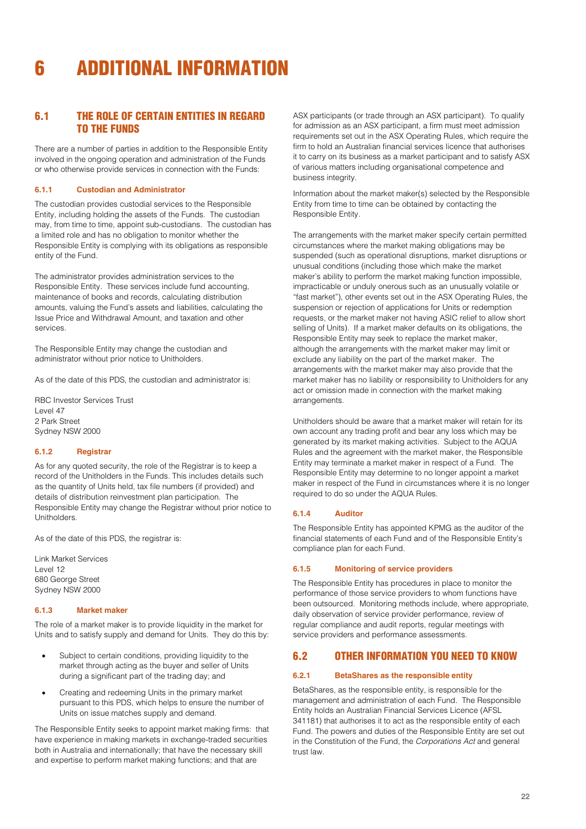# <span id="page-22-0"></span>6 ADDITIONAL INFORMATION

## 6.1 THE ROLE OF CERTAIN ENTITIES IN REGARD TO THE FUNDS

There are a number of parties in addition to the Responsible Entity involved in the ongoing operation and administration of the Funds or who otherwise provide services in connection with the Funds:

#### **6.1.1 Custodian and Administrator**

The custodian provides custodial services to the Responsible Entity, including holding the assets of the Funds. The custodian may, from time to time, appoint sub-custodians. The custodian has a limited role and has no obligation to monitor whether the Responsible Entity is complying with its obligations as responsible entity of the Fund.

The administrator provides administration services to the Responsible Entity. These services include fund accounting, maintenance of books and records, calculating distribution amounts, valuing the Fund's assets and liabilities, calculating the Issue Price and Withdrawal Amount, and taxation and other services.

The Responsible Entity may change the custodian and administrator without prior notice to Unitholders.

As of the date of this PDS, the custodian and administrator is:

RBC Investor Services Trust Level 47 2 Park Street Sydney NSW 2000

#### **6.1.2 Registrar**

As for any quoted security, the role of the Registrar is to keep a record of the Unitholders in the Funds. This includes details such as the quantity of Units held, tax file numbers (if provided) and details of distribution reinvestment plan participation. The Responsible Entity may change the Registrar without prior notice to Unitholders.

As of the date of this PDS, the registrar is:

Link Market Services Level 12 680 George Street Sydney NSW 2000

#### **6.1.3 Market maker**

The role of a market maker is to provide liquidity in the market for Units and to satisfy supply and demand for Units. They do this by:

- Subject to certain conditions, providing liquidity to the market through acting as the buyer and seller of Units during a significant part of the trading day; and
- Creating and redeeming Units in the primary market pursuant to this PDS, which helps to ensure the number of Units on issue matches supply and demand.

The Responsible Entity seeks to appoint market making firms: that have experience in making markets in exchange-traded securities both in Australia and internationally; that have the necessary skill and expertise to perform market making functions; and that are

ASX participants (or trade through an ASX participant). To qualify for admission as an ASX participant, a firm must meet admission requirements set out in the ASX Operating Rules, which require the firm to hold an Australian financial services licence that authorises it to carry on its business as a market participant and to satisfy ASX of various matters including organisational competence and business integrity.

Information about the market maker(s) selected by the Responsible Entity from time to time can be obtained by contacting the Responsible Entity.

The arrangements with the market maker specify certain permitted circumstances where the market making obligations may be suspended (such as operational disruptions, market disruptions or unusual conditions (including those which make the market maker's ability to perform the market making function impossible, impracticable or unduly onerous such as an unusually volatile or "fast market"), other events set out in the ASX Operating Rules, the suspension or rejection of applications for Units or redemption requests, or the market maker not having ASIC relief to allow short selling of Units). If a market maker defaults on its obligations, the Responsible Entity may seek to replace the market maker, although the arrangements with the market maker may limit or exclude any liability on the part of the market maker. The arrangements with the market maker may also provide that the market maker has no liability or responsibility to Unitholders for any act or omission made in connection with the market making arrangements.

Unitholders should be aware that a market maker will retain for its own account any trading profit and bear any loss which may be generated by its market making activities. Subject to the AQUA Rules and the agreement with the market maker, the Responsible Entity may terminate a market maker in respect of a Fund. The Responsible Entity may determine to no longer appoint a market maker in respect of the Fund in circumstances where it is no longer required to do so under the AQUA Rules.

#### **6.1.4 Auditor**

The Responsible Entity has appointed KPMG as the auditor of the financial statements of each Fund and of the Responsible Entity's compliance plan for each Fund.

#### **6.1.5 Monitoring of service providers**

The Responsible Entity has procedures in place to monitor the performance of those service providers to whom functions have been outsourced. Monitoring methods include, where appropriate, daily observation of service provider performance, review of regular compliance and audit reports, regular meetings with service providers and performance assessments.

### 6.2 OTHER INFORMATION YOU NEED TO KNOW

#### **6.2.1 BetaShares as the responsible entity**

BetaShares, as the responsible entity, is responsible for the management and administration of each Fund. The Responsible Entity holds an Australian Financial Services Licence (AFSL 341181) that authorises it to act as the responsible entity of each Fund. The powers and duties of the Responsible Entity are set out in the Constitution of the Fund, the *Corporations Act* and general trust law.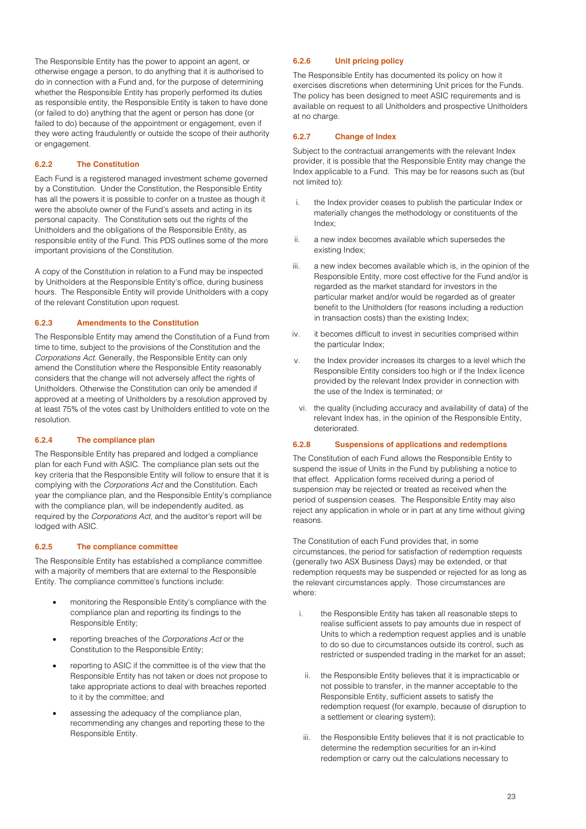The Responsible Entity has the power to appoint an agent, or otherwise engage a person, to do anything that it is authorised to do in connection with a Fund and, for the purpose of determining whether the Responsible Entity has properly performed its duties as responsible entity, the Responsible Entity is taken to have done (or failed to do) anything that the agent or person has done (or failed to do) because of the appointment or engagement, even if they were acting fraudulently or outside the scope of their authority or engagement.

#### **6.2.2 The Constitution**

Each Fund is a registered managed investment scheme governed by a Constitution. Under the Constitution, the Responsible Entity has all the powers it is possible to confer on a trustee as though it were the absolute owner of the Fund's assets and acting in its personal capacity. The Constitution sets out the rights of the Unitholders and the obligations of the Responsible Entity, as responsible entity of the Fund. This PDS outlines some of the more important provisions of the Constitution.

A copy of the Constitution in relation to a Fund may be inspected by Unitholders at the Responsible Entity's office, during business hours. The Responsible Entity will provide Unitholders with a copy of the relevant Constitution upon request.

#### **6.2.3 Amendments to the Constitution**

The Responsible Entity may amend the Constitution of a Fund from time to time, subject to the provisions of the Constitution and the *Corporations Act.* Generally, the Responsible Entity can only amend the Constitution where the Responsible Entity reasonably considers that the change will not adversely affect the rights of Unitholders. Otherwise the Constitution can only be amended if approved at a meeting of Unitholders by a resolution approved by at least 75% of the votes cast by Unitholders entitled to vote on the resolution.

#### **6.2.4 The compliance plan**

The Responsible Entity has prepared and lodged a compliance plan for each Fund with ASIC. The compliance plan sets out the key criteria that the Responsible Entity will follow to ensure that it is complying with the *Corporations Act* and the Constitution. Each year the compliance plan, and the Responsible Entity's compliance with the compliance plan, will be independently audited, as required by the *Corporations Act,* and the auditor's report will be lodged with ASIC.

#### **6.2.5 The compliance committee**

The Responsible Entity has established a compliance committee with a majority of members that are external to the Responsible Entity. The compliance committee's functions include:

- monitoring the Responsible Entity's compliance with the compliance plan and reporting its findings to the Responsible Entity;
- reporting breaches of the *Corporations Act* or the Constitution to the Responsible Entity;
- reporting to ASIC if the committee is of the view that the Responsible Entity has not taken or does not propose to take appropriate actions to deal with breaches reported to it by the committee; and
- assessing the adequacy of the compliance plan, recommending any changes and reporting these to the Responsible Entity.

#### **6.2.6 Unit pricing policy**

The Responsible Entity has documented its policy on how it exercises discretions when determining Unit prices for the Funds. The policy has been designed to meet ASIC requirements and is available on request to all Unitholders and prospective Unitholders at no charge.

#### **6.2.7 Change of Index**

Subject to the contractual arrangements with the relevant Index provider, it is possible that the Responsible Entity may change the Index applicable to a Fund. This may be for reasons such as (but not limited to):

- i. the Index provider ceases to publish the particular Index or materially changes the methodology or constituents of the Index;
- ii. a new index becomes available which supersedes the existing Index;
- iii. a new index becomes available which is, in the opinion of the Responsible Entity, more cost effective for the Fund and/or is regarded as the market standard for investors in the particular market and/or would be regarded as of greater benefit to the Unitholders (for reasons including a reduction in transaction costs) than the existing Index;
- iv. it becomes difficult to invest in securities comprised within the particular Index;
- v. the Index provider increases its charges to a level which the Responsible Entity considers too high or if the Index licence provided by the relevant Index provider in connection with the use of the Index is terminated; or
- vi. the quality (including accuracy and availability of data) of the relevant Index has, in the opinion of the Responsible Entity, deteriorated.

#### <span id="page-23-0"></span>**6.2.8 Suspensions of applications and redemptions**

The Constitution of each Fund allows the Responsible Entity to suspend the issue of Units in the Fund by publishing a notice to that effect. Application forms received during a period of suspension may be rejected or treated as received when the period of suspension ceases. The Responsible Entity may also reject any application in whole or in part at any time without giving reasons.

The Constitution of each Fund provides that, in some circumstances, the period for satisfaction of redemption requests (generally two ASX Business Days) may be extended, or that redemption requests may be suspended or rejected for as long as the relevant circumstances apply. Those circumstances are where:

- i. the Responsible Entity has taken all reasonable steps to realise sufficient assets to pay amounts due in respect of Units to which a redemption request applies and is unable to do so due to circumstances outside its control, such as restricted or suspended trading in the market for an asset;
	- ii. the Responsible Entity believes that it is impracticable or not possible to transfer, in the manner acceptable to the Responsible Entity, sufficient assets to satisfy the redemption request (for example, because of disruption to a settlement or clearing system);
- the Responsible Entity believes that it is not practicable to determine the redemption securities for an in-kind redemption or carry out the calculations necessary to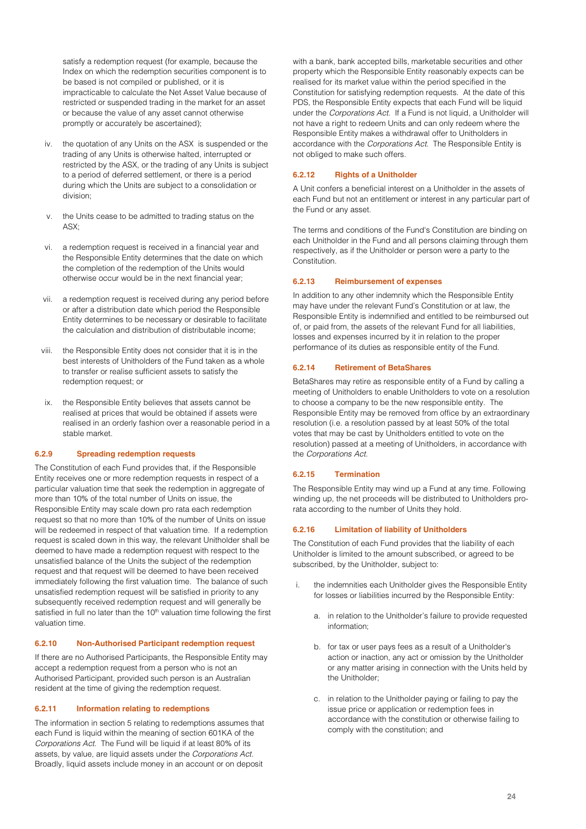satisfy a redemption request (for example, because the Index on which the redemption securities component is to be based is not compiled or published, or it is impracticable to calculate the Net Asset Value because of restricted or suspended trading in the market for an asset or because the value of any asset cannot otherwise promptly or accurately be ascertained);

- iv. the quotation of any Units on the ASX is suspended or the trading of any Units is otherwise halted, interrupted or restricted by the ASX, or the trading of any Units is subject to a period of deferred settlement, or there is a period during which the Units are subject to a consolidation or division;
- v. the Units cease to be admitted to trading status on the ASX;
- vi. a redemption request is received in a financial year and the Responsible Entity determines that the date on which the completion of the redemption of the Units would otherwise occur would be in the next financial year;
- vii. a redemption request is received during any period before or after a distribution date which period the Responsible Entity determines to be necessary or desirable to facilitate the calculation and distribution of distributable income;
- viii. the Responsible Entity does not consider that it is in the best interests of Unitholders of the Fund taken as a whole to transfer or realise sufficient assets to satisfy the redemption request; or
- ix. the Responsible Entity believes that assets cannot be realised at prices that would be obtained if assets were realised in an orderly fashion over a reasonable period in a stable market.

#### <span id="page-24-0"></span>**6.2.9 Spreading redemption requests**

The Constitution of each Fund provides that, if the Responsible Entity receives one or more redemption requests in respect of a particular valuation time that seek the redemption in aggregate of more than 10% of the total number of Units on issue, the Responsible Entity may scale down pro rata each redemption request so that no more than 10% of the number of Units on issue will be redeemed in respect of that valuation time. If a redemption request is scaled down in this way, the relevant Unitholder shall be deemed to have made a redemption request with respect to the unsatisfied balance of the Units the subject of the redemption request and that request will be deemed to have been received immediately following the first valuation time. The balance of such unsatisfied redemption request will be satisfied in priority to any subsequently received redemption request and will generally be satisfied in full no later than the  $10<sup>th</sup>$  valuation time following the first valuation time.

#### **6.2.10 Non-Authorised Participant redemption request**

If there are no Authorised Participants, the Responsible Entity may accept a redemption request from a person who is not an Authorised Participant, provided such person is an Australian resident at the time of giving the redemption request.

#### **6.2.11 Information relating to redemptions**

The information in sectio[n 5](#page-19-0) relating to redemptions assumes that each Fund is liquid within the meaning of section 601KA of the *Corporations Act*. The Fund will be liquid if at least 80% of its assets, by value, are liquid assets under the *Corporations Act*. Broadly, liquid assets include money in an account or on deposit

with a bank, bank accepted bills, marketable securities and other property which the Responsible Entity reasonably expects can be realised for its market value within the period specified in the Constitution for satisfying redemption requests. At the date of this PDS, the Responsible Entity expects that each Fund will be liquid under the *Corporations Act*. If a Fund is not liquid, a Unitholder will not have a right to redeem Units and can only redeem where the Responsible Entity makes a withdrawal offer to Unitholders in accordance with the *Corporations Act*. The Responsible Entity is not obliged to make such offers.

#### **6.2.12 Rights of a Unitholder**

A Unit confers a beneficial interest on a Unitholder in the assets of each Fund but not an entitlement or interest in any particular part of the Fund or any asset.

The terms and conditions of the Fund's Constitution are binding on each Unitholder in the Fund and all persons claiming through them respectively, as if the Unitholder or person were a party to the Constitution.

#### **6.2.13 Reimbursement of expenses**

In addition to any other indemnity which the Responsible Entity may have under the relevant Fund's Constitution or at law, the Responsible Entity is indemnified and entitled to be reimbursed out of, or paid from, the assets of the relevant Fund for all liabilities, losses and expenses incurred by it in relation to the proper performance of its duties as responsible entity of the Fund.

#### **6.2.14 Retirement of BetaShares**

BetaShares may retire as responsible entity of a Fund by calling a meeting of Unitholders to enable Unitholders to vote on a resolution to choose a company to be the new responsible entity. The Responsible Entity may be removed from office by an extraordinary resolution (i.e. a resolution passed by at least 50% of the total votes that may be cast by Unitholders entitled to vote on the resolution) passed at a meeting of Unitholders, in accordance with the *Corporations Act.* 

#### **6.2.15 Termination**

The Responsible Entity may wind up a Fund at any time. Following winding up, the net proceeds will be distributed to Unitholders prorata according to the number of Units they hold.

#### **6.2.16 Limitation of liability of Unitholders**

The Constitution of each Fund provides that the liability of each Unitholder is limited to the amount subscribed, or agreed to be subscribed, by the Unitholder, subject to:

- i. the indemnities each Unitholder gives the Responsible Entity for losses or liabilities incurred by the Responsible Entity:
	- a. in relation to the Unitholder's failure to provide requested information;
	- b. for tax or user pays fees as a result of a Unitholder's action or inaction, any act or omission by the Unitholder or any matter arising in connection with the Units held by the Unitholder;
	- c. in relation to the Unitholder paying or failing to pay the issue price or application or redemption fees in accordance with the constitution or otherwise failing to comply with the constitution; and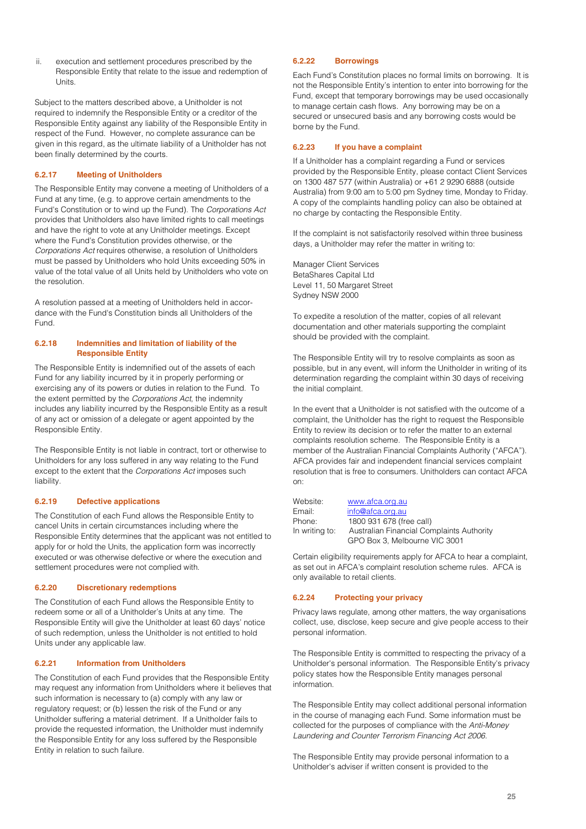ii. execution and settlement procedures prescribed by the Responsible Entity that relate to the issue and redemption of Units.

Subject to the matters described above, a Unitholder is not required to indemnify the Responsible Entity or a creditor of the Responsible Entity against any liability of the Responsible Entity in respect of the Fund. However, no complete assurance can be given in this regard, as the ultimate liability of a Unitholder has not been finally determined by the courts.

#### **6.2.17 Meeting of Unitholders**

The Responsible Entity may convene a meeting of Unitholders of a Fund at any time, (e.g. to approve certain amendments to the Fund's Constitution or to wind up the Fund). The *Corporations Act* provides that Unitholders also have limited rights to call meetings and have the right to vote at any Unitholder meetings. Except where the Fund's Constitution provides otherwise, or the *Corporations Act* requires otherwise, a resolution of Unitholders must be passed by Unitholders who hold Units exceeding 50% in value of the total value of all Units held by Unitholders who vote on the resolution.

A resolution passed at a meeting of Unitholders held in accordance with the Fund's Constitution binds all Unitholders of the Fund.

#### **6.2.18 Indemnities and limitation of liability of the Responsible Entity**

The Responsible Entity is indemnified out of the assets of each Fund for any liability incurred by it in properly performing or exercising any of its powers or duties in relation to the Fund. To the extent permitted by the *Corporations Act*, the indemnity includes any liability incurred by the Responsible Entity as a result of any act or omission of a delegate or agent appointed by the Responsible Entity.

The Responsible Entity is not liable in contract, tort or otherwise to Unitholders for any loss suffered in any way relating to the Fund except to the extent that the *Corporations Act* imposes such liability.

#### **6.2.19 Defective applications**

The Constitution of each Fund allows the Responsible Entity to cancel Units in certain circumstances including where the Responsible Entity determines that the applicant was not entitled to apply for or hold the Units, the application form was incorrectly executed or was otherwise defective or where the execution and settlement procedures were not complied with.

#### **6.2.20 Discretionary redemptions**

The Constitution of each Fund allows the Responsible Entity to redeem some or all of a Unitholder's Units at any time. The Responsible Entity will give the Unitholder at least 60 days' notice of such redemption, unless the Unitholder is not entitled to hold Units under any applicable law.

#### **6.2.21 Information from Unitholders**

The Constitution of each Fund provides that the Responsible Entity may request any information from Unitholders where it believes that such information is necessary to (a) comply with any law or regulatory request; or (b) lessen the risk of the Fund or any Unitholder suffering a material detriment. If a Unitholder fails to provide the requested information, the Unitholder must indemnify the Responsible Entity for any loss suffered by the Responsible Entity in relation to such failure.

#### **6.2.22 Borrowings**

Each Fund's Constitution places no formal limits on borrowing. It is not the Responsible Entity's intention to enter into borrowing for the Fund, except that temporary borrowings may be used occasionally to manage certain cash flows. Any borrowing may be on a secured or unsecured basis and any borrowing costs would be borne by the Fund.

#### <span id="page-25-0"></span>**6.2.23 If you have a complaint**

If a Unitholder has a complaint regarding a Fund or services provided by the Responsible Entity, please contact Client Services on 1300 487 577 (within Australia) or +61 2 9290 6888 (outside Australia) from 9:00 am to 5:00 pm Sydney time, Monday to Friday. A copy of the complaints handling policy can also be obtained at no charge by contacting the Responsible Entity.

If the complaint is not satisfactorily resolved within three business days, a Unitholder may refer the matter in writing to:

Manager Client Services BetaShares Capital Ltd Level 11, 50 Margaret Street Sydney NSW 2000

To expedite a resolution of the matter, copies of all relevant documentation and other materials supporting the complaint should be provided with the complaint.

The Responsible Entity will try to resolve complaints as soon as possible, but in any event, will inform the Unitholder in writing of its determination regarding the complaint within 30 days of receiving the initial complaint.

In the event that a Unitholder is not satisfied with the outcome of a complaint, the Unitholder has the right to request the Responsible Entity to review its decision or to refer the matter to an external complaints resolution scheme. The Responsible Entity is a member of the Australian Financial Complaints Authority ("AFCA"). AFCA provides fair and independent financial services complaint resolution that is free to consumers. Unitholders can contact AFCA on:

| Website:       | www.afca.org.au                           |
|----------------|-------------------------------------------|
| Email:         | info@afca.org.au                          |
| Phone:         | 1800 931 678 (free call)                  |
| In writing to: | Australian Financial Complaints Authority |
|                | GPO Box 3, Melbourne VIC 3001             |

Certain eligibility requirements apply for AFCA to hear a complaint, as set out in AFCA's complaint resolution scheme rules. AFCA is only available to retail clients.

#### **6.2.24 Protecting your privacy**

Privacy laws regulate, among other matters, the way organisations collect, use, disclose, keep secure and give people access to their personal information.

The Responsible Entity is committed to respecting the privacy of a Unitholder's personal information. The Responsible Entity's privacy policy states how the Responsible Entity manages personal information.

The Responsible Entity may collect additional personal information in the course of managing each Fund. Some information must be collected for the purposes of compliance with the *Anti-Money Laundering and Counter Terrorism Financing Act 2006.* 

The Responsible Entity may provide personal information to a Unitholder's adviser if written consent is provided to the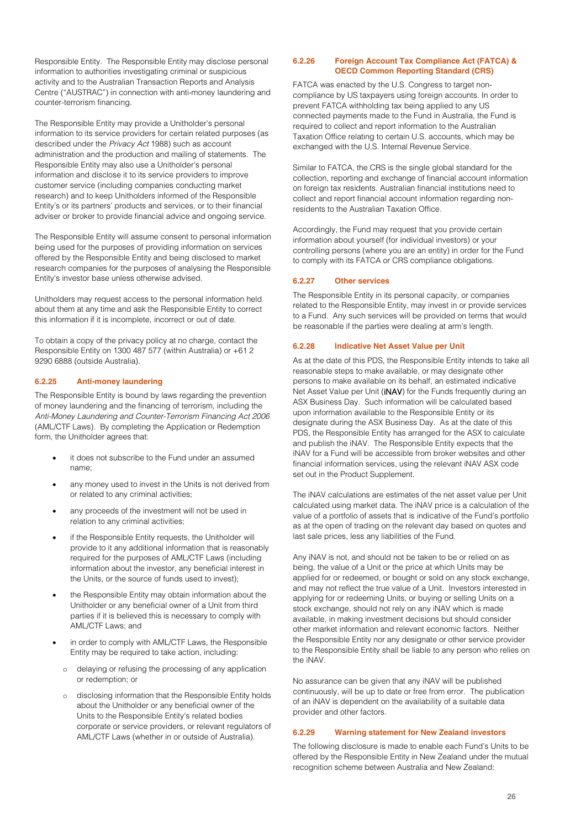Responsible Entity. The Responsible Entity may disclose personal information to authorities investigating criminal or suspicious activity and to the Australian Transaction Reports and Analysis Centre ("AUSTRAC") in connection with anti-money laundering and counter-terrorism financing.

The Responsible Entity may provide a Unitholder's personal information to its service providers for certain related purposes (as described under the *Privacy Act* 1988) such as account administration and the production and mailing of statements. The Responsible Entity may also use a Unitholder's personal information and disclose it to its service providers to improve customer service (including companies conducting market research) and to keep Unitholders informed of the Responsible Entity's or its partners' products and services, or to their financial adviser or broker to provide financial advice and ongoing service.

The Responsible Entity will assume consent to personal information being used for the purposes of providing information on services offered by the Responsible Entity and being disclosed to market research companies for the purposes of analysing the Responsible Entity's investor base unless otherwise advised.

Unitholders may request access to the personal information held about them at any time and ask the Responsible Entity to correct this information if it is incomplete, incorrect or out of date.

To obtain a copy of the privacy policy at no charge, contact the Responsible Entity on 1300 487 577 (within Australia) or +61 2 9290 6888 (outside Australia).

#### **6.2.25 Anti-money laundering**

The Responsible Entity is bound by laws regarding the prevention of money laundering and the financing of terrorism, including the *Anti-Money Laundering and Counter-Terrorism Financing Act 2006*  (AML/CTF Laws). By completing the Application or Redemption form, the Unitholder agrees that:

- it does not subscribe to the Fund under an assumed name;
- any money used to invest in the Units is not derived from or related to any criminal activities;
- any proceeds of the investment will not be used in relation to any criminal activities;
- if the Responsible Entity requests, the Unitholder will provide to it any additional information that is reasonably required for the purposes of AML/CTF Laws (including information about the investor, any beneficial interest in the Units, or the source of funds used to invest);
- the Responsible Entity may obtain information about the Unitholder or any beneficial owner of a Unit from third parties if it is believed this is necessary to comply with AML/CTF Laws; and
- in order to comply with AML/CTF Laws, the Responsible Entity may be required to take action, including:
	- o delaying or refusing the processing of any application or redemption; or
	- o disclosing information that the Responsible Entity holds about the Unitholder or any beneficial owner of the Units to the Responsible Entity's related bodies corporate or service providers, or relevant regulators of AML/CTF Laws (whether in or outside of Australia).

#### **6.2.26 Foreign Account Tax Compliance Act (FATCA) & OECD Common Reporting Standard (CRS)**

FATCA was enacted by the U.S. Congress to target noncompliance by US taxpayers using foreign accounts. In order to prevent FATCA withholding tax being applied to any US connected payments made to the Fund in Australia, the Fund is required to collect and report information to the Australian Taxation Office relating to certain U.S. accounts, which may be exchanged with the U.S. Internal Revenue Service.

Similar to FATCA, the CRS is the single global standard for the collection, reporting and exchange of financial account information on foreign tax residents. Australian financial institutions need to collect and report financial account information regarding nonresidents to the Australian Taxation Office.

Accordingly, the Fund may request that you provide certain information about yourself (for individual investors) or your controlling persons (where you are an entity) in order for the Fund to comply with its FATCA or CRS compliance obligations.

#### **6.2.27 Other services**

The Responsible Entity in its personal capacity, or companies related to the Responsible Entity, may invest in or provide services to a Fund. Any such services will be provided on terms that would be reasonable if the parties were dealing at arm's length.

#### **6.2.28 Indicative Net Asset Value per Unit**

As at the date of this PDS, the Responsible Entity intends to take all reasonable steps to make available, or may designate other persons to make available on its behalf, an estimated indicative Net Asset Value per Unit (**INAV**) for the Funds frequently during an ASX Business Day. Such information will be calculated based upon information available to the Responsible Entity or its designate during the ASX Business Day. As at the date of this PDS, the Responsible Entity has arranged for the ASX to calculate and publish the iNAV. The Responsible Entity expects that the iNAV for a Fund will be accessible from broker websites and other financial information services, using the relevant iNAV ASX code set out in the Product Supplement.

The iNAV calculations are estimates of the net asset value per Unit calculated using market data. The iNAV price is a calculation of the value of a portfolio of assets that is indicative of the Fund's portfolio as at the open of trading on the relevant day based on quotes and last sale prices, less any liabilities of the Fund.

Any iNAV is not, and should not be taken to be or relied on as being, the value of a Unit or the price at which Units may be applied for or redeemed, or bought or sold on any stock exchange, and may not reflect the true value of a Unit. Investors interested in applying for or redeeming Units, or buying or selling Units on a stock exchange, should not rely on any iNAV which is made available, in making investment decisions but should consider other market information and relevant economic factors. Neither the Responsible Entity nor any designate or other service provider to the Responsible Entity shall be liable to any person who relies on the iNAV.

No assurance can be given that any iNAV will be published continuously, will be up to date or free from error. The publication of an iNAV is dependent on the availability of a suitable data provider and other factors.

#### **6.2.29 Warning statement for New Zealand investors**

The following disclosure is made to enable each Fund's Units to be offered by the Responsible Entity in New Zealand under the mutual recognition scheme between Australia and New Zealand: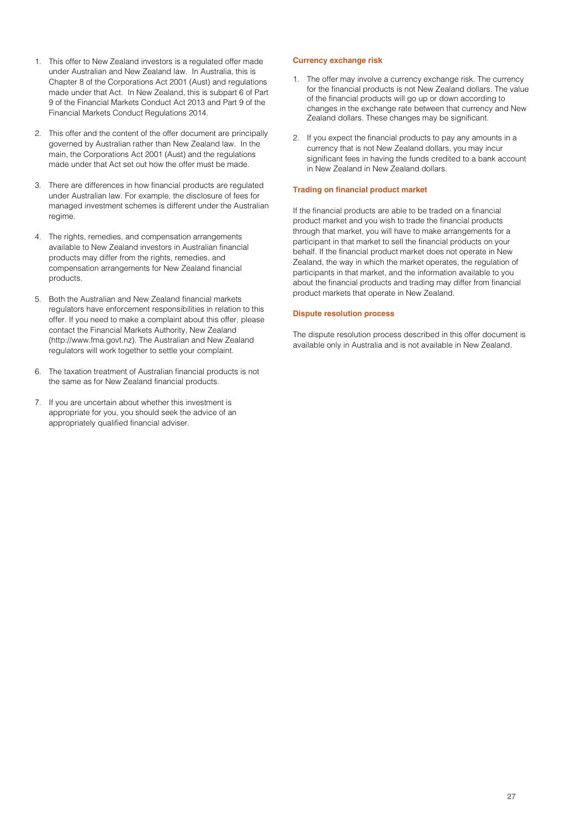- 1. This offer to New Zealand investors is a regulated offer made under Australian and New Zealand law. In Australia, this is Chapter 8 of the Corporations Act 2001 (Aust) and regulations made under that Act. In New Zealand, this is subpart 6 of Part 9 of the Financial Markets Conduct Act 2013 and Part 9 of the Financial Markets Conduct Regulations 2014.
- 2. This offer and the content of the offer document are principally governed by Australian rather than New Zealand law. In the main, the Corporations Act 2001 (Aust) and the regulations made under that Act set out how the offer must be made.
- 3. There are differences in how financial products are regulated under Australian law. For example, the disclosure of fees for managed investment schemes is different under the Australian regime.
- 4. The rights, remedies, and compensation arrangements available to New Zealand investors in Australian financial products may differ from the rights, remedies, and compensation arrangements for New Zealand financial products.
- 5. Both the Australian and New Zealand financial markets regulators have enforcement responsibilities in relation to this offer. If you need to make a complaint about this offer, please contact the Financial Markets Authority, New Zealand [\(http://www.fma.govt.nz\)](http://www.fma.govt.nz/). The Australian and New Zealand regulators will work together to settle your complaint.
- 6. The taxation treatment of Australian financial products is not the same as for New Zealand financial products.
- 7. If you are uncertain about whether this investment is appropriate for you, you should seek the advice of an appropriately qualified financial adviser.

#### **Currency exchange risk**

- 1. The offer may involve a currency exchange risk. The currency for the financial products is not New Zealand dollars. The value of the financial products will go up or down according to changes in the exchange rate between that currency and New Zealand dollars. These changes may be significant.
- 2. If you expect the financial products to pay any amounts in a currency that is not New Zealand dollars, you may incur significant fees in having the funds credited to a bank account in New Zealand in New Zealand dollars.

#### **Trading on financial product market**

If the financial products are able to be traded on a financial product market and you wish to trade the financial products through that market, you will have to make arrangements for a participant in that market to sell the financial products on your behalf. If the financial product market does not operate in New Zealand, the way in which the market operates, the regulation of participants in that market, and the information available to you about the financial products and trading may differ from financial product markets that operate in New Zealand.

#### **Dispute resolution process**

The dispute resolution process described in this offer document is available only in Australia and is not available in New Zealand.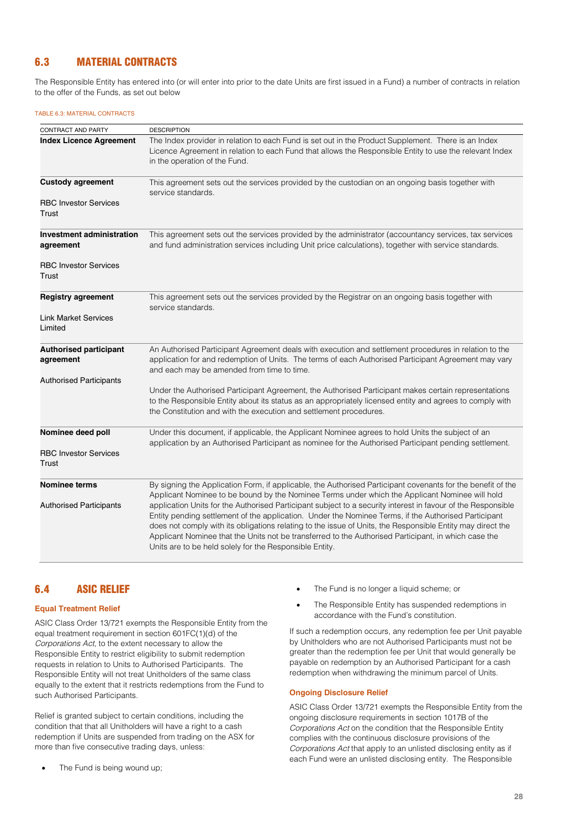## <span id="page-28-0"></span>6.3 MATERIAL CONTRACTS

The Responsible Entity has entered into (or will enter into prior to the date Units are first issued in a Fund) a number of contracts in relation to the offer of the Funds, as set out below

#### TABLE 6.3: MATERIAL CONTRACTS

| CONTRACT AND PARTY                                                | <b>DESCRIPTION</b>                                                                                                                                                                                                                                                                                                                                                                                                                                                                                                                                                                                                                                                                                                     |
|-------------------------------------------------------------------|------------------------------------------------------------------------------------------------------------------------------------------------------------------------------------------------------------------------------------------------------------------------------------------------------------------------------------------------------------------------------------------------------------------------------------------------------------------------------------------------------------------------------------------------------------------------------------------------------------------------------------------------------------------------------------------------------------------------|
| <b>Index Licence Agreement</b>                                    | The Index provider in relation to each Fund is set out in the Product Supplement. There is an Index<br>Licence Agreement in relation to each Fund that allows the Responsible Entity to use the relevant Index<br>in the operation of the Fund.                                                                                                                                                                                                                                                                                                                                                                                                                                                                        |
| <b>Custody agreement</b><br><b>RBC Investor Services</b><br>Trust | This agreement sets out the services provided by the custodian on an ongoing basis together with<br>service standards.                                                                                                                                                                                                                                                                                                                                                                                                                                                                                                                                                                                                 |
| Investment administration<br>agreement                            | This agreement sets out the services provided by the administrator (accountancy services, tax services<br>and fund administration services including Unit price calculations), together with service standards.                                                                                                                                                                                                                                                                                                                                                                                                                                                                                                        |
| <b>RBC Investor Services</b><br>Trust                             |                                                                                                                                                                                                                                                                                                                                                                                                                                                                                                                                                                                                                                                                                                                        |
| <b>Registry agreement</b>                                         | This agreement sets out the services provided by the Registrar on an ongoing basis together with<br>service standards.                                                                                                                                                                                                                                                                                                                                                                                                                                                                                                                                                                                                 |
| <b>Link Market Services</b><br>Limited                            |                                                                                                                                                                                                                                                                                                                                                                                                                                                                                                                                                                                                                                                                                                                        |
| <b>Authorised participant</b><br>agreement                        | An Authorised Participant Agreement deals with execution and settlement procedures in relation to the<br>application for and redemption of Units. The terms of each Authorised Participant Agreement may vary<br>and each may be amended from time to time.                                                                                                                                                                                                                                                                                                                                                                                                                                                            |
| <b>Authorised Participants</b>                                    | Under the Authorised Participant Agreement, the Authorised Participant makes certain representations<br>to the Responsible Entity about its status as an appropriately licensed entity and agrees to comply with<br>the Constitution and with the execution and settlement procedures.                                                                                                                                                                                                                                                                                                                                                                                                                                 |
| Nominee deed poll<br><b>RBC Investor Services</b><br>Trust        | Under this document, if applicable, the Applicant Nominee agrees to hold Units the subject of an<br>application by an Authorised Participant as nominee for the Authorised Participant pending settlement.                                                                                                                                                                                                                                                                                                                                                                                                                                                                                                             |
| <b>Nominee terms</b><br><b>Authorised Participants</b>            | By signing the Application Form, if applicable, the Authorised Participant covenants for the benefit of the<br>Applicant Nominee to be bound by the Nominee Terms under which the Applicant Nominee will hold<br>application Units for the Authorised Participant subject to a security interest in favour of the Responsible<br>Entity pending settlement of the application. Under the Nominee Terms, if the Authorised Participant<br>does not comply with its obligations relating to the issue of Units, the Responsible Entity may direct the<br>Applicant Nominee that the Units not be transferred to the Authorised Participant, in which case the<br>Units are to be held solely for the Responsible Entity. |

## 6.4 ASIC RELIEF

#### **Equal Treatment Relief**

ASIC Class Order 13/721 exempts the Responsible Entity from the equal treatment requirement in section 601FC(1)(d) of the *Corporations Act*, to the extent necessary to allow the Responsible Entity to restrict eligibility to submit redemption requests in relation to Units to Authorised Participants. The Responsible Entity will not treat Unitholders of the same class equally to the extent that it restricts redemptions from the Fund to such Authorised Participants.

Relief is granted subject to certain conditions, including the condition that that all Unitholders will have a right to a cash redemption if Units are suspended from trading on the ASX for more than five consecutive trading days, unless:

- The Fund is no longer a liquid scheme; or
- The Responsible Entity has suspended redemptions in accordance with the Fund's constitution.

If such a redemption occurs, any redemption fee per Unit payable by Unitholders who are not Authorised Participants must not be greater than the redemption fee per Unit that would generally be payable on redemption by an Authorised Participant for a cash redemption when withdrawing the minimum parcel of Units.

#### **Ongoing Disclosure Relief**

ASIC Class Order 13/721 exempts the Responsible Entity from the ongoing disclosure requirements in section 1017B of the *Corporations Act* on the condition that the Responsible Entity complies with the continuous disclosure provisions of the *Corporations Act* that apply to an unlisted disclosing entity as if each Fund were an unlisted disclosing entity. The Responsible

The Fund is being wound up;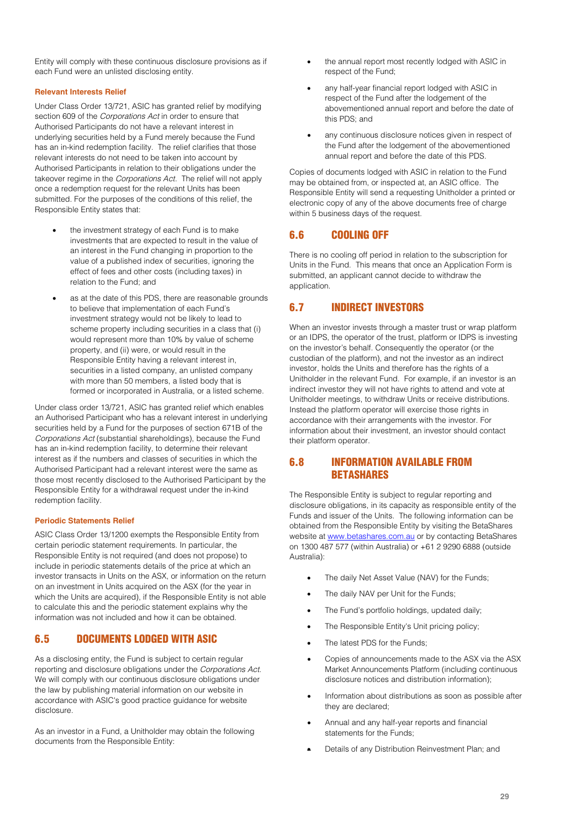Entity will comply with these continuous disclosure provisions as if each Fund were an unlisted disclosing entity.

#### **Relevant Interests Relief**

Under Class Order 13/721, ASIC has granted relief by modifying section 609 of the *Corporations Act* in order to ensure that Authorised Participants do not have a relevant interest in underlying securities held by a Fund merely because the Fund has an in-kind redemption facility. The relief clarifies that those relevant interests do not need to be taken into account by Authorised Participants in relation to their obligations under the takeover regime in the *Corporations Act.* The relief will not apply once a redemption request for the relevant Units has been submitted. For the purposes of the conditions of this relief, the Responsible Entity states that:

- the investment strategy of each Fund is to make investments that are expected to result in the value of an interest in the Fund changing in proportion to the value of a published index of securities, ignoring the effect of fees and other costs (including taxes) in relation to the Fund; and
- as at the date of this PDS, there are reasonable grounds to believe that implementation of each Fund's investment strategy would not be likely to lead to scheme property including securities in a class that (i) would represent more than 10% by value of scheme property, and (ii) were, or would result in the Responsible Entity having a relevant interest in, securities in a listed company, an unlisted company with more than 50 members, a listed body that is formed or incorporated in Australia, or a listed scheme.

Under class order 13/721, ASIC has granted relief which enables an Authorised Participant who has a relevant interest in underlying securities held by a Fund for the purposes of section 671B of the *Corporations Act* (substantial shareholdings), because the Fund has an in-kind redemption facility, to determine their relevant interest as if the numbers and classes of securities in which the Authorised Participant had a relevant interest were the same as those most recently disclosed to the Authorised Participant by the Responsible Entity for a withdrawal request under the in-kind redemption facility.

#### **Periodic Statements Relief**

ASIC Class Order 13/1200 exempts the Responsible Entity from certain periodic statement requirements. In particular, the Responsible Entity is not required (and does not propose) to include in periodic statements details of the price at which an investor transacts in Units on the ASX, or information on the return on an investment in Units acquired on the ASX (for the year in which the Units are acquired), if the Responsible Entity is not able to calculate this and the periodic statement explains why the information was not included and how it can be obtained.

### 6.5 DOCUMENTS LODGED WITH ASIC

As a disclosing entity, the Fund is subject to certain regular reporting and disclosure obligations under the *Corporations Act*. We will comply with our continuous disclosure obligations under the law by publishing material information on our website in accordance with ASIC's good practice guidance for website disclosure.

As an investor in a Fund, a Unitholder may obtain the following documents from the Responsible Entity:

- the annual report most recently lodged with ASIC in respect of the Fund;
- any half-year financial report lodged with ASIC in respect of the Fund after the lodgement of the abovementioned annual report and before the date of this PDS; and
- any continuous disclosure notices given in respect of the Fund after the lodgement of the abovementioned annual report and before the date of this PDS.

Copies of documents lodged with ASIC in relation to the Fund may be obtained from, or inspected at, an ASIC office. The Responsible Entity will send a requesting Unitholder a printed or electronic copy of any of the above documents free of charge within 5 business days of the request.

#### 6.6 COOLING OFF

There is no cooling off period in relation to the subscription for Units in the Fund. This means that once an Application Form is submitted, an applicant cannot decide to withdraw the application.

## 6.7 INDIRECT INVESTORS

When an investor invests through a master trust or wrap platform or an IDPS, the operator of the trust, platform or IDPS is investing on the investor's behalf. Consequently the operator (or the custodian of the platform), and not the investor as an indirect investor, holds the Units and therefore has the rights of a Unitholder in the relevant Fund. For example, if an investor is an indirect investor they will not have rights to attend and vote at Unitholder meetings, to withdraw Units or receive distributions. Instead the platform operator will exercise those rights in accordance with their arrangements with the investor. For information about their investment, an investor should contact their platform operator.

## 6.8 INFORMATION AVAILABLE FROM **BETASHARES**

The Responsible Entity is subject to regular reporting and disclosure obligations, in its capacity as responsible entity of the Funds and issuer of the Units. The following information can be obtained from the Responsible Entity by visiting the BetaShares website at [www.betashares.com.au](http://www.betashares.com.au/) or by contacting BetaShares on 1300 487 577 (within Australia) or +61 2 9290 6888 (outside Australia):

- The daily Net Asset Value (NAV) for the Funds;
- The daily NAV per Unit for the Funds;
- The Fund's portfolio holdings, updated daily;
- The Responsible Entity's Unit pricing policy;
- The latest PDS for the Funds:
- Copies of announcements made to the ASX via the ASX Market Announcements Platform (including continuous disclosure notices and distribution information);
- Information about distributions as soon as possible after they are declared;
- Annual and any half-year reports and financial statements for the Funds;
- Details of any Distribution Reinvestment Plan; and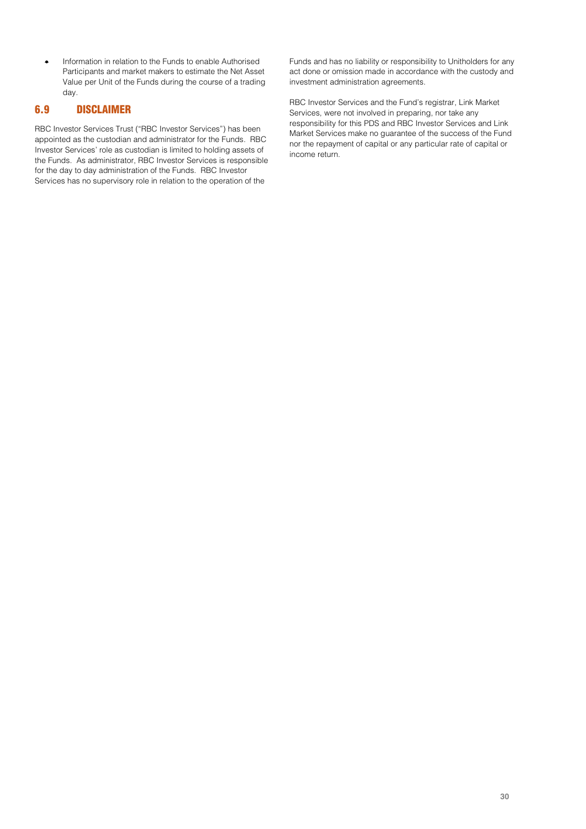• Information in relation to the Funds to enable Authorised Participants and market makers to estimate the Net Asset Value per Unit of the Funds during the course of a trading day.

## 6.9 DISCLAIMER

RBC Investor Services Trust ("RBC Investor Services") has been appointed as the custodian and administrator for the Funds. RBC Investor Services' role as custodian is limited to holding assets of the Funds. As administrator, RBC Investor Services is responsible for the day to day administration of the Funds. RBC Investor Services has no supervisory role in relation to the operation of the

Funds and has no liability or responsibility to Unitholders for any act done or omission made in accordance with the custody and investment administration agreements.

RBC Investor Services and the Fund's registrar, Link Market Services, were not involved in preparing, nor take any responsibility for this PDS and RBC Investor Services and Link Market Services make no guarantee of the success of the Fund nor the repayment of capital or any particular rate of capital or income return.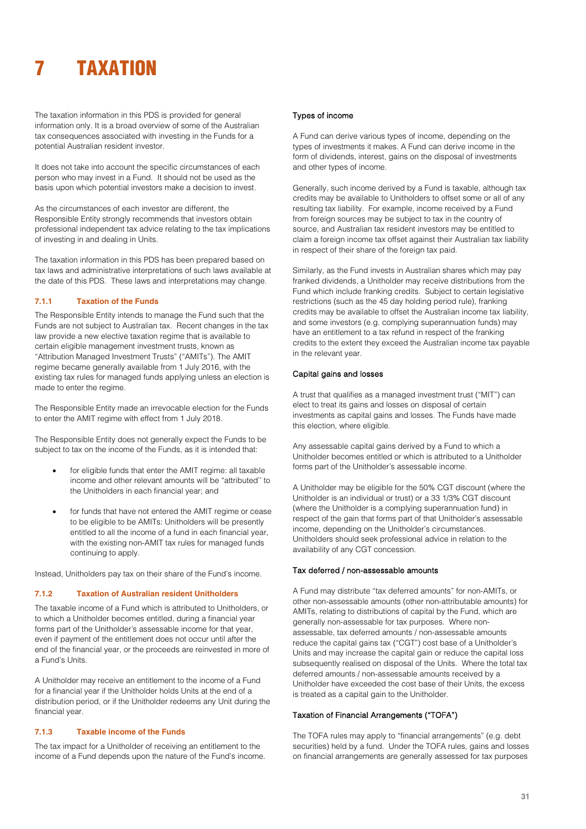# <span id="page-31-0"></span>7 TAXATION

The taxation information in this PDS is provided for general information only. It is a broad overview of some of the Australian tax consequences associated with investing in the Funds for a potential Australian resident investor.

It does not take into account the specific circumstances of each person who may invest in a Fund. It should not be used as the basis upon which potential investors make a decision to invest.

As the circumstances of each investor are different, the Responsible Entity strongly recommends that investors obtain professional independent tax advice relating to the tax implications of investing in and dealing in Units.

The taxation information in this PDS has been prepared based on tax laws and administrative interpretations of such laws available at the date of this PDS. These laws and interpretations may change.

#### **7.1.1 Taxation of the Funds**

The Responsible Entity intends to manage the Fund such that the Funds are not subject to Australian tax. Recent changes in the tax law provide a new elective taxation regime that is available to certain eligible management investment trusts, known as "Attribution Managed Investment Trusts" ("AMITs"). The AMIT regime became generally available from 1 July 2016, with the existing tax rules for managed funds applying unless an election is made to enter the regime.

The Responsible Entity made an irrevocable election for the Funds to enter the AMIT regime with effect from 1 July 2018.

The Responsible Entity does not generally expect the Funds to be subject to tax on the income of the Funds, as it is intended that:

- for eligible funds that enter the AMIT regime: all taxable income and other relevant amounts will be "attributed'' to the Unitholders in each financial year; and
- for funds that have not entered the AMIT regime or cease to be eligible to be AMITs: Unitholders will be presently entitled to all the income of a fund in each financial year, with the existing non-AMIT tax rules for managed funds continuing to apply.

Instead, Unitholders pay tax on their share of the Fund's income.

#### **7.1.2 Taxation of Australian resident Unitholders**

The taxable income of a Fund which is attributed to Unitholders, or to which a Unitholder becomes entitled, during a financial year forms part of the Unitholder's assessable income for that year, even if payment of the entitlement does not occur until after the end of the financial year, or the proceeds are reinvested in more of a Fund's Units.

A Unitholder may receive an entitlement to the income of a Fund for a financial year if the Unitholder holds Units at the end of a distribution period, or if the Unitholder redeems any Unit during the financial year.

#### **7.1.3 Taxable income of the Funds**

The tax impact for a Unitholder of receiving an entitlement to the income of a Fund depends upon the nature of the Fund's income.

#### Types of income

A Fund can derive various types of income, depending on the types of investments it makes. A Fund can derive income in the form of dividends, interest, gains on the disposal of investments and other types of income.

Generally, such income derived by a Fund is taxable, although tax credits may be available to Unitholders to offset some or all of any resulting tax liability. For example, income received by a Fund from foreign sources may be subject to tax in the country of source, and Australian tax resident investors may be entitled to claim a foreign income tax offset against their Australian tax liability in respect of their share of the foreign tax paid.

Similarly, as the Fund invests in Australian shares which may pay franked dividends, a Unitholder may receive distributions from the Fund which include franking credits. Subject to certain legislative restrictions (such as the 45 day holding period rule), franking credits may be available to offset the Australian income tax liability, and some investors (e.g. complying superannuation funds) may have an entitlement to a tax refund in respect of the franking credits to the extent they exceed the Australian income tax payable in the relevant year.

#### Capital gains and losses

A trust that qualifies as a managed investment trust ("MIT") can elect to treat its gains and losses on disposal of certain investments as capital gains and losses. The Funds have made this election, where eligible.

Any assessable capital gains derived by a Fund to which a Unitholder becomes entitled or which is attributed to a Unitholder forms part of the Unitholder's assessable income.

A Unitholder may be eligible for the 50% CGT discount (where the Unitholder is an individual or trust) or a 33 1/3% CGT discount (where the Unitholder is a complying superannuation fund) in respect of the gain that forms part of that Unitholder's assessable income, depending on the Unitholder's circumstances. Unitholders should seek professional advice in relation to the availability of any CGT concession.

#### Tax deferred / non-assessable amounts

A Fund may distribute "tax deferred amounts" for non-AMITs, or other non-assessable amounts (other non-attributable amounts) for AMITs, relating to distributions of capital by the Fund, which are generally non-assessable for tax purposes. Where nonassessable, tax deferred amounts / non-assessable amounts reduce the capital gains tax ("CGT") cost base of a Unitholder's Units and may increase the capital gain or reduce the capital loss subsequently realised on disposal of the Units. Where the total tax deferred amounts / non-assessable amounts received by a Unitholder have exceeded the cost base of their Units, the excess is treated as a capital gain to the Unitholder.

#### Taxation of Financial Arrangements ("TOFA")

The TOFA rules may apply to "financial arrangements" (e.g. debt securities) held by a fund. Under the TOFA rules, gains and losses on financial arrangements are generally assessed for tax purposes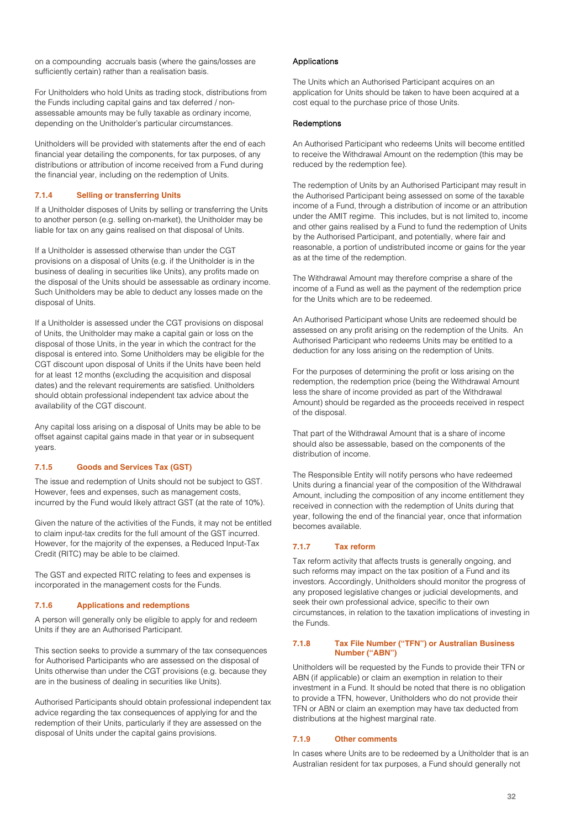on a compounding accruals basis (where the gains/losses are sufficiently certain) rather than a realisation basis.

For Unitholders who hold Units as trading stock, distributions from the Funds including capital gains and tax deferred / nonassessable amounts may be fully taxable as ordinary income, depending on the Unitholder's particular circumstances.

Unitholders will be provided with statements after the end of each financial year detailing the components, for tax purposes, of any distributions or attribution of income received from a Fund during the financial year, including on the redemption of Units.

#### **7.1.4 Selling or transferring Units**

If a Unitholder disposes of Units by selling or transferring the Units to another person (e.g. selling on-market), the Unitholder may be liable for tax on any gains realised on that disposal of Units.

If a Unitholder is assessed otherwise than under the CGT provisions on a disposal of Units (e.g. if the Unitholder is in the business of dealing in securities like Units), any profits made on the disposal of the Units should be assessable as ordinary income. Such Unitholders may be able to deduct any losses made on the disposal of Units.

If a Unitholder is assessed under the CGT provisions on disposal of Units, the Unitholder may make a capital gain or loss on the disposal of those Units, in the year in which the contract for the disposal is entered into. Some Unitholders may be eligible for the CGT discount upon disposal of Units if the Units have been held for at least 12 months (excluding the acquisition and disposal dates) and the relevant requirements are satisfied. Unitholders should obtain professional independent tax advice about the availability of the CGT discount.

Any capital loss arising on a disposal of Units may be able to be offset against capital gains made in that year or in subsequent years.

#### **7.1.5 Goods and Services Tax (GST)**

The issue and redemption of Units should not be subject to GST. However, fees and expenses, such as management costs, incurred by the Fund would likely attract GST (at the rate of 10%).

Given the nature of the activities of the Funds, it may not be entitled to claim input-tax credits for the full amount of the GST incurred. However, for the majority of the expenses, a Reduced Input-Tax Credit (RITC) may be able to be claimed.

The GST and expected RITC relating to fees and expenses is incorporated in the management costs for the Funds.

#### **7.1.6 Applications and redemptions**

A person will generally only be eligible to apply for and redeem Units if they are an Authorised Participant.

This section seeks to provide a summary of the tax consequences for Authorised Participants who are assessed on the disposal of Units otherwise than under the CGT provisions (e.g. because they are in the business of dealing in securities like Units).

Authorised Participants should obtain professional independent tax advice regarding the tax consequences of applying for and the redemption of their Units, particularly if they are assessed on the disposal of Units under the capital gains provisions.

#### Applications

The Units which an Authorised Participant acquires on an application for Units should be taken to have been acquired at a cost equal to the purchase price of those Units.

#### **Redemptions**

An Authorised Participant who redeems Units will become entitled to receive the Withdrawal Amount on the redemption (this may be reduced by the redemption fee).

The redemption of Units by an Authorised Participant may result in the Authorised Participant being assessed on some of the taxable income of a Fund, through a distribution of income or an attribution under the AMIT regime. This includes, but is not limited to, income and other gains realised by a Fund to fund the redemption of Units by the Authorised Participant, and potentially, where fair and reasonable, a portion of undistributed income or gains for the year as at the time of the redemption.

The Withdrawal Amount may therefore comprise a share of the income of a Fund as well as the payment of the redemption price for the Units which are to be redeemed.

An Authorised Participant whose Units are redeemed should be assessed on any profit arising on the redemption of the Units. An Authorised Participant who redeems Units may be entitled to a deduction for any loss arising on the redemption of Units.

For the purposes of determining the profit or loss arising on the redemption, the redemption price (being the Withdrawal Amount less the share of income provided as part of the Withdrawal Amount) should be regarded as the proceeds received in respect of the disposal.

That part of the Withdrawal Amount that is a share of income should also be assessable, based on the components of the distribution of income.

The Responsible Entity will notify persons who have redeemed Units during a financial year of the composition of the Withdrawal Amount, including the composition of any income entitlement they received in connection with the redemption of Units during that year, following the end of the financial year, once that information becomes available.

#### **7.1.7 Tax reform**

Tax reform activity that affects trusts is generally ongoing, and such reforms may impact on the tax position of a Fund and its investors. Accordingly, Unitholders should monitor the progress of any proposed legislative changes or judicial developments, and seek their own professional advice, specific to their own circumstances, in relation to the taxation implications of investing in the Funds.

#### **7.1.8 Tax File Number ("TFN") or Australian Business Number ("ABN")**

Unitholders will be requested by the Funds to provide their TFN or ABN (if applicable) or claim an exemption in relation to their investment in a Fund. It should be noted that there is no obligation to provide a TFN, however, Unitholders who do not provide their TFN or ABN or claim an exemption may have tax deducted from distributions at the highest marginal rate.

#### **7.1.9 Other comments**

In cases where Units are to be redeemed by a Unitholder that is an Australian resident for tax purposes, a Fund should generally not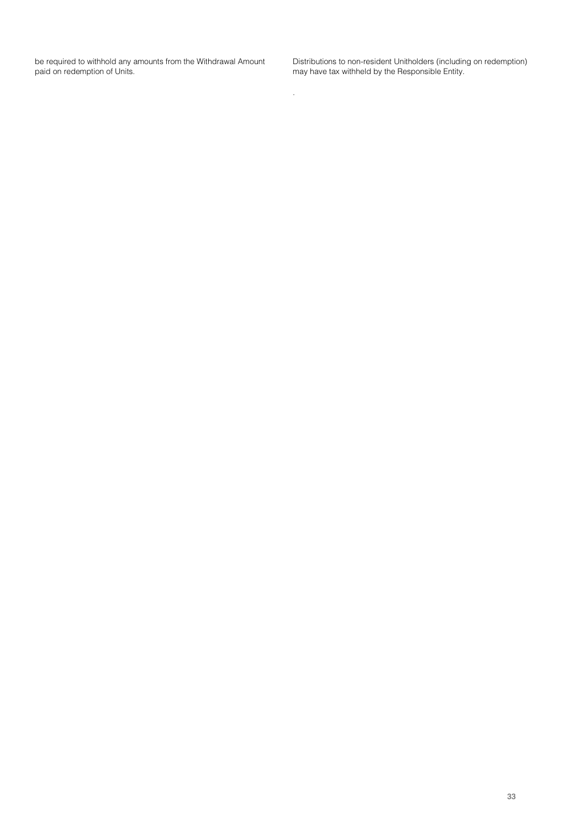be required to withhold any amounts from the Withdrawal Amount paid on redemption of Units.

Distributions to non-resident Unitholders (including on redemption) may have tax withheld by the Responsible Entity.

.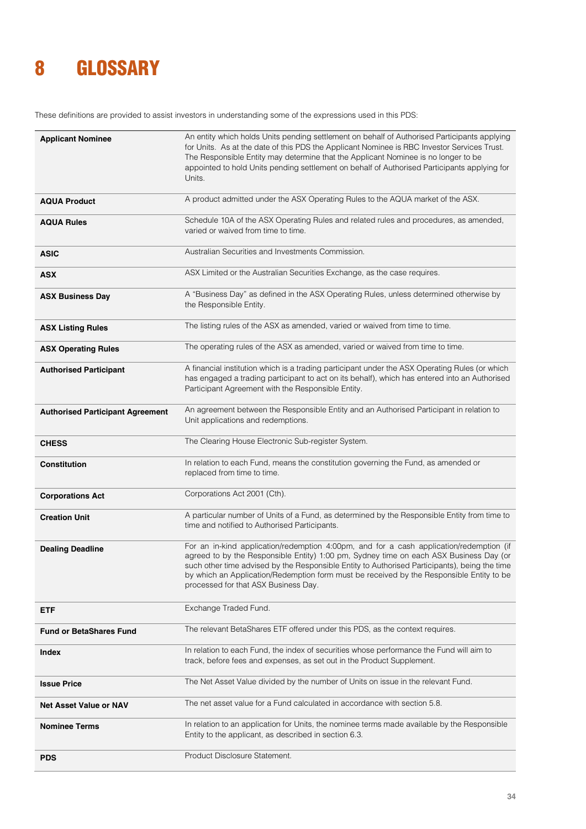# <span id="page-34-0"></span>8 GLOSSARY

These definitions are provided to assist investors in understanding some of the expressions used in this PDS:

| <b>Applicant Nominee</b>                | An entity which holds Units pending settlement on behalf of Authorised Participants applying<br>for Units. As at the date of this PDS the Applicant Nominee is RBC Investor Services Trust.<br>The Responsible Entity may determine that the Applicant Nominee is no longer to be<br>appointed to hold Units pending settlement on behalf of Authorised Participants applying for<br>Units.                            |
|-----------------------------------------|------------------------------------------------------------------------------------------------------------------------------------------------------------------------------------------------------------------------------------------------------------------------------------------------------------------------------------------------------------------------------------------------------------------------|
| <b>AQUA Product</b>                     | A product admitted under the ASX Operating Rules to the AQUA market of the ASX.                                                                                                                                                                                                                                                                                                                                        |
| <b>AQUA Rules</b>                       | Schedule 10A of the ASX Operating Rules and related rules and procedures, as amended,<br>varied or waived from time to time.                                                                                                                                                                                                                                                                                           |
| <b>ASIC</b>                             | Australian Securities and Investments Commission.                                                                                                                                                                                                                                                                                                                                                                      |
| <b>ASX</b>                              | ASX Limited or the Australian Securities Exchange, as the case requires.                                                                                                                                                                                                                                                                                                                                               |
| <b>ASX Business Day</b>                 | A "Business Day" as defined in the ASX Operating Rules, unless determined otherwise by<br>the Responsible Entity.                                                                                                                                                                                                                                                                                                      |
| <b>ASX Listing Rules</b>                | The listing rules of the ASX as amended, varied or waived from time to time.                                                                                                                                                                                                                                                                                                                                           |
| <b>ASX Operating Rules</b>              | The operating rules of the ASX as amended, varied or waived from time to time.                                                                                                                                                                                                                                                                                                                                         |
| <b>Authorised Participant</b>           | A financial institution which is a trading participant under the ASX Operating Rules (or which<br>has engaged a trading participant to act on its behalf), which has entered into an Authorised<br>Participant Agreement with the Responsible Entity.                                                                                                                                                                  |
| <b>Authorised Participant Agreement</b> | An agreement between the Responsible Entity and an Authorised Participant in relation to<br>Unit applications and redemptions.                                                                                                                                                                                                                                                                                         |
| <b>CHESS</b>                            | The Clearing House Electronic Sub-register System.                                                                                                                                                                                                                                                                                                                                                                     |
| <b>Constitution</b>                     | In relation to each Fund, means the constitution governing the Fund, as amended or<br>replaced from time to time.                                                                                                                                                                                                                                                                                                      |
| <b>Corporations Act</b>                 | Corporations Act 2001 (Cth).                                                                                                                                                                                                                                                                                                                                                                                           |
| <b>Creation Unit</b>                    | A particular number of Units of a Fund, as determined by the Responsible Entity from time to<br>time and notified to Authorised Participants.                                                                                                                                                                                                                                                                          |
| <b>Dealing Deadline</b>                 | For an in-kind application/redemption 4:00pm, and for a cash application/redemption (if<br>agreed to by the Responsible Entity) 1:00 pm, Sydney time on each ASX Business Day (or<br>such other time advised by the Responsible Entity to Authorised Participants), being the time<br>by which an Application/Redemption form must be received by the Responsible Entity to be<br>processed for that ASX Business Day. |
| <b>ETF</b>                              | Exchange Traded Fund.                                                                                                                                                                                                                                                                                                                                                                                                  |
| <b>Fund or BetaShares Fund</b>          | The relevant BetaShares ETF offered under this PDS, as the context requires.                                                                                                                                                                                                                                                                                                                                           |
| Index                                   | In relation to each Fund, the index of securities whose performance the Fund will aim to<br>track, before fees and expenses, as set out in the Product Supplement.                                                                                                                                                                                                                                                     |
| <b>Issue Price</b>                      | The Net Asset Value divided by the number of Units on issue in the relevant Fund.                                                                                                                                                                                                                                                                                                                                      |
| <b>Net Asset Value or NAV</b>           | The net asset value for a Fund calculated in accordance with section 5.8.                                                                                                                                                                                                                                                                                                                                              |
| <b>Nominee Terms</b>                    | In relation to an application for Units, the nominee terms made available by the Responsible<br>Entity to the applicant, as described in section 6.3.                                                                                                                                                                                                                                                                  |
| <b>PDS</b>                              | Product Disclosure Statement.                                                                                                                                                                                                                                                                                                                                                                                          |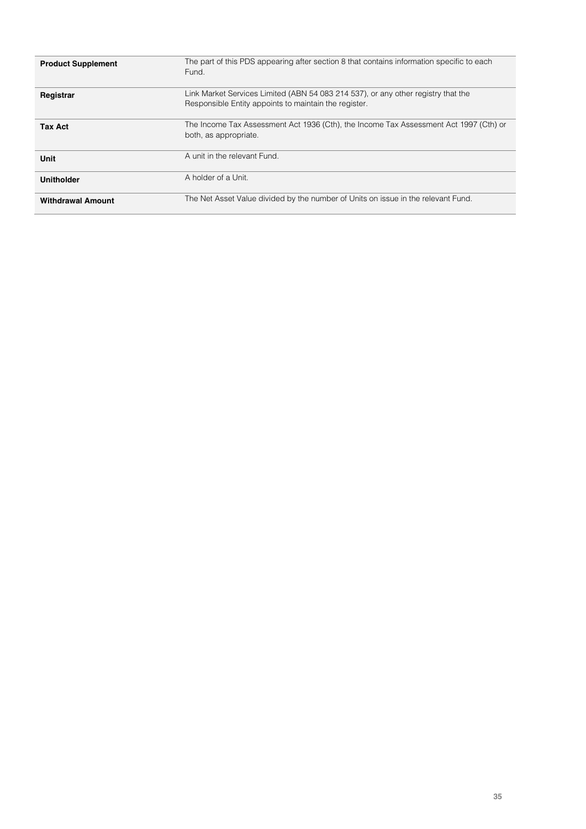| <b>Product Supplement</b> | The part of this PDS appearing after section 8 that contains information specific to each<br>Fund.                                         |
|---------------------------|--------------------------------------------------------------------------------------------------------------------------------------------|
| Registrar                 | Link Market Services Limited (ABN 54 083 214 537), or any other registry that the<br>Responsible Entity appoints to maintain the register. |
| <b>Tax Act</b>            | The Income Tax Assessment Act 1936 (Cth), the Income Tax Assessment Act 1997 (Cth) or<br>both, as appropriate.                             |
| Unit                      | A unit in the relevant Fund.                                                                                                               |
| <b>Unitholder</b>         | A holder of a Unit.                                                                                                                        |
| <b>Withdrawal Amount</b>  | The Net Asset Value divided by the number of Units on issue in the relevant Fund.                                                          |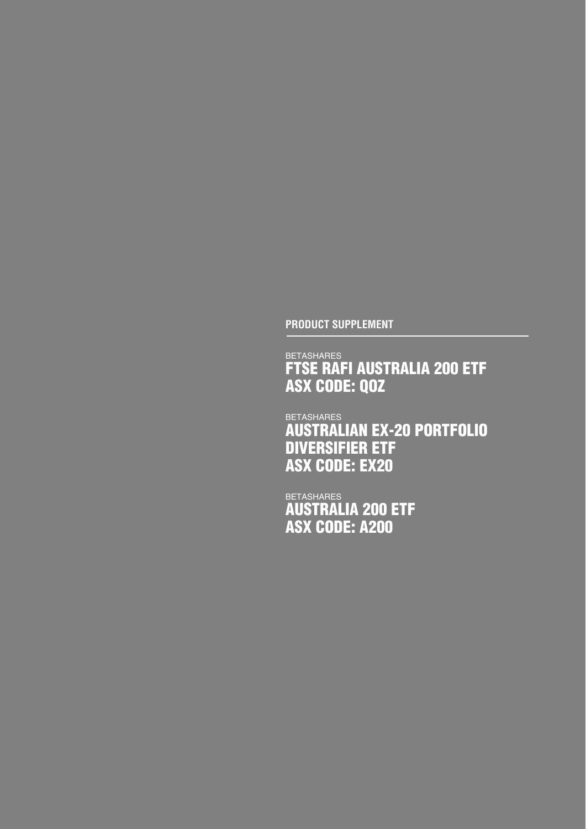**PRODUCT SUPPLEMENT**

BETASHARES FTSE RAFI AUSTRALIA 200 ETF ASX CODE: QOZ

BETASHARES AUSTRALIAN EX-20 PORTFOLIO DIVERSIFIER ETF ASX CODE: EX20

BETASHARES AUSTRALIA 200 ETF ASX CODE: A200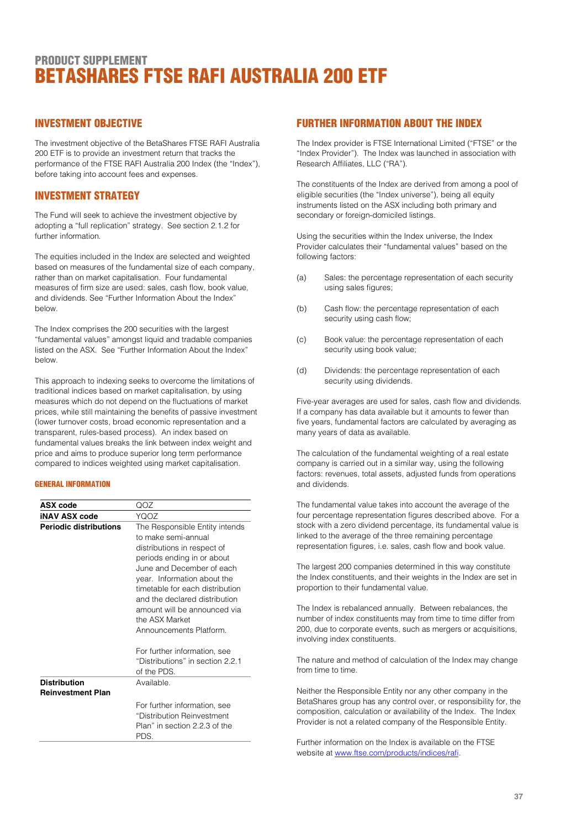## <span id="page-37-0"></span>PRODUCT SUPPLEMENT BETASHARES FTSE RAFI AUSTRALIA 200 ETF

## INVESTMENT OBJECTIVE

The investment objective of the BetaShares FTSE RAFI Australia 200 ETF is to provide an investment return that tracks the performance of the FTSE RAFI Australia 200 Index (the "Index"), before taking into account fees and expenses.

## INVESTMENT STRATEGY

The Fund will seek to achieve the investment objective by adopting a "full replication" strategy. See sectio[n 2.1.2](#page-7-3) for further information.

The equities included in the Index are selected and weighted based on measures of the fundamental size of each company, rather than on market capitalisation. Four fundamental measures of firm size are used: sales, cash flow, book value, and dividends. See "Further Information About the Index" below.

The Index comprises the 200 securities with the largest "fundamental values" amongst liquid and tradable companies listed on the ASX. See "Further Information About the Index" below.

This approach to indexing seeks to overcome the limitations of traditional indices based on market capitalisation, by using measures which do not depend on the fluctuations of market prices, while still maintaining the benefits of passive investment (lower turnover costs, broad economic representation and a transparent, rules-based process). An index based on fundamental values breaks the link between index weight and price and aims to produce superior long term performance compared to indices weighted using market capitalisation.

#### GENERAL INFORMATION

| ASX code                      | QOZ                                                                 |
|-------------------------------|---------------------------------------------------------------------|
| <b>iNAV ASX code</b>          | YQOZ                                                                |
| <b>Periodic distributions</b> | The Responsible Entity intends                                      |
|                               | to make semi-annual                                                 |
|                               | distributions in respect of                                         |
|                               | periods ending in or about                                          |
|                               | June and December of each                                           |
|                               | year. Information about the                                         |
|                               | timetable for each distribution                                     |
|                               | and the declared distribution                                       |
|                               | amount will be announced via                                        |
|                               | the ASX Market                                                      |
|                               | Announcements Platform                                              |
|                               | For further information, see                                        |
|                               | "Distributions" in section 2.2.1<br>of the PDS.                     |
| <b>Distribution</b>           | Available                                                           |
| <b>Reinvestment Plan</b>      |                                                                     |
|                               | For further information, see                                        |
|                               | "Distribution Reinvestment<br>Plan" in section 2.2.3 of the<br>PDS. |
|                               |                                                                     |

## FURTHER INFORMATION ABOUT THE INDEX

The Index provider is FTSE International Limited ("FTSE" or the "Index Provider"). The Index was launched in association with Research Affiliates, LLC ("RA").

The constituents of the Index are derived from among a pool of eligible securities (the "Index universe"), being all equity instruments listed on the ASX including both primary and secondary or foreign-domiciled listings.

Using the securities within the Index universe, the Index Provider calculates their "fundamental values" based on the following factors:

- (a) Sales: the percentage representation of each security using sales figures;
- (b) Cash flow: the percentage representation of each security using cash flow;
- (c) Book value: the percentage representation of each security using book value;
- (d) Dividends: the percentage representation of each security using dividends.

Five-year averages are used for sales, cash flow and dividends. If a company has data available but it amounts to fewer than five years, fundamental factors are calculated by averaging as many years of data as available.

The calculation of the fundamental weighting of a real estate company is carried out in a similar way, using the following factors: revenues, total assets, adjusted funds from operations and dividends.

The fundamental value takes into account the average of the four percentage representation figures described above. For a stock with a zero dividend percentage, its fundamental value is linked to the average of the three remaining percentage representation figures, i.e. sales, cash flow and book value.

The largest 200 companies determined in this way constitute the Index constituents, and their weights in the Index are set in proportion to their fundamental value.

The Index is rebalanced annually. Between rebalances, the number of index constituents may from time to time differ from 200, due to corporate events, such as mergers or acquisitions, involving index constituents.

The nature and method of calculation of the Index may change from time to time.

Neither the Responsible Entity nor any other company in the BetaShares group has any control over, or responsibility for, the composition, calculation or availability of the Index. The Index Provider is not a related company of the Responsible Entity.

Further information on the Index is available on the FTSE website a[t www.ftse.com/products/indices/rafi.](http://www.ftse.com/products/indices/rafi)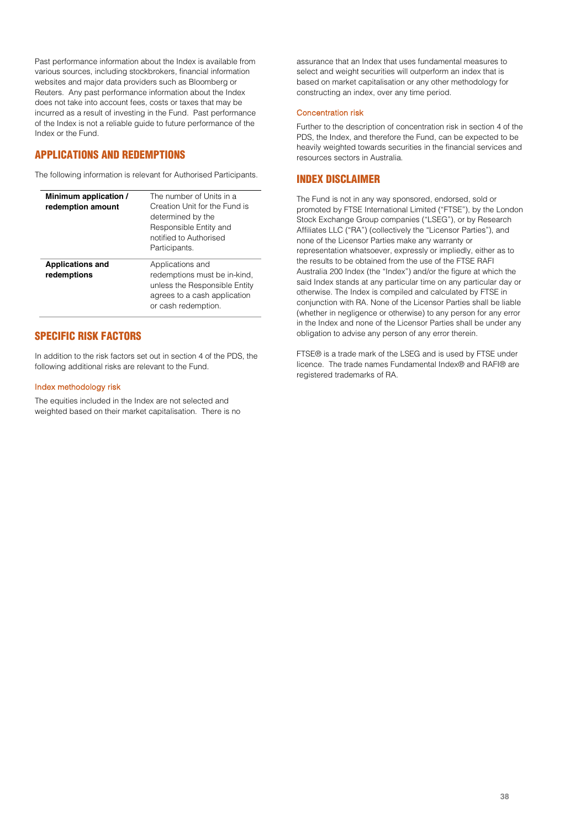Past performance information about the Index is available from various sources, including stockbrokers, financial information websites and major data providers such as Bloomberg or Reuters. Any past performance information about the Index does not take into account fees, costs or taxes that may be incurred as a result of investing in the Fund. Past performance of the Index is not a reliable guide to future performance of the Index or the Fund.

## APPLICATIONS AND REDEMPTIONS

The following information is relevant for Authorised Participants.

| Minimum application /<br>redemption amount | The number of Units in a<br>Creation Unit for the Fund is<br>determined by the<br>Responsible Entity and<br>notified to Authorised<br>Participants. |
|--------------------------------------------|-----------------------------------------------------------------------------------------------------------------------------------------------------|
| <b>Applications and</b><br>redemptions     | Applications and<br>redemptions must be in-kind,<br>unless the Responsible Entity<br>agrees to a cash application<br>or cash redemption.            |

## SPECIFIC RISK FACTORS

In addition to the risk factors set out in section 4 of the PDS, the following additional risks are relevant to the Fund.

#### Index methodology risk

The equities included in the Index are not selected and weighted based on their market capitalisation. There is no

assurance that an Index that uses fundamental measures to select and weight securities will outperform an index that is based on market capitalisation or any other methodology for constructing an index, over any time period.

#### Concentration risk

Further to the description of concentration risk in section 4 of the PDS, the Index, and therefore the Fund, can be expected to be heavily weighted towards securities in the financial services and resources sectors in Australia.

## INDEX DISCLAIMER

The Fund is not in any way sponsored, endorsed, sold or promoted by FTSE International Limited ("FTSE"), by the London Stock Exchange Group companies ("LSEG"), or by Research Affiliates LLC ("RA") (collectively the "Licensor Parties"), and none of the Licensor Parties make any warranty or representation whatsoever, expressly or impliedly, either as to the results to be obtained from the use of the FTSE RAFI Australia 200 Index (the "Index") and/or the figure at which the said Index stands at any particular time on any particular day or otherwise. The Index is compiled and calculated by FTSE in conjunction with RA. None of the Licensor Parties shall be liable (whether in negligence or otherwise) to any person for any error in the Index and none of the Licensor Parties shall be under any obligation to advise any person of any error therein.

FTSE® is a trade mark of the LSEG and is used by FTSE under licence. The trade names Fundamental Index® and RAFI® are registered trademarks of RA.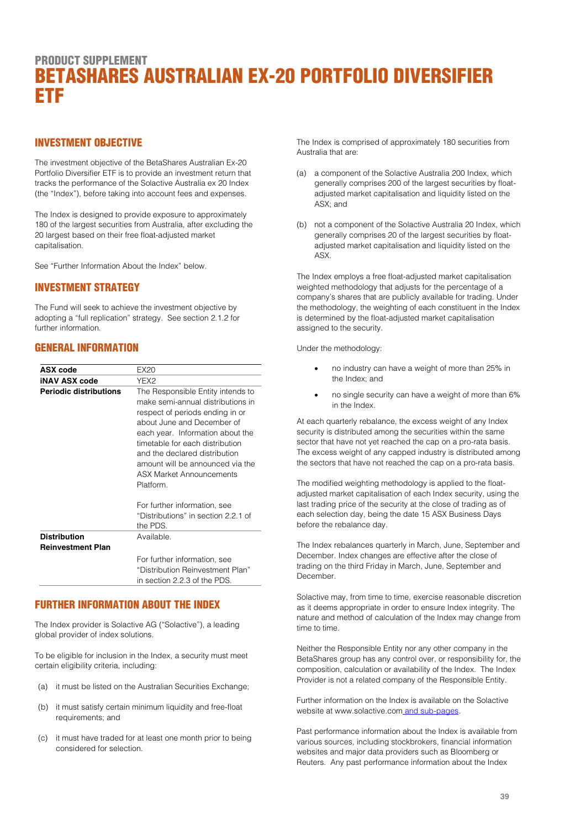## <span id="page-39-0"></span>PRODUCT SUPPLEMENT BETASHARES AUSTRALIAN EX-20 PORTFOLIO DIVERSIFIER ETF

## INVESTMENT OBJECTIVE

The investment objective of the BetaShares Australian Ex-20 Portfolio Diversifier ETF is to provide an investment return that tracks the performance of the Solactive Australia ex 20 Index (the "Index"), before taking into account fees and expenses.

The Index is designed to provide exposure to approximately 180 of the largest securities from Australia, after excluding the 20 largest based on their free float-adjusted market capitalisation.

See "Further Information About the Index" below.

### INVESTMENT STRATEGY

The Fund will seek to achieve the investment objective by adopting a "full replication" strategy. See sectio[n 2.1.2](#page-7-3) for further information.

## GENERAL INFORMATION

| ASX code                      | EX20                                                                                                                                                                                                                                                                                                                                |
|-------------------------------|-------------------------------------------------------------------------------------------------------------------------------------------------------------------------------------------------------------------------------------------------------------------------------------------------------------------------------------|
| <b>iNAV ASX code</b>          | YEX2                                                                                                                                                                                                                                                                                                                                |
| <b>Periodic distributions</b> | The Responsible Entity intends to<br>make semi-annual distributions in<br>respect of periods ending in or<br>about June and December of<br>each year. Information about the<br>timetable for each distribution<br>and the declared distribution<br>amount will be announced via the<br><b>ASX Market Announcements</b><br>Platform. |
|                               | For further information, see<br>"Distributions" in section 2.2.1 of<br>the PDS.                                                                                                                                                                                                                                                     |
| <b>Distribution</b>           | Available.                                                                                                                                                                                                                                                                                                                          |
| <b>Reinvestment Plan</b>      |                                                                                                                                                                                                                                                                                                                                     |
|                               | For further information, see<br>"Distribution Reinvestment Plan"<br>in section 2.2.3 of the PDS.                                                                                                                                                                                                                                    |

### FURTHER INFORMATION ABOUT THE INDEX

The Index provider is Solactive AG ("Solactive"), a leading global provider of index solutions.

To be eligible for inclusion in the Index, a security must meet certain eligibility criteria, including:

- (a) it must be listed on the Australian Securities Exchange;
- (b) it must satisfy certain minimum liquidity and free-float requirements; and
- (c) it must have traded for at least one month prior to being considered for selection.

The Index is comprised of approximately 180 securities from Australia that are:

- (a) a component of the Solactive Australia 200 Index, which generally comprises 200 of the largest securities by floatadjusted market capitalisation and liquidity listed on the ASX; and
- (b) not a component of the Solactive Australia 20 Index, which generally comprises 20 of the largest securities by floatadjusted market capitalisation and liquidity listed on the ASX.

The Index employs a free float-adjusted market capitalisation weighted methodology that adjusts for the percentage of a company's shares that are publicly available for trading. Under the methodology, the weighting of each constituent in the Index is determined by the float-adjusted market capitalisation assigned to the security.

Under the methodology:

- no industry can have a weight of more than 25% in the Index; and
- no single security can have a weight of more than 6% in the Index.

At each quarterly rebalance, the excess weight of any Index security is distributed among the securities within the same sector that have not yet reached the cap on a pro-rata basis. The excess weight of any capped industry is distributed among the sectors that have not reached the cap on a pro-rata basis.

The modified weighting methodology is applied to the floatadjusted market capitalisation of each Index security, using the last trading price of the security at the close of trading as of each selection day, being the date 15 ASX Business Days before the rebalance day.

The Index rebalances quarterly in March, June, September and December. Index changes are effective after the close of trading on the third Friday in March, June, September and **December** 

Solactive may, from time to time, exercise reasonable discretion as it deems appropriate in order to ensure Index integrity. The nature and method of calculation of the Index may change from time to time.

Neither the Responsible Entity nor any other company in the BetaShares group has any control over, or responsibility for, the composition, calculation or availability of the Index. The Index Provider is not a related company of the Responsible Entity.

Further information on the Index is available on the Solactive website at www.solactive.com and sub-pages.

Past performance information about the Index is available from various sources, including stockbrokers, financial information websites and major data providers such as Bloomberg or Reuters. Any past performance information about the Index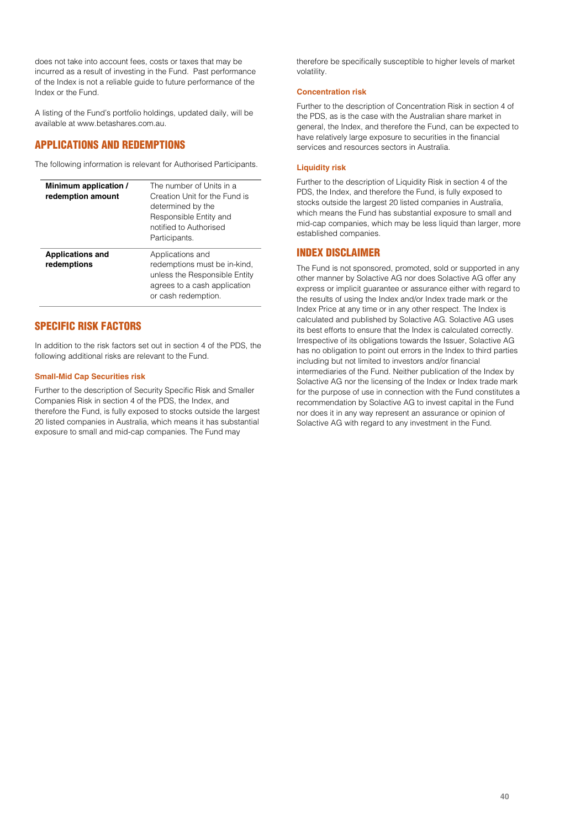does not take into account fees, costs or taxes that may be incurred as a result of investing in the Fund. Past performance of the Index is not a reliable guide to future performance of the Index or the Fund.

A listing of the Fund's portfolio holdings, updated daily, will be available at www.betashares.com.au.

## APPLICATIONS AND REDEMPTIONS

The following information is relevant for Authorised Participants.

| Minimum application /<br>redemption amount | The number of Units in a<br>Creation Unit for the Fund is<br>determined by the<br>Responsible Entity and<br>notified to Authorised<br>Participants. |
|--------------------------------------------|-----------------------------------------------------------------------------------------------------------------------------------------------------|
| <b>Applications and</b><br>redemptions     | Applications and<br>redemptions must be in-kind,<br>unless the Responsible Entity<br>agrees to a cash application<br>or cash redemption.            |

## SPECIFIC RISK FACTORS

In addition to the risk factors set out in section 4 of the PDS, the following additional risks are relevant to the Fund.

#### **Small-Mid Cap Securities risk**

Further to the description of Security Specific Risk and Smaller Companies Risk in section 4 of the PDS, the Index, and therefore the Fund, is fully exposed to stocks outside the largest 20 listed companies in Australia, which means it has substantial exposure to small and mid-cap companies. The Fund may

therefore be specifically susceptible to higher levels of market volatility.

#### **Concentration risk**

Further to the description of Concentration Risk in section 4 of the PDS, as is the case with the Australian share market in general, the Index, and therefore the Fund, can be expected to have relatively large exposure to securities in the financial services and resources sectors in Australia.

#### **Liquidity risk**

Further to the description of Liquidity Risk in section 4 of the PDS, the Index, and therefore the Fund, is fully exposed to stocks outside the largest 20 listed companies in Australia, which means the Fund has substantial exposure to small and mid-cap companies, which may be less liquid than larger, more established companies.

## INDEX DISCLAIMER

The Fund is not sponsored, promoted, sold or supported in any other manner by Solactive AG nor does Solactive AG offer any express or implicit guarantee or assurance either with regard to the results of using the Index and/or Index trade mark or the Index Price at any time or in any other respect. The Index is calculated and published by Solactive AG. Solactive AG uses its best efforts to ensure that the Index is calculated correctly. Irrespective of its obligations towards the Issuer, Solactive AG has no obligation to point out errors in the Index to third parties including but not limited to investors and/or financial intermediaries of the Fund. Neither publication of the Index by Solactive AG nor the licensing of the Index or Index trade mark for the purpose of use in connection with the Fund constitutes a recommendation by Solactive AG to invest capital in the Fund nor does it in any way represent an assurance or opinion of Solactive AG with regard to any investment in the Fund.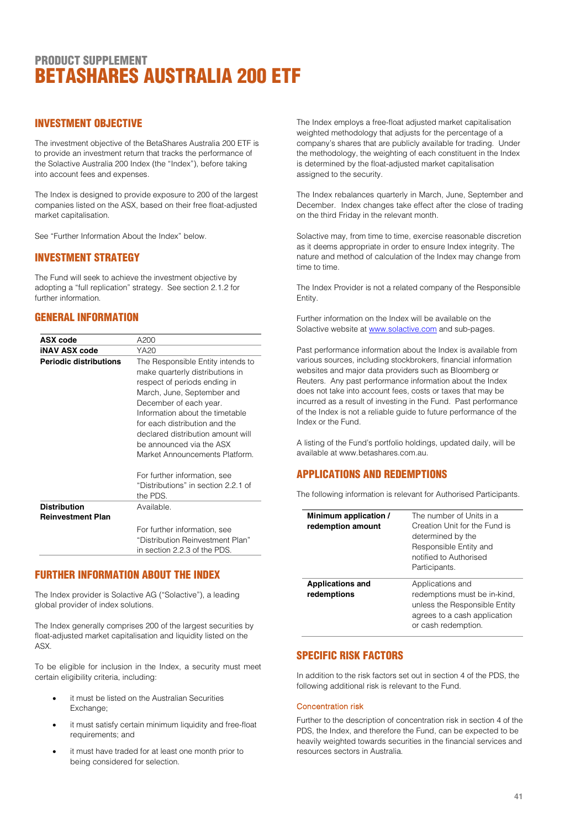## <span id="page-41-0"></span>PRODUCT SUPPLEMENT BETASHARES AUSTRALIA 200 ETF

## INVESTMENT OBJECTIVE

The investment objective of the BetaShares Australia 200 ETF is to provide an investment return that tracks the performance of the Solactive Australia 200 Index (the "Index"), before taking into account fees and expenses.

The Index is designed to provide exposure to 200 of the largest companies listed on the ASX, based on their free float-adjusted market capitalisation.

See "Further Information About the Index" below.

## INVESTMENT STRATEGY

The Fund will seek to achieve the investment objective by adopting a "full replication" strategy. See sectio[n 2.1.2](#page-7-3) for further information.

## GENERAL INFORMATION

| ASX code                      | A200                                                                                                                                                                                                                                                                                                                                |
|-------------------------------|-------------------------------------------------------------------------------------------------------------------------------------------------------------------------------------------------------------------------------------------------------------------------------------------------------------------------------------|
| <b>iNAV ASX code</b>          | YA20                                                                                                                                                                                                                                                                                                                                |
| <b>Periodic distributions</b> | The Responsible Entity intends to<br>make quarterly distributions in<br>respect of periods ending in<br>March, June, September and<br>December of each year.<br>Information about the timetable<br>for each distribution and the<br>declared distribution amount will<br>be announced via the ASX<br>Market Announcements Platform. |
|                               | For further information, see<br>"Distributions" in section 2.2.1 of<br>the PDS.                                                                                                                                                                                                                                                     |
| <b>Distribution</b>           | Available.                                                                                                                                                                                                                                                                                                                          |
| <b>Reinvestment Plan</b>      |                                                                                                                                                                                                                                                                                                                                     |
|                               | For further information, see<br>"Distribution Reinvestment Plan"<br>in section 2.2.3 of the PDS.                                                                                                                                                                                                                                    |

## FURTHER INFORMATION ABOUT THE INDEX

The Index provider is Solactive AG ("Solactive"), a leading global provider of index solutions.

The Index generally comprises 200 of the largest securities by float-adjusted market capitalisation and liquidity listed on the ASX.

To be eligible for inclusion in the Index, a security must meet certain eligibility criteria, including:

- it must be listed on the Australian Securities Exchange:
- it must satisfy certain minimum liquidity and free-float requirements; and
- it must have traded for at least one month prior to being considered for selection.

The Index employs a free-float adjusted market capitalisation weighted methodology that adjusts for the percentage of a company's shares that are publicly available for trading. Under the methodology, the weighting of each constituent in the Index is determined by the float-adjusted market capitalisation assigned to the security.

The Index rebalances quarterly in March, June, September and December. Index changes take effect after the close of trading on the third Friday in the relevant month.

Solactive may, from time to time, exercise reasonable discretion as it deems appropriate in order to ensure Index integrity. The nature and method of calculation of the Index may change from time to time.

The Index Provider is not a related company of the Responsible Entity.

Further information on the Index will be available on the Solactive website at [www.solactive.com](http://www.solactive.com/) and sub-pages.

Past performance information about the Index is available from various sources, including stockbrokers, financial information websites and major data providers such as Bloomberg or Reuters. Any past performance information about the Index does not take into account fees, costs or taxes that may be incurred as a result of investing in the Fund. Past performance of the Index is not a reliable guide to future performance of the Index or the Fund.

A listing of the Fund's portfolio holdings, updated daily, will be available at www.betashares.com.au.

## APPLICATIONS AND REDEMPTIONS

The following information is relevant for Authorised Participants.

| Minimum application /   | The number of Units in a      |
|-------------------------|-------------------------------|
| redemption amount       | Creation Unit for the Fund is |
|                         | determined by the             |
|                         | Responsible Entity and        |
|                         | notified to Authorised        |
|                         | Participants.                 |
| <b>Applications and</b> | Applications and              |
| redemptions             | redemptions must be in-kind,  |
|                         | unless the Responsible Entity |
|                         | agrees to a cash application  |
|                         | or cash redemption.           |
|                         |                               |

## SPECIFIC RISK FACTORS

In addition to the risk factors set out in section 4 of the PDS, the following additional risk is relevant to the Fund.

#### Concentration risk

Further to the description of concentration risk in section 4 of the PDS, the Index, and therefore the Fund, can be expected to be heavily weighted towards securities in the financial services and resources sectors in Australia.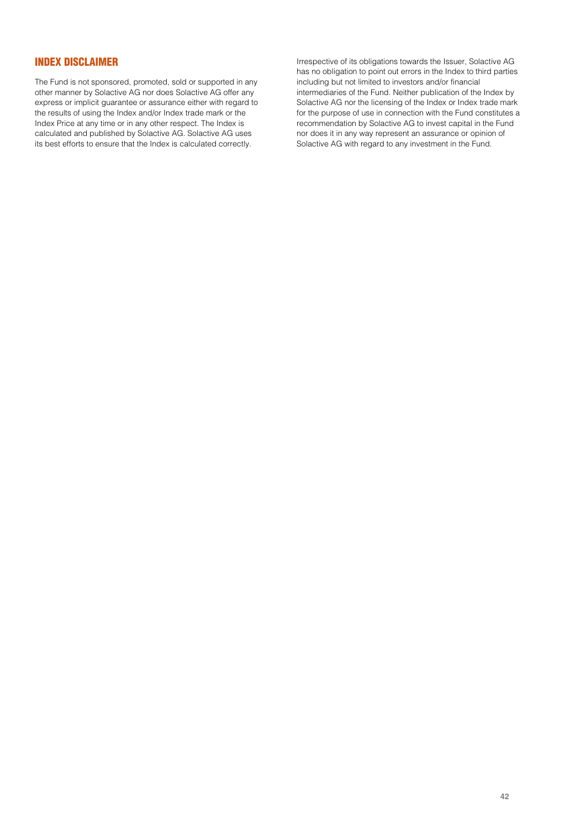## INDEX DISCLAIMER

The Fund is not sponsored, promoted, sold or supported in any other manner by Solactive AG nor does Solactive AG offer any express or implicit guarantee or assurance either with regard to the results of using the Index and/or Index trade mark or the Index Price at any time or in any other respect. The Index is calculated and published by Solactive AG. Solactive AG uses its best efforts to ensure that the Index is calculated correctly.

Irrespective of its obligations towards the Issuer, Solactive AG has no obligation to point out errors in the Index to third parties including but not limited to investors and/or financial intermediaries of the Fund. Neither publication of the Index by Solactive AG nor the licensing of the Index or Index trade mark for the purpose of use in connection with the Fund constitutes a recommendation by Solactive AG to invest capital in the Fund nor does it in any way represent an assurance or opinion of Solactive AG with regard to any investment in the Fund.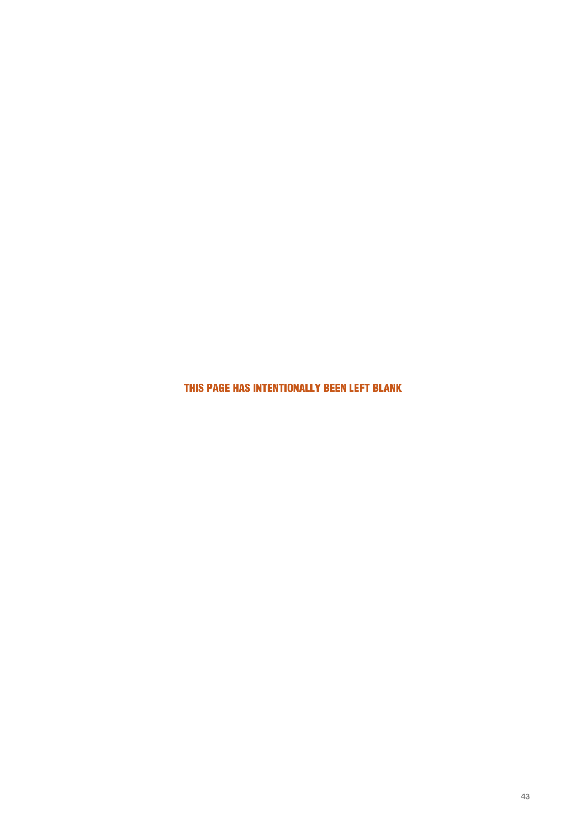THIS PAGE HAS INTENTIONALLY BEEN LEFT BLANK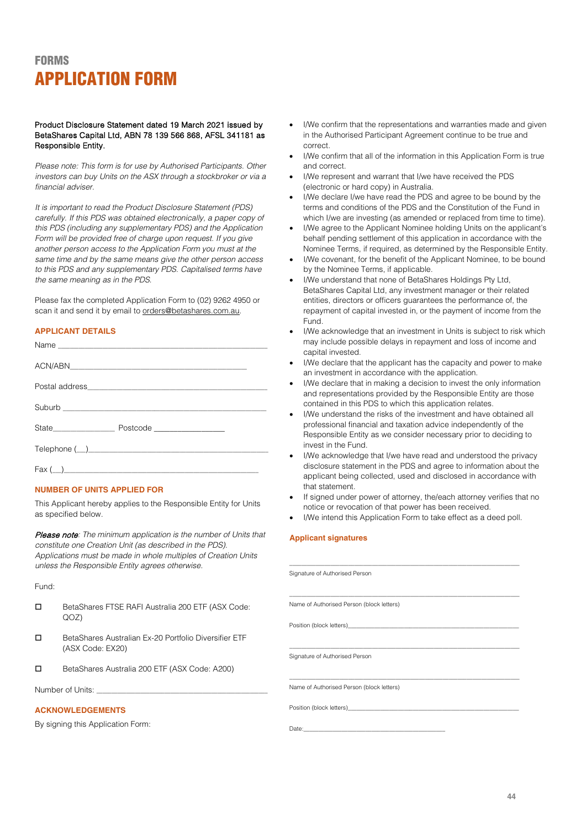## <span id="page-44-0"></span>**FORMS** APPLICATION FORM

#### Product Disclosure Statement dated 19 March 2021 issued by BetaShares Capital Ltd, ABN 78 139 566 868, AFSL 341181 as Responsible Entity.

*Please note: This form is for use by Authorised Participants. Other investors can buy Units on the ASX through a stockbroker or via a financial adviser.* 

*It is important to read the Product Disclosure Statement (PDS) carefully. If this PDS was obtained electronically, a paper copy of this PDS (including any supplementary PDS) and the Application Form will be provided free of charge upon request. If you give another person access to the Application Form you must at the same time and by the same means give the other person access to this PDS and any supplementary PDS. Capitalised terms have the same meaning as in the PDS.*

Please fax the completed Application Form to (02) 9262 4950 or scan it and send it by email to orders@betashares.com.au.

#### **APPLICANT DETAILS**

| $\text{Fax}$ ( _) |  |
|-------------------|--|

#### **NUMBER OF UNITS APPLIED FOR**

This Applicant hereby applies to the Responsible Entity for Units as specified below.

Please note*: The minimum application is the number of Units that constitute one Creation Unit (as described in the PDS). Applications must be made in whole multiples of Creation Units unless the Responsible Entity agrees otherwise.*

Fund:

- BetaShares FTSE RAFI Australia 200 ETF (ASX Code: QOZ)
- BetaShares Australian Ex-20 Portfolio Diversifier ETF (ASX Code: EX20)
- BetaShares Australia 200 ETF (ASX Code: A200)

Number of Units:

#### **ACKNOWLEDGEMENTS**

By signing this Application Form:

- I/We confirm that the representations and warranties made and given in the Authorised Participant Agreement continue to be true and correct.
- I/We confirm that all of the information in this Application Form is true and correct.
- I/We represent and warrant that I/we have received the PDS (electronic or hard copy) in Australia.
- I/We declare I/we have read the PDS and agree to be bound by the terms and conditions of the PDS and the Constitution of the Fund in which I/we are investing (as amended or replaced from time to time).
- I/We agree to the Applicant Nominee holding Units on the applicant's behalf pending settlement of this application in accordance with the Nominee Terms, if required, as determined by the Responsible Entity.
- I/We covenant, for the benefit of the Applicant Nominee, to be bound by the Nominee Terms, if applicable.
- I/We understand that none of BetaShares Holdings Pty Ltd, BetaShares Capital Ltd, any investment manager or their related entities, directors or officers guarantees the performance of, the repayment of capital invested in, or the payment of income from the Fund.
- I/We acknowledge that an investment in Units is subject to risk which may include possible delays in repayment and loss of income and capital invested.
- I/We declare that the applicant has the capacity and power to make an investment in accordance with the application.
- I/We declare that in making a decision to invest the only information and representations provided by the Responsible Entity are those contained in this PDS to which this application relates.
- I/We understand the risks of the investment and have obtained all professional financial and taxation advice independently of the Responsible Entity as we consider necessary prior to deciding to invest in the Fund.
- I/We acknowledge that I/we have read and understood the privacy disclosure statement in the PDS and agree to information about the applicant being collected, used and disclosed in accordance with that statement.
- If signed under power of attorney, the/each attorney verifies that no notice or revocation of that power has been received.
- I/We intend this Application Form to take effect as a deed poll.

#### **Applicant signatures**

Date:\_\_\_\_\_\_\_\_\_\_\_\_\_\_\_\_\_\_\_\_\_\_\_\_\_\_\_\_\_\_\_\_\_\_\_\_\_\_\_\_\_\_\_\_\_\_\_\_

Position (block letters)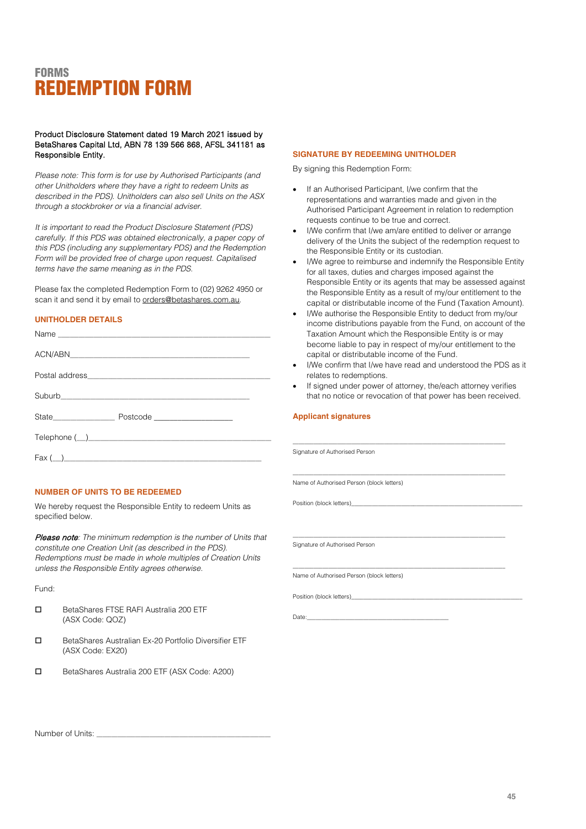## <span id="page-45-0"></span>FORMS REDEMPTION FORM

#### Product Disclosure Statement dated 19 March 2021 issued by BetaShares Capital Ltd, ABN 78 139 566 868, AFSL 341181 as Responsible Entity.

*Please note: This form is for use by Authorised Participants (and other Unitholders where they have a right to redeem Units as described in the PDS). Unitholders can also sell Units on the ASX through a stockbroker or via a financial adviser.* 

*It is important to read the Product Disclosure Statement (PDS) carefully. If this PDS was obtained electronically, a paper copy of this PDS (including any supplementary PDS) and the Redemption Form will be provided free of charge upon request. Capitalised terms have the same meaning as in the PDS.*

Please fax the completed Redemption Form to (02) 9262 4950 or scan it and send it by email to orders@betashares.com.au.

#### **UNITHOLDER DETAILS**

#### **NUMBER OF UNITS TO BE REDEEMED**

We hereby request the Responsible Entity to redeem Units as specified below.

Please note*: The minimum redemption is the number of Units that constitute one Creation Unit (as described in the PDS). Redemptions must be made in whole multiples of Creation Units unless the Responsible Entity agrees otherwise.*

Fund:

- BetaShares FTSE RAFI Australia 200 ETF (ASX Code: QOZ)
- BetaShares Australian Ex-20 Portfolio Diversifier ETF (ASX Code: EX20)
- BetaShares Australia 200 ETF (ASX Code: A200)

#### **SIGNATURE BY REDEEMING UNITHOLDER**

By signing this Redemption Form:

- If an Authorised Participant, I/we confirm that the representations and warranties made and given in the Authorised Participant Agreement in relation to redemption requests continue to be true and correct.
- I/We confirm that I/we am/are entitled to deliver or arrange delivery of the Units the subject of the redemption request to the Responsible Entity or its custodian.
- I/We agree to reimburse and indemnify the Responsible Entity for all taxes, duties and charges imposed against the Responsible Entity or its agents that may be assessed against the Responsible Entity as a result of my/our entitlement to the capital or distributable income of the Fund (Taxation Amount).
- I/We authorise the Responsible Entity to deduct from my/our income distributions payable from the Fund, on account of the Taxation Amount which the Responsible Entity is or may become liable to pay in respect of my/our entitlement to the capital or distributable income of the Fund.
- I/We confirm that I/we have read and understood the PDS as it relates to redemptions.
- If signed under power of attorney, the/each attorney verifies that no notice or revocation of that power has been received.

\_\_\_\_\_\_\_\_\_\_\_\_\_\_\_\_\_\_\_\_\_\_\_\_\_\_\_\_\_\_\_\_\_\_\_\_\_\_\_\_\_\_\_\_\_\_\_\_\_\_\_\_\_\_\_\_\_\_\_\_\_\_\_\_\_\_\_\_\_\_\_\_

\_\_\_\_\_\_\_\_\_\_\_\_\_\_\_\_\_\_\_\_\_\_\_\_\_\_\_\_\_\_\_\_\_\_\_\_\_\_\_\_\_\_\_\_\_\_\_\_\_\_\_\_\_\_\_\_\_\_\_\_\_\_\_\_\_\_\_\_\_\_\_\_

\_\_\_\_\_\_\_\_\_\_\_\_\_\_\_\_\_\_\_\_\_\_\_\_\_\_\_\_\_\_\_\_\_\_\_\_\_\_\_\_\_\_\_\_\_\_\_\_\_\_\_\_\_\_\_\_\_\_\_\_\_\_\_\_\_\_\_\_\_\_\_\_

\_\_\_\_\_\_\_\_\_\_\_\_\_\_\_\_\_\_\_\_\_\_\_\_\_\_\_\_\_\_\_\_\_\_\_\_\_\_\_\_\_\_\_\_\_\_\_\_\_\_\_\_\_\_\_\_\_\_\_\_\_\_\_\_\_\_\_\_\_\_\_\_

#### **Applicant signatures**

Signature of Authorised Person

Name of Authorised Person (block letters)

Position (block letters)

Signature of Authorised Person

Name of Authorised Person (block letters)

Position (block letters)\_

Date:\_\_\_\_\_\_\_\_\_\_\_\_\_\_\_\_\_\_\_\_\_\_\_\_\_\_\_\_\_\_\_\_\_\_\_\_\_\_\_\_\_\_\_\_\_\_\_\_

Number of Units: